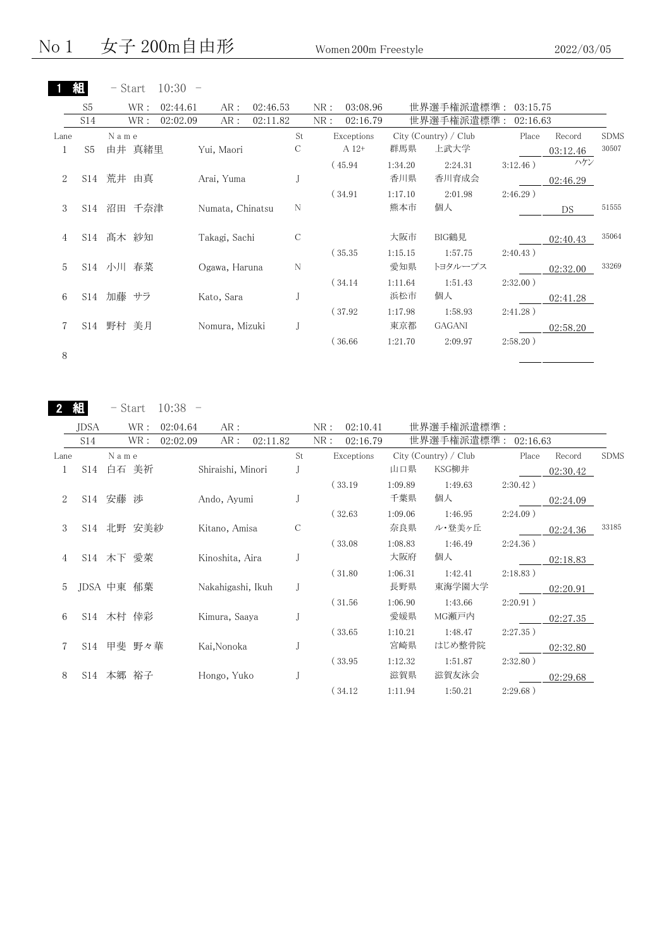# No  $1 \quad \text{ } \pm \text{ } \pm 200$ m自由形 Women 200m Freestyle 2022/03/05

|                |                | - Start   | $10:30 -$ |                  |          |               |     |            |         |                       |             |           |             |
|----------------|----------------|-----------|-----------|------------------|----------|---------------|-----|------------|---------|-----------------------|-------------|-----------|-------------|
|                | S <sub>5</sub> | WR:       | 02:44.61  | AR:              | 02:46.53 |               | NR: | 03:08.96   |         | 世界選手権派遣標準: 03:15.75   |             |           |             |
|                | S14            | WR :      | 02:02.09  | AR:              | 02:11.82 |               | NR: | 02:16.79   |         | 世界選手権派遣標準:            | 02:16.63    |           |             |
| Lane           |                | N a m e   |           |                  |          | St.           |     | Exceptions |         | City (Country) / Club | Place       | Record    | <b>SDMS</b> |
| 1              | S <sub>5</sub> | 由井 真緒里    |           | Yui, Maori       |          | С             |     | A 12+      | 群馬県     | 上武大学                  |             | 03:12.46  | 30507       |
|                |                |           |           |                  |          |               |     | (45.94)    | 1:34.20 | 2:24.31               | $3:12.46$ ) | ハケン       |             |
| 2              |                | S14 荒井 由真 |           | Arai, Yuma       |          | J             |     |            | 香川県     | 香川育成会                 |             | 02:46.29  |             |
|                |                |           |           |                  |          |               |     | (34.91)    | 1:17.10 | 2:01.98               | $2:46.29$ ) |           |             |
| 3              | S14            | 沼田<br>千奈津 |           | Numata, Chinatsu |          | N             |     |            | 熊本市     | 個人                    |             | <b>DS</b> | 51555       |
| $\overline{4}$ |                | S14 髙木 紗知 |           | Takagi, Sachi    |          | $\mathcal{C}$ |     |            | 大阪市     | BIG鶴見                 |             | 02:40.43  | 35064       |
|                |                |           |           |                  |          |               |     | (35.35)    | 1:15.15 | 1:57.75               | 2:40.43)    |           |             |
| 5              |                | S14 小川 春菜 |           | Ogawa, Haruna    |          | N             |     |            | 愛知県     | トヨタループス               |             | 02:32.00  | 33269       |
|                |                |           |           |                  |          |               |     | (34.14)    | 1:11.64 | 1:51.43               | $2:32.00$ ) |           |             |
| 6              | S14            | 加藤 サラ     |           | Kato, Sara       |          | J             |     |            | 浜松市     | 個人                    |             | 02:41.28  |             |
|                |                |           |           |                  |          |               |     | (37.92)    | 1:17.98 | 1:58.93               | $2:41.28$ ) |           |             |
|                | S14            | 美月<br>野村  |           | Nomura, Mizuki   |          |               |     |            | 東京都     | GAGANI                |             | 02:58.20  |             |
|                |                |           |           |                  |          |               |     | (36.66)    | 1:21.70 | 2:09.97               | $2:58.20$ ) |           |             |
| 8              |                |           |           |                  |          |               |     |            |         |                       |             |           |             |

#### 2 組 - Start 10:38 -

|      | <b>JDSA</b> |            | WR :   | 02:04.64 | AR:               |          |    | NR: | 02:10.41   |         | 世界選手権派遣標準:            |             |          |             |
|------|-------------|------------|--------|----------|-------------------|----------|----|-----|------------|---------|-----------------------|-------------|----------|-------------|
|      | <b>S14</b>  |            | WR :   | 02:02.09 | AR:               | 02:11.82 |    | NR: | 02:16.79   |         | 世界選手権派遣標準:            | 02:16.63    |          |             |
| Lane |             | Name       |        |          |                   |          | St |     | Exceptions |         | City (Country) / Club | Place       | Record   | <b>SDMS</b> |
|      | S14         |            | 白石 美祈  |          | Shiraishi, Minori |          |    |     |            | 山口県     | KSG柳井                 |             | 02:30.42 |             |
|      |             |            |        |          |                   |          |    |     | (33.19)    | 1:09.89 | 1:49.63               | 2:30.42)    |          |             |
| 2    | S14         | 安藤         | 渉      |          | Ando, Ayumi       |          |    |     |            | 千葉県     | 個人                    |             | 02:24.09 |             |
|      |             |            |        |          |                   |          |    |     | (32.63)    | 1:09.06 | 1:46.95               | $2:24.09$ ) |          |             |
| 3    | S14         |            | 北野 安美紗 |          | Kitano, Amisa     |          | С  |     |            | 奈良県     | ル・登美ヶ丘                |             | 02:24.36 | 33185       |
|      |             |            |        |          |                   |          |    |     | (33.08)    | 1:08.83 | 1:46.49               | 2:24.36)    |          |             |
| 4    |             | S14 木下 愛萊  |        |          | Kinoshita, Aira   |          |    |     |            | 大阪府     | 個人                    |             | 02:18.83 |             |
|      |             |            |        |          |                   |          |    |     | (31.80)    | 1:06.31 | 1:42.41               | $2:18.83$ ) |          |             |
| 5    |             | JDSA 中東 郁葉 |        |          | Nakahigashi, Ikuh |          |    |     |            | 長野県     | 東海学園大学                |             | 02:20.91 |             |
|      |             |            |        |          |                   |          |    |     | (31.56)    | 1:06.90 | 1:43.66               | 2:20.91)    |          |             |
| 6    | S14         |            | 木村 倖彩  |          | Kimura, Saaya     |          |    |     |            | 愛媛県     | MG瀬戸内                 |             | 02:27.35 |             |
|      |             |            |        |          |                   |          |    |     | (33.65)    | 1:10.21 | 1:48.47               | $2:27.35$ ) |          |             |
|      | S14         |            | 甲斐 野々華 |          | Kai,Nonoka        |          |    |     |            | 宮崎県     | はじめ整骨院                |             | 02:32.80 |             |
|      |             |            |        |          |                   |          |    |     | (33.95)    | 1:12.32 | 1:51.87               | 2:32.80)    |          |             |
| 8    | S14         | 本郷         | 裕子     |          | Hongo, Yuko       |          |    |     |            | 滋賀県     | 滋賀友泳会                 |             | 02:29.68 |             |
|      |             |            |        |          |                   |          |    |     | (34.12     | 1:11.94 | 1:50.21               | $2:29.68$ ) |          |             |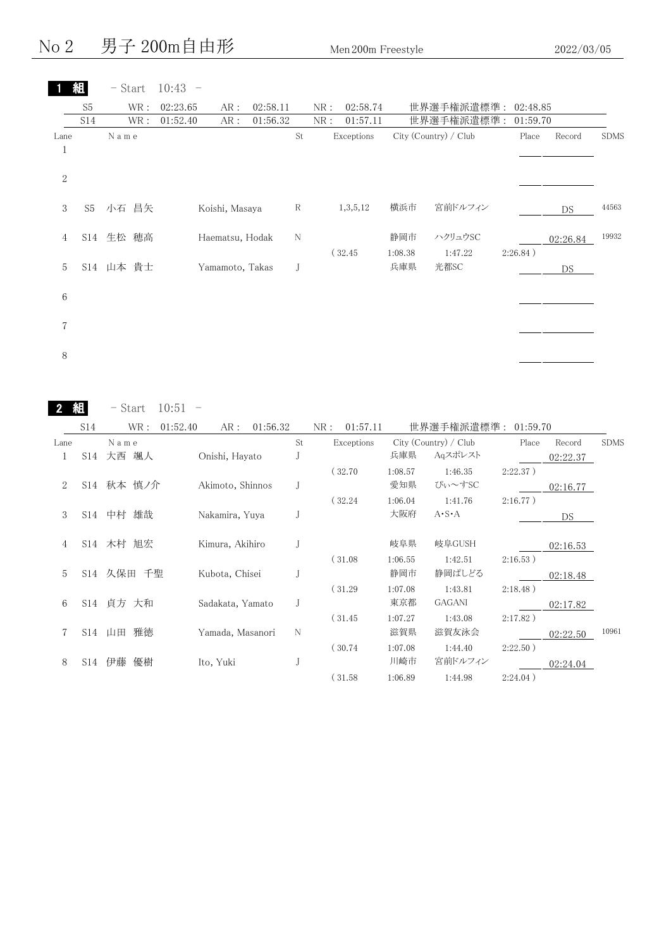# No 2 男子 200m自由形 Men 200m Freestyle 2022/03/05

|                      | 組              | $-$ Start | $10:43 -$ |                 |          |             |     |            |                |                       |          |          |          |             |
|----------------------|----------------|-----------|-----------|-----------------|----------|-------------|-----|------------|----------------|-----------------------|----------|----------|----------|-------------|
|                      | S <sub>5</sub> | WR :      | 02:23.65  | AR:             | 02:58.11 |             | NR: | 02:58.74   |                | 世界選手権派遣標準:            |          | 02:48.85 |          |             |
|                      | S14            | WR :      | 01:52.40  | AR:             | 01:56.32 |             | NR: | 01:57.11   |                | 世界選手権派遣標準:            |          | 01:59.70 |          |             |
| Lane<br>$\mathbf{1}$ |                | N a m e   |           |                 |          | St          |     | Exceptions |                | City (Country) / Club |          | Place    | Record   | <b>SDMS</b> |
| $\sqrt{2}$           |                |           |           |                 |          |             |     |            |                |                       |          |          |          |             |
| 3                    | S5             | 小石 昌矢     |           | Koishi, Masaya  |          | $\mathbb R$ |     | 1,3,5,12   | 横浜市            | 宮前ドルフィン               |          |          | DS       | 44563       |
| 4                    |                | S14 生松 穂高 |           | Haematsu, Hodak |          | N           |     | (32.45)    | 静岡市<br>1:08.38 | ハクリュウSC<br>1:47.22    | 2:26.84) |          | 02:26.84 | 19932       |
| 5                    |                | S14 山本 貴士 |           | Yamamoto, Takas |          | J           |     |            | 兵庫県            | 光都SC                  |          |          | DS       |             |
| 6                    |                |           |           |                 |          |             |     |            |                |                       |          |          |          |             |
| 7                    |                |           |           |                 |          |             |     |            |                |                       |          |          |          |             |
| $\,8\,$              |                |           |           |                 |          |             |     |            |                |                       |          |          |          |             |

2 組  $-$  Start 10:51  $-$ 

|      | S14 | WR:           | 01:52.40<br>AR:  | 01:56.32 |    | NR:<br>01:57.11 |         | 世界選手権派遣標準 :           | 01:59.70    |          |             |
|------|-----|---------------|------------------|----------|----|-----------------|---------|-----------------------|-------------|----------|-------------|
| Lane |     | Name          |                  |          | St | Exceptions      |         | City (Country) / Club | Place       | Record   | <b>SDMS</b> |
|      | S14 | 颯人<br>大西      | Onishi, Hayato   |          |    |                 | 兵庫県     | Aqスポレスト               |             | 02:22.37 |             |
|      |     |               |                  |          |    | (32.70)         | 1:08.57 | 1:46.35               | $2:22.37$ ) |          |             |
| 2    | S14 | 秋本 慎ノ介        | Akimoto, Shinnos |          |    |                 | 愛知県     | ぴぃ~すSC                |             | 02:16.77 |             |
|      |     |               |                  |          |    | (32.24)         | 1:06.04 | 1:41.76               | 2:16.77)    |          |             |
| 3    | S14 | 雄哉<br>中村      | Nakamira, Yuya   |          |    |                 | 大阪府     | $A \cdot S \cdot A$   |             | DS       |             |
| 4    | S14 | 木村 旭宏         | Kimura, Akihiro  |          |    |                 | 岐阜県     | 岐阜GUSH                |             | 02:16.53 |             |
|      |     |               |                  |          |    | (31.08)         | 1:06.55 | 1:42.51               | 2:16.53)    |          |             |
| 5    |     | S14 久保田<br>千聖 | Kubota, Chisei   |          |    |                 | 静岡市     | 静岡ぱしどる                |             | 02:18.48 |             |
|      |     |               |                  |          |    | (31.29)         | 1:07.08 | 1:43.81               | 2:18.48)    |          |             |
| 6    | S14 | 貞方 大和         | Sadakata, Yamato |          |    |                 | 東京都     | GAGANI                |             | 02:17.82 |             |
|      |     |               |                  |          |    | (31.45)         | 1:07.27 | 1:43.08               | $2:17.82$ ) |          |             |
|      | S14 | 雅徳<br>山田      | Yamada, Masanori |          | N  |                 | 滋賀県     | 滋賀友泳会                 |             | 02:22.50 | 10961       |
|      |     |               |                  |          |    | (30.74)         | 1:07.08 | 1:44.40               | 2:22.50)    |          |             |
| 8    | S14 | 伊藤<br>優樹      | Ito, Yuki        |          |    |                 | 川崎市     | 宮前ドルフィン               |             | 02:24.04 |             |
|      |     |               |                  |          |    | (31.58)         | 1:06.89 | 1:44.98               | 2:24.04)    |          |             |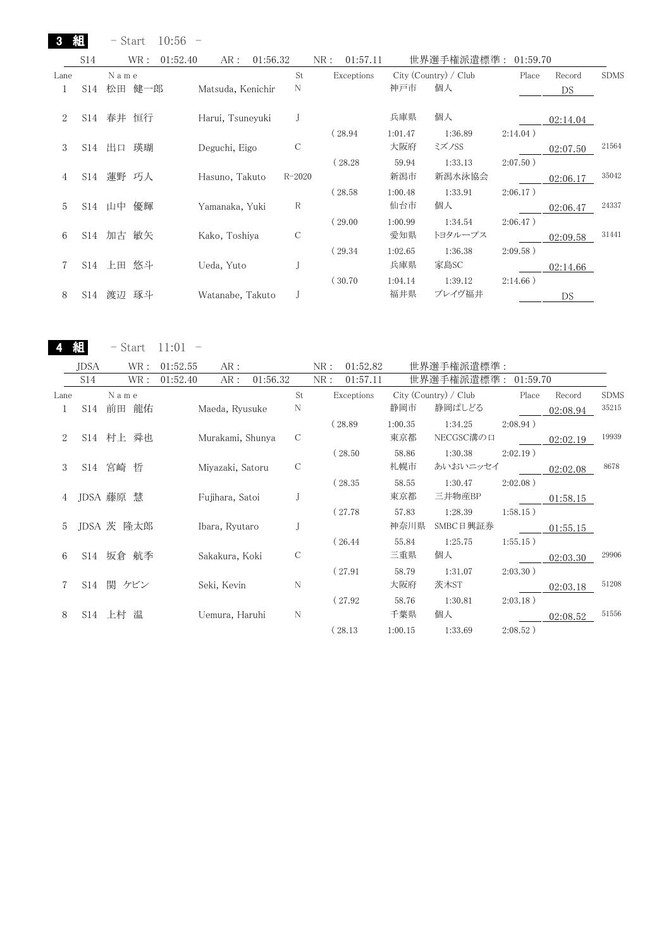3 組 - Start 10:56 -

|      | S <sub>14</sub> | WR:          | 01:52.40 | AR :              | 01:56.32 |            | NR:<br>01:57.11 |         | 世界選手権派遣標準:            | 01:59.70    |          |             |
|------|-----------------|--------------|----------|-------------------|----------|------------|-----------------|---------|-----------------------|-------------|----------|-------------|
| Lane |                 | N a m e      |          |                   |          | St         | Exceptions      |         | City (Country) / Club | Place       | Record   | <b>SDMS</b> |
|      | S14             | 松田           | 健一郎      | Matsuda, Kenichir |          | N          |                 | 神戸市     | 個人                    |             | DS       |             |
| 2    | S14             | 春井 恒行        |          | Harui, Tsuneyuki  |          |            |                 | 兵庫県     | 個人                    |             | 02:14.04 |             |
|      |                 |              |          |                   |          |            | (28.94)         | 1:01.47 | 1:36.89               | $2:14.04$ ) |          |             |
| 3    | S14             | 瑛瑚<br>出口     |          | Deguchi, Eigo     |          | C          |                 | 大阪府     | ミズノSS                 |             | 02:07.50 | 21564       |
|      |                 |              |          |                   |          |            | (28.28          | 59.94   | 1:33.13               | $2:07.50$ ) |          |             |
| 4    | S14             | 蓮野 巧人        |          | Hasuno, Takuto    |          | $R - 2020$ |                 | 新潟市     | 新潟水泳協会                |             | 02:06.17 | 35042       |
|      |                 |              |          |                   |          |            | (28.58)         | 1:00.48 | 1:33.91               | 2:06.17)    |          |             |
| 5    |                 | 優輝<br>S14 山中 |          | Yamanaka, Yuki    |          | R          |                 | 仙台市     | 個人                    |             | 02:06.47 | 24337       |
|      |                 |              |          |                   |          |            | (29.00)         | 1:00.99 | 1:34.54               | 2:06.47)    |          |             |
| 6    | S14             | 加古<br>敏矢     |          | Kako, Toshiya     |          | С          |                 | 愛知県     | トヨタループス               |             | 02:09.58 | 31441       |
|      |                 |              |          |                   |          |            | (29.34)         | 1:02.65 | 1:36.38               | $2:09.58$ ) |          |             |
|      | S14             | 悠斗<br>上田     |          | Ueda, Yuto        |          |            |                 | 兵庫県     | 家島SC                  |             | 02:14.66 |             |
|      |                 |              |          |                   |          |            | (30.70          | 1:04.14 | 1:39.12               | $2:14.66$ ) |          |             |
| 8    | S14             | 渡辺<br>琢斗     |          | Watanabe, Takuto  |          |            |                 | 福井県     | ブレイヴ福井                |             | DS       |             |

4 組 - Start 11:01 -

|      | <b>JDSA</b> | WR :       | 01:52.55 | AR:              |          |    | NR: | 01:52.82   |         | 世界選手権派遣標準:            |             |          |             |
|------|-------------|------------|----------|------------------|----------|----|-----|------------|---------|-----------------------|-------------|----------|-------------|
|      | S14         | WR :       | 01:52.40 | AR:              | 01:56.32 |    | NR: | 01:57.11   |         | 世界選手権派遣標準 :           | 01:59.70    |          |             |
| Lane |             | Name       |          |                  |          | St |     | Exceptions |         | City (Country) / Club | Place       | Record   | <b>SDMS</b> |
| 1    |             | S14 前田 龍佑  |          | Maeda, Ryusuke   |          | N  |     |            | 静岡市     | 静岡ぱしどる                |             | 02:08.94 | 35215       |
|      |             |            |          |                  |          |    |     | (28.89)    | 1:00.35 | 1:34.25               | 2:08.94)    |          |             |
| 2    |             | S14 村上 舜也  |          | Murakami, Shunya |          | C  |     |            | 東京都     | NECGSC溝の口             |             | 02:02.19 | 19939       |
|      |             |            |          |                  |          |    |     | (28.50)    | 58.86   | 1:30.38               | $2:02.19$ ) |          |             |
| 3    |             | S14 宮崎 哲   |          | Miyazaki, Satoru |          | C  |     |            | 札幌市     | あいおいニッセイ              |             | 02:02.08 | 8678        |
|      |             |            |          |                  |          |    |     | (28.35)    | 58.55   | 1:30.47               | $2:02.08$ ) |          |             |
|      |             | JDSA 藤原 慧  |          | Fujihara, Satoi  |          |    |     |            | 東京都     | 三井物産BP                |             | 01:58.15 |             |
|      |             |            |          |                  |          |    |     | (27.78)    | 57.83   | 1:28.39               | $1:58.15$ ) |          |             |
| 5    |             | JDSA 茨 隆太郎 |          | Ibara, Ryutaro   |          |    |     |            | 神奈川県    | SMBC日興証券              |             | 01:55.15 |             |
|      |             |            |          |                  |          |    |     | (26.44)    | 55.84   | 1:25.75               | $1:55.15$ ) |          |             |
| 6    |             | S14 坂倉 航季  |          | Sakakura, Koki   |          | С  |     |            | 三重県     | 個人                    |             | 02:03.30 | 29906       |
|      |             |            |          |                  |          |    |     | (27.91)    | 58.79   | 1:31.07               | $2:03.30$ ) |          |             |
|      |             | S14 関 ケビン  |          | Seki, Kevin      |          | N  |     |            | 大阪府     | 茨木ST                  |             | 02:03.18 | 51208       |
|      |             |            |          |                  |          |    |     | (27.92)    | 58.76   | 1:30.81               | $2:03.18$ ) |          |             |
| 8    | S14         | 温<br>上村    |          | Uemura, Haruhi   |          | N  |     |            | 千葉県     | 個人                    |             | 02:08.52 | 51556       |
|      |             |            |          |                  |          |    |     | (28.13)    | 1:00.15 | 1:33.69               | 2:08.52)    |          |             |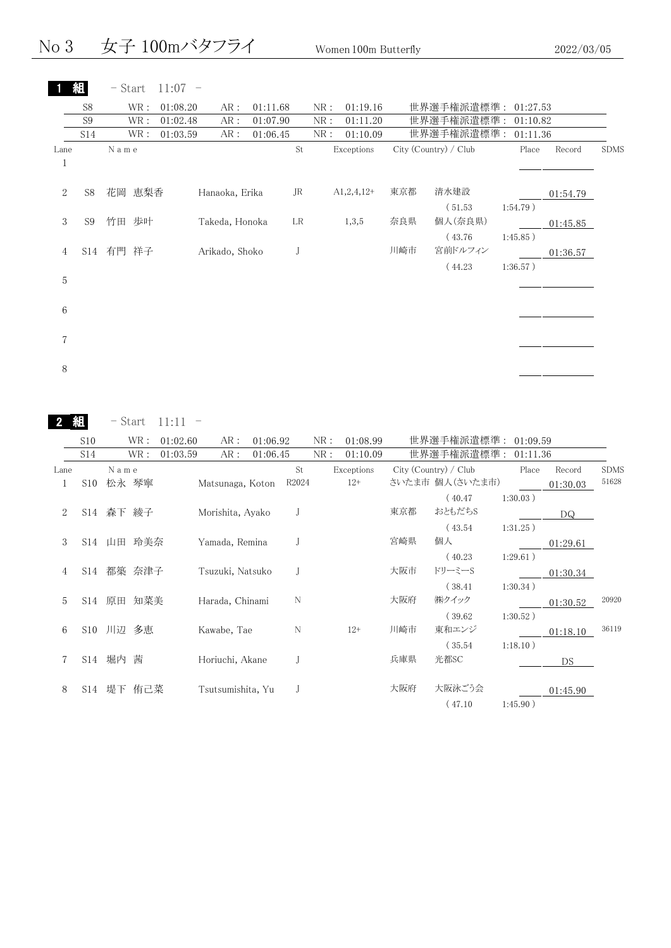No 3 女子 100mバタフライ Women 100m Butterfly 2022/03/05

|                      | 組              | - Start               | $11:07 -$ |                |          |              |     |                 |     |                       |             |          |          |             |
|----------------------|----------------|-----------------------|-----------|----------------|----------|--------------|-----|-----------------|-----|-----------------------|-------------|----------|----------|-------------|
|                      | S <sub>8</sub> | $\operatorname{WR}$ : | 01:08.20  | $\text{AR}$ :  | 01:11.68 |              | NR: | 01:19.16        |     | 世界選手権派遣標準: 01:27.53   |             |          |          |             |
|                      | S <sub>9</sub> | WR:                   | 01:02.48  | AR:            | 01:07.90 |              | NR: | 01:11.20        |     | 世界選手権派遣標準:            |             | 01:10.82 |          |             |
|                      | S14            | WR :                  | 01:03.59  | AR:            | 01:06.45 |              | NR: | 01:10.09        |     | 世界選手権派遣標準:            |             | 01:11.36 |          |             |
| Lane<br>$\mathbf{1}$ |                | N a m e               |           |                |          | St           |     | Exceptions      |     | City (Country) / Club |             | Place    | Record   | <b>SDMS</b> |
| $\overline{2}$       | S <sub>8</sub> | 花岡 恵梨香                |           | Hanaoka, Erika |          | JR           |     | $A1, 2, 4, 12+$ | 東京都 | 清水建設<br>(51.53)       | $1:54.79$ ) |          | 01:54.79 |             |
| 3                    | S9             | 竹田 歩叶                 |           | Takeda, Honoka |          | LR           |     | 1,3,5           | 奈良県 | 個人(奈良県)               |             |          | 01:45.85 |             |
| 4                    | S14            | 有門 祥子                 |           | Arikado, Shoko |          | $\mathsf{J}$ |     |                 | 川崎市 | (43.76)<br>宮前ドルフィン    | $1:45.85$ ) |          | 01:36.57 |             |
| 5                    |                |                       |           |                |          |              |     |                 |     | (44.23)               | $1:36.57$ ) |          |          |             |
| 6                    |                |                       |           |                |          |              |     |                 |     |                       |             |          |          |             |
| 7                    |                |                       |           |                |          |              |     |                 |     |                       |             |          |          |             |
| 8                    |                |                       |           |                |          |              |     |                 |     |                       |             |          |          |             |

2 組  $-$  Start 11:11  $-$ 

|      | S10 |        | WR :   | 01:02.60 | AR :              | 01:06.92 |             | NR: | 01:08.99            |     | 世界選手権派遣標準: 01:09.59                      |             |                    |                      |
|------|-----|--------|--------|----------|-------------------|----------|-------------|-----|---------------------|-----|------------------------------------------|-------------|--------------------|----------------------|
|      | S14 |        | WR :   | 01:03.59 | AR:               | 01:06.45 |             | NR: | 01:10.09            |     | 世界選手権派遣標準: 01:11.36                      |             |                    |                      |
| Lane | S10 | Name   | 松永 琴寧  |          | Matsunaga, Koton  |          | St<br>R2024 |     | Exceptions<br>$12+$ |     | City (Country) / Club<br>さいたま市 個人(さいたま市) | Place       | Record<br>01:30.03 | <b>SDMS</b><br>51628 |
| 2    | S14 |        | 森下 綾子  |          | Morishita, Ayako  |          |             |     |                     | 東京都 | (40.47)<br>おともだちS                        | $1:30.03$ ) | DQ                 |                      |
| 3    | S14 |        | 山田 玲美奈 |          | Yamada, Remina    |          |             |     |                     | 宮崎県 | (43.54)<br>個人                            | $1:31.25$ ) | 01:29.61           |                      |
| 4    | S14 |        | 都築 奈津子 |          | Tsuzuki, Natsuko  |          |             |     |                     | 大阪市 | (40.23)<br>ドリーミーS                        | 1:29.61)    | 01:30.34           |                      |
| 5    |     | S14 原田 | 知菜美    |          | Harada, Chinami   |          | N           |     |                     | 大阪府 | (38.41)<br>㈱クイック                         | 1:30.34)    | 01:30.52           | 20920                |
| 6    | S10 | 川辺 多恵  |        |          | Kawabe, Tae       |          | N           |     | $12+$               | 川崎市 | (39.62)<br>東和エンジ                         | $1:30.52$ ) | 01:18.10           | 36119                |
|      | S14 | 堀内     | 茜      |          | Horiuchi, Akane   |          |             |     |                     | 兵庫県 | (35.54)<br>光都SC                          | 1:18.10)    | <b>DS</b>          |                      |
| 8    | S14 |        | 堤下 侑己菜 |          | Tsutsumishita, Yu |          |             |     |                     | 大阪府 | 大阪泳ごう会                                   |             | 01:45.90           |                      |
|      |     |        |        |          |                   |          |             |     |                     |     | 47.10                                    | 1:45.90)    |                    |                      |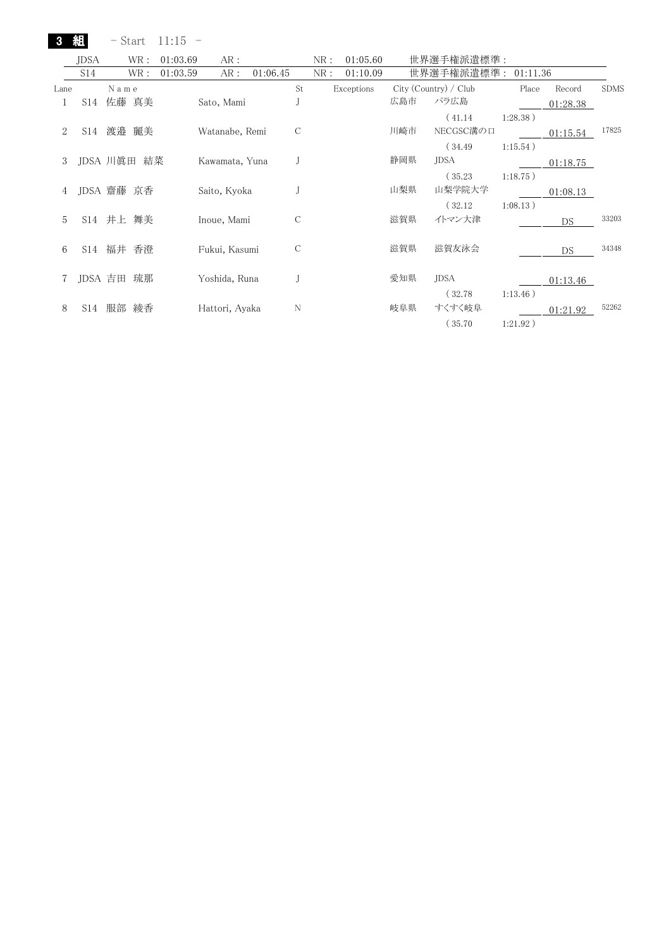| 3    | 組    | - Start     | $11:15 -$ |                |          |    |     |            |     |                       |             |           |             |
|------|------|-------------|-----------|----------------|----------|----|-----|------------|-----|-----------------------|-------------|-----------|-------------|
|      | JDSA | WR :        | 01:03.69  | AR:            |          |    | NR: | 01:05.60   |     | 世界選手権派遣標準 :           |             |           |             |
|      | S14  | WR :        | 01:03.59  | AR:            | 01:06.45 |    | NR: | 01:10.09   |     | 世界選手権派遣標準: 01:11.36   |             |           |             |
| Lane |      | Name        |           |                |          | St |     | Exceptions |     | City (Country) / Club | Place       | Record    | <b>SDMS</b> |
|      | S14  | 佐藤 真美       |           | Sato, Mami     |          |    |     |            | 広島市 | パラ広島                  |             | 01:28.38  |             |
|      |      |             |           |                |          |    |     |            |     | (41.14)               | $1:28.38$ ) |           |             |
| 2    | S14  | 渡邉 麗美       |           | Watanabe, Remi |          | С  |     |            | 川崎市 | NECGSC溝の口             |             | 01:15.54  | 17825       |
|      |      |             |           |                |          |    |     |            |     | (34.49)               | 1:15.54)    |           |             |
| 3    |      | JDSA 川眞田 結菜 |           | Kawamata, Yuna |          |    |     |            | 静岡県 | JDSA                  |             | 01:18.75  |             |
|      |      |             |           |                |          |    |     |            |     | (35.23)               | $1:18.75$ ) |           |             |
| 4    |      | JDSA 齋藤 京香  |           | Saito, Kyoka   |          |    |     |            | 山梨県 | 山梨学院大学                |             | 01:08.13  |             |
|      |      |             |           |                |          |    |     |            |     | (32.12)               | 1:08.13)    |           |             |
| 5    |      | S14 井上 舞美   |           | Inoue, Mami    |          | С  |     |            | 滋賀県 | イトマン大津                |             | <b>DS</b> | 33203       |
|      |      |             |           |                |          |    |     |            |     |                       |             |           |             |
| 6    |      | S14 福井 香澄   |           | Fukui, Kasumi  |          | С  |     |            | 滋賀県 | 滋賀友泳会                 |             | DS        | 34348       |
|      |      |             |           |                |          |    |     |            |     |                       |             |           |             |
| 7    |      | JDSA 吉田 琉那  |           | Yoshida, Runa  |          |    |     |            | 愛知県 | JDSA                  |             | 01:13.46  |             |
|      |      |             |           |                |          |    |     |            |     | (32.78)               | $1:13.46$ ) |           |             |
| 8    | S14  | 服部<br>綾香    |           | Hattori, Ayaka |          | N  |     |            | 岐阜県 | すくすく岐阜                |             | 01:21.92  | 52262       |
|      |      |             |           |                |          |    |     |            |     | (35.70)               | 1:21.92)    |           |             |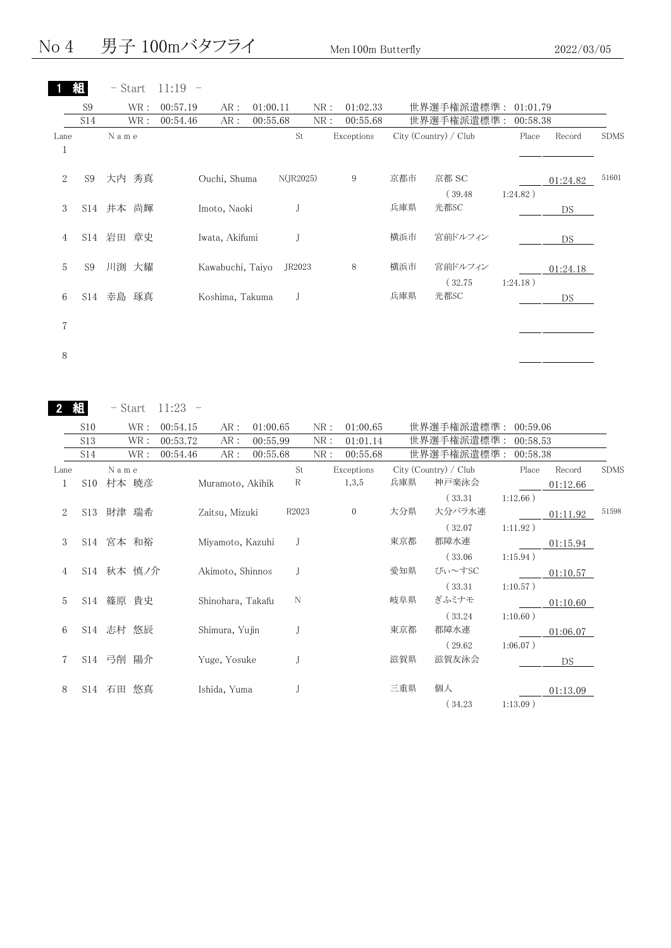No 4 男子 100mバタフライ Men 100m Butterfly 2022/03/05

|                      | 組              | $-$ Start $\,$                     | $11:19 -$                                     |                   |          |                         |     |                     |     |                                |                       |                    |             |
|----------------------|----------------|------------------------------------|-----------------------------------------------|-------------------|----------|-------------------------|-----|---------------------|-----|--------------------------------|-----------------------|--------------------|-------------|
|                      | S <sub>9</sub> | $\operatorname{WR}$ :              | 00:57.19                                      | AR:               | 01:00.11 |                         | NR: | 01:02.33            |     | 世界選手権派遣標準:                     | 01:01.79              |                    |             |
|                      | S14            | $\operatorname{WR}$ :              | 00:54.46                                      | AR:               | 00:55.68 |                         | NR: | 00:55.68            |     | 世界選手権派遣標準:                     | 00:58.38              |                    |             |
| Lane<br>$\mathbf{1}$ |                | $N$ a $m$ $\it e$                  |                                               |                   |          | $\operatorname{\rm St}$ |     | Exceptions          |     | City (Country) / Club          | Place                 | Record             | <b>SDMS</b> |
| $\sqrt{2}$           | S <sub>9</sub> | 大内 秀真                              |                                               | Ouchi, Shuma      |          | N(JR2025)               |     | 9                   | 京都市 | 京都 SC<br>(39.48)               | $1:24.82$ )           | 01:24.82           | 51601       |
| 3                    |                | S14 井本 尚輝                          |                                               | Imoto, Naoki      |          | J                       |     |                     | 兵庫県 | 光都SC                           |                       | DS                 |             |
| $\overline{4}$       |                | S14 岩田 章史                          |                                               | Iwata, Akifumi    |          | $\bf J$                 |     |                     | 横浜市 | 宮前ドルフィン                        |                       | DS                 |             |
| 5                    | S9             | 川渕 大耀                              |                                               | Kawabuchi, Taiyo  |          | JR2023                  |     | 8                   | 横浜市 | 宮前ドルフィン<br>(32.75)             | $1:24.18$ )           | 01:24.18           |             |
| 6                    |                | S14 幸島 琢真                          |                                               | Koshima, Takuma   |          | J                       |     |                     | 兵庫県 | 光都SC                           |                       | <b>DS</b>          |             |
| $\tau$               |                |                                    |                                               |                   |          |                         |     |                     |     |                                |                       |                    |             |
| $8\,$                |                |                                    |                                               |                   |          |                         |     |                     |     |                                |                       |                    |             |
|                      | 組<br>S10       | $-$ Start<br>$\operatorname{WR}$ : | 11:23<br>$\overline{\phantom{a}}$<br>00:54.15 | AR:               | 01:00.65 |                         | NR: | 01:00.65            |     | 世界選手権派遣標準:                     | 00:59.06              |                    |             |
|                      | S13            | $\operatorname{WR}$ :              | 00:53.72                                      | AR:               | 00:55.99 |                         | NR: | 01:01.14            |     | 世界選手権派遣標準:                     | 00:58.53              |                    |             |
|                      | <b>S14</b>     | $\operatorname{WR}$ :              | 00:54.46                                      | AR :              | 00:55.68 |                         | NR: | 00:55.68            |     | 世界選手権派遣標準:                     | 00:58.38              |                    |             |
| Lane<br>$\mathbf{1}$ | S10            | N a m e<br>村本 暁彦                   |                                               | Muramoto, Akihik  |          | St<br>${\mathsf R}$     |     | Exceptions<br>1,3,5 | 兵庫県 | City (Country) / Club<br>神戸楽泳会 | Place                 | Record<br>01:12.66 | <b>SDMS</b> |
| $\sqrt{2}$           | S13            | 財津 瑞希                              |                                               | Zaitsu, Mizuki    |          | R2023                   |     | $\boldsymbol{0}$    | 大分県 | (33.31)<br>大分パラ水連              | $1:12.66$ )           | 01:11.92           | 51598       |
| 3                    | S14            | 宮本 和裕                              |                                               | Miyamoto, Kazuhi  |          | $\bf J$                 |     |                     | 東京都 | (32.07)<br>都障水連                | $1\mathord{:}11.92$ ) | 01:15.94           |             |
| 4                    |                | S14 秋本 慎ノ介                         |                                               | Akimoto, Shinnos  |          | $_{\rm J}$              |     |                     | 愛知県 | (33.06)<br>ぴぃ~すSC              | 1:15.94)              | 01:10.57           |             |
| 5                    |                | S14 篠原 貴史                          |                                               | Shinohara, Takafu |          | N                       |     |                     | 岐阜県 | (33.31)<br>ぎふミナモ               | $1:10.57$ )           | 01:10.60           |             |
| $\,6$                |                | S14 志村 悠辰                          |                                               | Shimura, Yujin    |          | J                       |     |                     | 東京都 | (33.24)<br>都障水連                | 1:10.60)              | 01:06.07           |             |
| 7                    |                | S14 弓削 陽介                          |                                               | Yuge, Yosuke      |          | $\bf J$                 |     |                     | 滋賀県 | (29.62)<br>滋賀友泳会               | $1:06.07$ )           | DS                 |             |

8 S14 石田 悠真 Ishida, Yuma J 三重県 個人 23 1:13.09 11:13.09

 $1:13.09$ )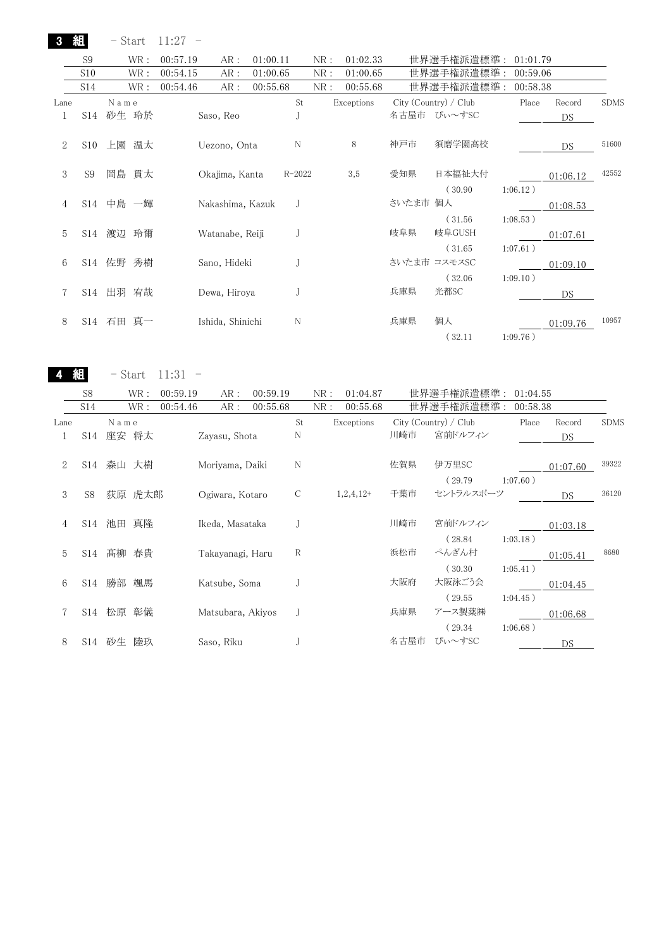| 3    |                | - Start   | $11:27 -$ |                  |          |            |     |            |          |                       |             |          |             |
|------|----------------|-----------|-----------|------------------|----------|------------|-----|------------|----------|-----------------------|-------------|----------|-------------|
|      | S <sub>9</sub> | WR :      | 00:57.19  | AR:              | 01:00.11 |            | NR: | 01:02.33   |          | 世界選手権派遣標準:            | 01:01.79    |          |             |
|      | S10            | WR :      | 00:54.15  | AR:              | 01:00.65 |            | NR: | 01:00.65   |          | 世界選手権派遣標準 :           | 00:59.06    |          |             |
|      | S14            | WR :      | 00:54.46  | AR:              | 00:55.68 |            | NR: | 00:55.68   |          | 世界選手権派遣標準:            | 00:58.38    |          |             |
| Lane |                | Name      |           |                  |          | St         |     | Exceptions |          | City (Country) / Club | Place       | Record   | <b>SDMS</b> |
| 1    |                | S14 砂生 玲於 |           | Saso, Reo        |          |            |     |            |          | 名古屋市 ぴぃ~すSC           |             | DS       |             |
| 2    | S10            | 上園 温太     |           | Uezono, Onta     |          | N          |     | 8          | 神戸市      | 須磨学園高校                |             | DS       | 51600       |
| 3    | S <sub>9</sub> | 岡島 貫太     |           | Okajima, Kanta   |          | $R - 2022$ |     | 3,5        | 愛知県      | 日本福祉大付                |             | 01:06.12 | 42552       |
|      |                |           |           |                  |          |            |     |            |          | (30.90)               | $1:06.12$ ) |          |             |
| 4    | S14            | 中島 一輝     |           | Nakashima, Kazuk |          |            |     |            | さいたま市 個人 |                       |             | 01:08.53 |             |
| 5    | S14            | 渡辺 玲爾     |           | Watanabe, Reiji  |          |            |     |            | 岐阜県      | (31.56)<br>岐阜GUSH     | $1:08.53$ ) | 01:07.61 |             |
|      |                |           |           |                  |          |            |     |            |          | (31.65)               | $1:07.61$ ) |          |             |
| 6    | S14            | 佐野 秀樹     |           | Sano, Hideki     |          | J          |     |            |          | さいたま市 コスモスSC          |             | 01:09.10 |             |
|      |                |           |           |                  |          |            |     |            |          | (32.06)               | 1:09.10)    |          |             |
|      | S14            | 出羽 宥哉     |           | Dewa, Hiroya     |          |            |     |            | 兵庫県      | 光都SC                  |             | DS       |             |
| 8    | S14            | 石田 真一     |           | Ishida, Shinichi |          | N          |     |            | 兵庫県      | 個人                    |             | 01:09.76 | 10957       |
|      |                |           |           |                  |          |            |     |            |          | (32.11)               | $1:09.76$ ) |          |             |

4 組

- Start 11:31 -

Lane Name Name St Exceptions City (Country) / Club Place Record SDMS 1 S14 座安 将太 Zayasu, Shota N 川崎市 宮前ドルフィン <u>コンプロント</u> 2 S14 森山 大樹 Moriyama, Daiki N 佐賀県 伊万里SC 01:07.60  $\frac{01:07.60}{0.01}$  39322 S14 WR : 00:54.46 AR : 00:55.68 NR : 00:55.68 世界選手権派遣標準 : 00:58.38

S8 WR: 00:59.19 AR: 00:59.19 NR: 01:04.87 世界選手権派遣標準: 01:04.55

|                |                 |    |       |                   |   |             |      | 29.79           | $1:07.60$ ) |          |       |
|----------------|-----------------|----|-------|-------------------|---|-------------|------|-----------------|-------------|----------|-------|
| 3              | S <sub>8</sub>  | 荻原 | 虎太郎   | Ogiwara, Kotaro   | C | $1,2,4,12+$ | 千葉市  | セントラルスポーツ       |             | DS       | 36120 |
| 4              | S14             | 池田 | 真降    | Ikeda, Masataka   |   |             | 川崎市  | 宮前ドルフィン         |             | 01:03.18 |       |
| $\overline{5}$ | S <sub>14</sub> |    | 髙柳 春貴 | Takayanagi, Haru  | R |             | 浜松市  | 28.84<br>ぺんぎん村  | $1:03.18$ ) | 01:05.41 | 8680  |
| 6              | S14             | 勝部 | 颯馬    | Katsube, Soma     |   |             | 大阪府  | 30.30<br>大阪泳ごう会 | 1:05.41)    | 01:04.45 |       |
|                |                 |    |       |                   |   |             |      | 29.55           | $1:04.45$ ) |          |       |
|                | S14             | 松原 | 彰儀    | Matsubara, Akiyos |   |             | 兵庫県  | アース製薬㈱<br>29.34 | $1:06.68$ ) | 01:06.68 |       |
| 8              | S <sub>14</sub> | 砂生 | 陸玖    | Saso, Riku        |   |             | 名古屋市 | ぴぃ〜すSC          |             | DS       |       |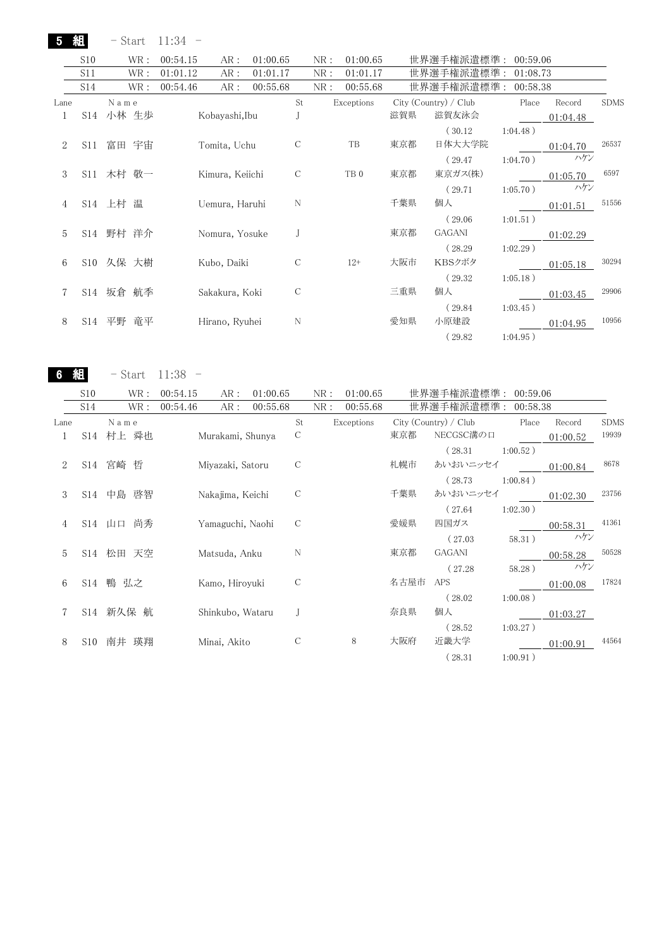5 組 - Start 11:34 -

|               | S10 | WR :      | 00:54.15 | AR:             | 01:00.65 |    | NR: | 01:00.65        |     | 世界選手権派遣標準: 00:59.06   |             |          |             |
|---------------|-----|-----------|----------|-----------------|----------|----|-----|-----------------|-----|-----------------------|-------------|----------|-------------|
|               | S11 | WR :      | 01:01.12 | AR:             | 01:01.17 |    | NR: | 01:01.17        |     | 世界選手権派遣標準: 01:08.73   |             |          |             |
|               | S14 | WR :      | 00:54.46 | AR:             | 00:55.68 |    | NR: | 00:55.68        |     | 世界選手権派遣標準:            | 00:58.38    |          |             |
| Lane          |     | N a m e   |          |                 |          | St |     | Exceptions      |     | City (Country) / Club | Place       | Record   | <b>SDMS</b> |
|               | S14 | 小林 生歩     |          | Kobayashi,Ibu   |          |    |     |                 | 滋賀県 | 滋賀友泳会                 |             | 01:04.48 |             |
|               |     |           |          |                 |          |    |     |                 |     | (30.12)               | $1:04.48$ ) |          |             |
| 2             | S11 | 富田 宇宙     |          | Tomita, Uchu    |          | C  |     | TB              | 東京都 | 日体大大学院                |             | 01:04.70 | 26537       |
|               |     |           |          |                 |          |    |     |                 |     | (29.47)               | $1:04.70$ ) | ハケン      |             |
| $\mathcal{S}$ | S11 | 木村 敬一     |          | Kimura, Keiichi |          | C  |     | TB <sub>0</sub> | 東京都 | 東京ガス(株)               |             | 01:05.70 | 6597        |
|               |     |           |          |                 |          |    |     |                 |     | (29.71)               | $1:05.70$ ) | ハケン      |             |
| 4             |     | S14 上村 温  |          | Uemura, Haruhi  |          | N  |     |                 | 千葉県 | 個人                    |             | 01:01.51 | 51556       |
|               |     |           |          |                 |          |    |     |                 |     | (29.06)               | 1:01.51)    |          |             |
| 5             |     | S14 野村 洋介 |          | Nomura, Yosuke  |          |    |     |                 | 東京都 | GAGANI                |             | 01:02.29 |             |
|               |     |           |          |                 |          |    |     |                 |     | (28.29)               | $1:02.29$ ) |          |             |
| 6             | S10 | 久保 大樹     |          | Kubo, Daiki     |          | C  |     | $12+$           | 大阪市 | KBSクボタ                |             | 01:05.18 | 30294       |
|               |     |           |          |                 |          |    |     |                 |     | (29.32)               | $1:05.18$ ) |          |             |
|               | S14 | 坂倉 航季     |          | Sakakura, Koki  |          | C  |     |                 | 三重県 | 個人                    |             | 01:03.45 | 29906       |
|               |     |           |          |                 |          |    |     |                 |     | (29.84)               | $1:03.45$ ) |          |             |
| 8             | S14 | 竜平<br>平野  |          | Hirano, Ryuhei  |          | N  |     |                 | 愛知県 | 小原建設                  |             | 01:04.95 | 10956       |
|               |     |           |          |                 |          |    |     |                 |     | (29.82)               | $1:04.95$ ) |          |             |

6 組

- Start 11:38 -

|                | S10 | WR :      | 00:54.15 | AR :             | 01:00.65 |               | NR: | 01:00.65   |      | 世界選手権派遣標準:            | 00:59.06    |          |             |
|----------------|-----|-----------|----------|------------------|----------|---------------|-----|------------|------|-----------------------|-------------|----------|-------------|
|                | S14 | WR :      | 00:54.46 | AR:              | 00:55.68 |               | NR: | 00:55.68   |      | 世界選手権派遣標準:            | 00:58.38    |          |             |
| Lane           |     | N a m e   |          |                  |          | St            |     | Exceptions |      | City (Country) / Club | Place       | Record   | <b>SDMS</b> |
|                | S14 | 村上 舜也     |          | Murakami, Shunya |          | $\mathcal{C}$ |     |            | 東京都  | NECGSC溝の口             |             | 01:00.52 | 19939       |
|                |     |           |          |                  |          |               |     |            |      | (28.31)               | $1:00.52$ ) |          |             |
| $\overline{2}$ |     | S14 宮崎 哲  |          | Miyazaki, Satoru |          | C             |     |            | 札幌市  | あいおいニッセイ              |             | 01:00.84 | 8678        |
|                |     |           |          |                  |          |               |     |            |      | (28.73)               | $1:00.84$ ) |          |             |
| 3              |     | S14 中島 啓智 |          | Nakajima, Keichi |          | C             |     |            | 千葉県  | あいおいニッセイ              |             | 01:02.30 | 23756       |
|                |     |           |          |                  |          |               |     |            |      | (27.64)               | 1:02.30)    |          |             |
| 4              |     | S14 山口 尚秀 |          | Yamaguchi, Naohi |          | C             |     |            | 愛媛県  | 四国ガス                  |             | 00:58.31 | 41361       |
|                |     |           |          |                  |          |               |     |            |      | (27.03)               | 58.31)      | ハケン      |             |
| 5              |     | S14 松田 天空 |          | Matsuda, Anku    |          | N             |     |            | 東京都  | GAGANI                |             | 00:58.28 | 50528       |
|                |     |           |          |                  |          |               |     |            |      | (27.28)               | 58.28)      | ハケン      |             |
| 6              |     | S14 鴨 弘之  |          | Kamo, Hiroyuki   |          | C             |     |            | 名古屋市 | APS                   |             | 01:00.08 | 17824       |
|                |     |           |          |                  |          |               |     |            |      | (28.02)               | $1:00.08$ ) |          |             |
|                |     | S14 新久保 航 |          | Shinkubo, Wataru |          | $\Gamma$      |     |            | 奈良県  | 個人                    |             | 01:03.27 |             |
|                |     |           |          |                  |          |               |     |            |      | (28.52)               | $1:03.27$ ) |          |             |
| 8              | S10 | 南井<br>瑛翔  |          | Minai, Akito     |          | C             |     | 8          | 大阪府  | 近畿大学                  |             | 01:00.91 | 44564       |
|                |     |           |          |                  |          |               |     |            |      | (28.31)               | 1:00.91)    |          |             |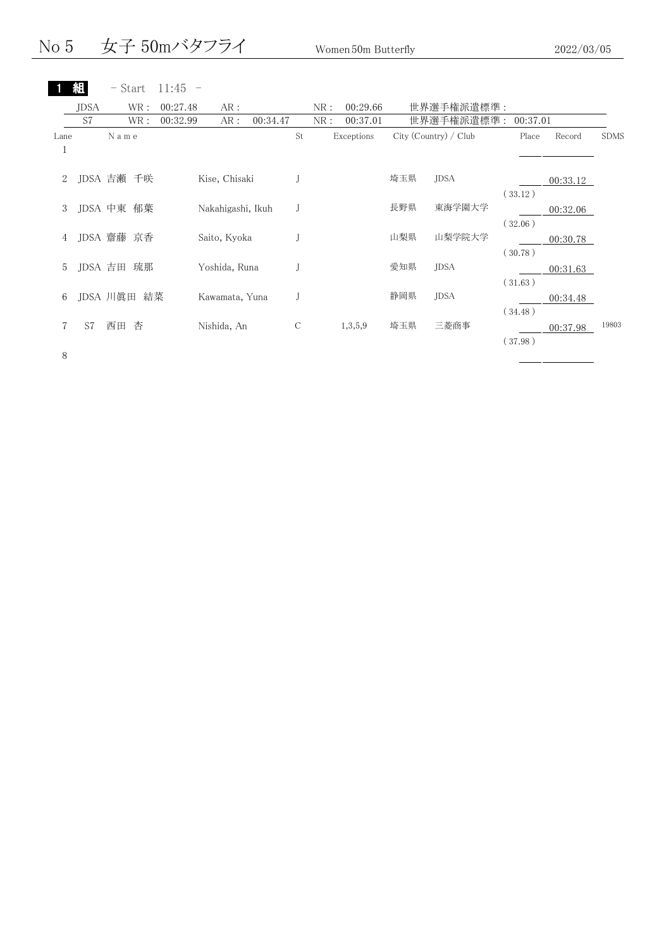No 5 女子 50mバタフライ Women 50m Butterfly 2022/03/05

|                             |                | – Start       | 11:45    |                   |          |     |            |     |                       |          |          |             |
|-----------------------------|----------------|---------------|----------|-------------------|----------|-----|------------|-----|-----------------------|----------|----------|-------------|
|                             | JDSA           | WR :          | 00:27.48 | AR:               |          | NR: | 00:29.66   |     | 世界選手権派遣標準:            |          |          |             |
|                             | S <sub>7</sub> | WR :          | 00:32.99 | AR:               | 00:34.47 | NR: | 00:37.01   |     | 世界選手権派遣標準:            | 00:37.01 |          |             |
| Lane                        |                | Name          |          |                   |          | St  | Exceptions |     | City (Country) / Club | Place    | Record   | <b>SDMS</b> |
| T                           |                |               |          |                   |          |     |            |     |                       |          |          |             |
| $\mathcal{D}_{\mathcal{L}}$ |                | JDSA 吉瀬 千咲    |          | Kise, Chisaki     |          |     |            | 埼玉県 | JDSA                  |          | 00:33.12 |             |
|                             |                |               |          |                   |          |     |            |     |                       | (33.12)  |          |             |
| 3                           |                | JDSA 中東 郁葉    |          | Nakahigashi, Ikuh | J        |     |            | 長野県 | 東海学園大学                |          | 00:32.06 |             |
|                             |                |               |          |                   |          |     |            |     |                       | (32.06)  |          |             |
| 4                           |                | JDSA 齋藤 京香    |          | Saito, Kyoka      |          |     |            | 山梨県 | 山梨学院大学                |          | 00:30.78 |             |
|                             |                |               |          |                   |          |     |            |     |                       | (30.78)  |          |             |
| 5                           |                | JDSA 吉田<br>琉那 |          | Yoshida, Runa     | J        |     |            | 愛知県 | JDSA                  |          | 00:31.63 |             |
|                             |                |               |          |                   |          |     |            |     |                       | (31.63)  |          |             |
| 6                           |                | JDSA 川眞田 結菜   |          | Kawamata, Yuna    | J        |     |            | 静岡県 | <b>JDSA</b>           |          | 00:34.48 |             |
|                             |                |               |          |                   |          |     |            |     |                       | (34.48)  |          |             |
|                             | S7             | 杏<br>西田       |          | Nishida, An       | $\cal C$ |     | 1,3,5,9    | 埼玉県 | 三菱商事                  |          | 00:37.98 | 19803       |
|                             |                |               |          |                   |          |     |            |     |                       | (37.98)  |          |             |
| 8                           |                |               |          |                   |          |     |            |     |                       |          |          |             |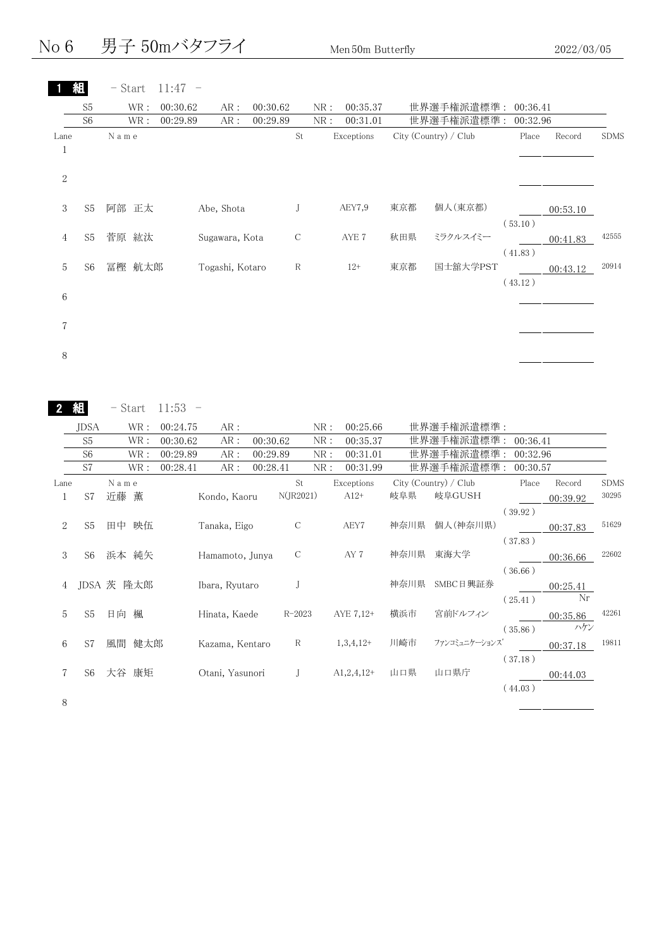No 6 男子 50mバタフライ Men 50m Butterfly 2022/03/05

|                | 組              | - Start | $11:47 -$ |                 |          |               |     |            |     |                       |          |          |             |
|----------------|----------------|---------|-----------|-----------------|----------|---------------|-----|------------|-----|-----------------------|----------|----------|-------------|
|                | S <sub>5</sub> | WR :    | 00:30.62  | AR:             | 00:30.62 |               | NR: | 00:35.37   |     | 世界選手権派遣標準:            | 00:36.41 |          |             |
|                | S6             | WR :    | 00:29.89  | AR:             | 00:29.89 |               | NR: | 00:31.01   |     | 世界選手権派遣標準:            | 00:32.96 |          |             |
| Lane<br>1      |                | N a m e |           |                 |          | St            |     | Exceptions |     | City (Country) / Club | Place    | Record   | <b>SDMS</b> |
|                |                |         |           |                 |          |               |     |            |     |                       |          |          |             |
| $\overline{2}$ |                |         |           |                 |          |               |     |            |     |                       |          |          |             |
| 3              | S <sub>5</sub> | 阿部 正太   |           | Abe, Shota      |          | J             |     | AEY7,9     | 東京都 | 個人(東京都)               |          | 00:53.10 |             |
| $\overline{4}$ | S <sub>5</sub> | 菅原 紘汰   |           | Sugawara, Kota  |          | $\mathcal{C}$ |     | AYE 7      | 秋田県 | ミラクルスイミー              | (53.10)  | 00:41.83 | 42555       |
| 5              | S <sub>6</sub> | 冨樫 航太郎  |           | Togashi, Kotaro |          | ${\mathbf R}$ |     | $12+$      | 東京都 | 国士舘大学PST              | (41.83)  | 00:43.12 | 20914       |
| 6              |                |         |           |                 |          |               |     |            |     |                       | (43.12)  |          |             |
| 7              |                |         |           |                 |          |               |     |            |     |                       |          |          |             |
| 8              |                |         |           |                 |          |               |     |            |     |                       |          |          |             |
|                |                |         |           |                 |          |               |     |            |     |                       |          |          |             |

|                |                | – Start    | $11:53 -$ |                 |          |               |     |              |      |                       |          |          |             |
|----------------|----------------|------------|-----------|-----------------|----------|---------------|-----|--------------|------|-----------------------|----------|----------|-------------|
|                | JDSA           | WR :       | 00:24.75  | AR:             |          |               | NR: | 00:25.66     |      | 世界選手権派遣標準 :           |          |          |             |
|                | S <sub>5</sub> | WR :       | 00:30.62  | AR:             | 00:30.62 |               | NR: | 00:35.37     |      | 世界選手権派遣標準:            | 00:36.41 |          |             |
|                | S <sub>6</sub> | WR :       | 00:29.89  | AR:             | 00:29.89 |               | NR: | 00:31.01     |      | 世界選手権派遣標準:            | 00:32.96 |          |             |
|                | S7             | WR :       | 00:28.41  | AR:             | 00:28.41 |               | NR: | 00:31.99     |      | 世界選手権派遣標準: 00:30.57   |          |          |             |
| Lane           |                | Name       |           |                 |          | St            |     | Exceptions   |      | City (Country) / Club | Place    | Record   | <b>SDMS</b> |
| $\perp$        | S7             | 近藤 薫       |           | Kondo, Kaoru    |          | N(JR2021)     |     | $A12+$       | 岐阜県  | 岐阜GUSH                |          | 00:39.92 | 30295       |
|                |                |            |           |                 |          |               |     |              |      |                       | (39.92)  |          |             |
| 2              | S <sub>5</sub> | 田中 映伍      |           | Tanaka, Eigo    |          | $\mathcal{C}$ |     | AEY7         | 神奈川県 | 個人(神奈川県)              |          | 00:37.83 | 51629       |
|                |                |            |           |                 |          |               |     |              |      |                       | (37.83)  |          |             |
| 3              | S6             | 浜本 純矢      |           | Hamamoto, Junya |          | C             |     | AY 7         |      | 神奈川県 東海大学             |          | 00:36.66 | 22602       |
|                |                |            |           |                 |          |               |     |              |      |                       | (36.66)  |          |             |
| $\overline{4}$ |                | JDSA 茨 隆太郎 |           | Ibara, Ryutaro  |          |               |     |              |      | 神奈川県 SMBC日興証券         |          | 00:25.41 |             |
|                |                |            |           |                 |          |               |     |              |      |                       | (25.41)  | Nr       |             |
| 5              | S5             | 日向 楓       |           | Hinata, Kaede   |          | $R - 2023$    |     | AYE 7,12+    | 横浜市  | 宮前ドルフィン               |          | 00:35.86 | 42261       |
|                |                |            |           |                 |          |               |     |              |      |                       | (35.86)  | ハケン      |             |
| 6              | S7             | 風間 健太郎     |           | Kazama, Kentaro |          | R             |     | $1,3,4,12+$  | 川崎市  | ファンコミュニケーションズ         |          | 00:37.18 | 19811       |
|                |                |            |           |                 |          |               |     |              |      |                       | (37.18)  |          |             |
| 7              | S6             | 大谷 康矩      |           | Otani, Yasunori |          | J             |     | $A1,2,4,12+$ | 山口県  | 山口県庁                  |          |          |             |
|                |                |            |           |                 |          |               |     |              |      |                       |          | 00:44.03 |             |
|                |                |            |           |                 |          |               |     |              |      |                       | (44.03)  |          |             |
| 8              |                |            |           |                 |          |               |     |              |      |                       |          |          |             |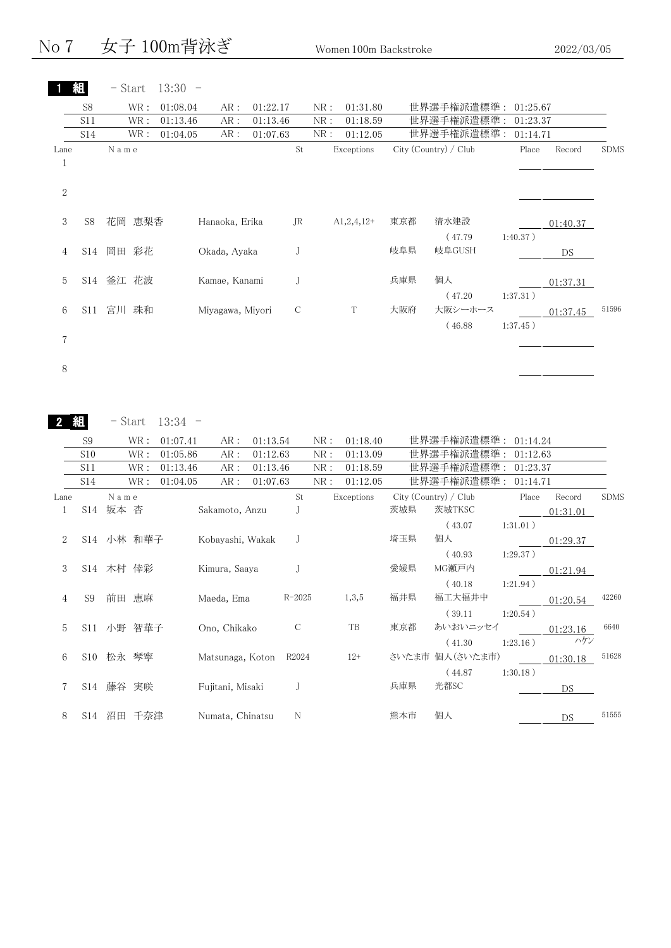No 7 女子 100m背泳ぎ Women 100m Backstroke 2022/03/05

|                      | 組                 | - Start               | 13:30<br>$\overline{\phantom{0}}$ |                  |                      |               |            |                      |     |                                       |             |                            |                    |             |
|----------------------|-------------------|-----------------------|-----------------------------------|------------------|----------------------|---------------|------------|----------------------|-----|---------------------------------------|-------------|----------------------------|--------------------|-------------|
|                      | S <sub>8</sub>    | $\operatorname{WR}$ : | 01:08.04                          | AR:              | 01:22.17             |               | NR:        | 01:31.80             |     | 世界選手権派遣標準:                            |             | 01:25.67                   |                    |             |
|                      | S11               | WR :                  | 01:13.46                          | $\text{AR}$ :    | 01:13.46             |               | NR:        | 01:18.59             |     | 世界選手権派遣標準:                            |             | 01:23.37                   |                    |             |
|                      | <b>S14</b>        | WR :                  | 01:04.05                          | AR:              | 01:07.63             |               | NR:        | 01:12.05             |     | 世界選手権派遣標準:                            |             | 01:14.71                   |                    |             |
| Lane<br>$\mathbf{1}$ |                   | N a m e               |                                   |                  |                      | St            |            | Exceptions           |     | City (Country) / Club                 |             | Place                      | Record             | <b>SDMS</b> |
| $\boldsymbol{2}$     |                   |                       |                                   |                  |                      |               |            |                      |     |                                       |             |                            |                    |             |
| 3                    | S8                | 花岡 恵梨香                |                                   | Hanaoka, Erika   |                      | JR            |            | $A1,2,4,12+$         | 東京都 | 清水建設<br>(47.79                        | 1:40.37)    |                            | 01:40.37           |             |
| 4                    | S14               | 岡田 彩花                 |                                   | Okada, Ayaka     |                      | J             |            |                      | 岐阜県 | 岐阜GUSH                                |             |                            | DS —               |             |
| 5                    |                   | S14 釜江 花波             |                                   | Kamae, Kanami    |                      | J             |            |                      | 兵庫県 | 個人<br>(47.20                          |             | 1:37.31)                   | 01:37.31           |             |
| 6                    | S11               | 宮川 珠和                 |                                   | Miyagawa, Miyori |                      | $\mathsf{C}$  |            | $\mathbf T$          | 大阪府 | 大阪シーホース<br>(46.88)                    |             | $1:37.45$ )                | 01:37.45           | 51596       |
| 7                    |                   |                       |                                   |                  |                      |               |            |                      |     |                                       |             |                            |                    |             |
|                      |                   |                       |                                   |                  |                      |               |            |                      |     |                                       |             |                            |                    |             |
| 2                    | 組                 | $-$ Start             | $13:34 -$                         |                  |                      |               |            |                      |     |                                       |             |                            |                    |             |
|                      | S <sub>9</sub>    | WR :                  | 01:07.41                          | AR:              | 01:13.54             |               | NR:        | 01:18.40             |     | 世界選手権派遣標準:                            |             | 01:14.24                   |                    |             |
|                      | S10               | WR :                  | 01:05.86                          | AR:              | 01:12.63             |               | NR:        | 01:13.09             |     | 世界選手権派遣標準:                            |             | 01:12.63                   |                    |             |
|                      | S11<br><b>S14</b> | WR :<br>WR :          | 01:13.46<br>01:04.05              | AR:<br>AR:       | 01:13.46<br>01:07.63 |               | NR:<br>NR: | 01:18.59<br>01:12.05 |     | 世界選手権派遣標準:<br>世界選手権派遣標準:              |             | 01:23.37<br>01:14.71       |                    |             |
|                      |                   |                       |                                   |                  |                      |               |            |                      |     |                                       |             |                            |                    |             |
| Lane<br>$\mathbf{1}$ | <b>S14</b>        | N a m e<br>坂本 杏       |                                   | Sakamoto, Anzu   |                      | St<br>J       |            | Exceptions           | 茨城県 | City (Country) / Club<br>茨城TKSC       |             | Place                      | Record<br>01:31.01 | <b>SDMS</b> |
| 2                    |                   | S14 小林 和華子            |                                   | Kobayashi, Wakak |                      | J             |            |                      | 埼玉県 | (43.07)<br>個人<br>(40.93)              | $1:29.37$ ) | 1:31.01)                   | 01:29.37           |             |
| 3                    |                   | S14 木村 倖彩             |                                   | Kimura, Saaya    |                      | J             |            |                      | 愛媛県 | MG瀬戸内<br>(40.18)                      |             | 1:21.94)                   | 01:21.94           |             |
| 4                    | S9                | 前田 恵麻                 |                                   | Maeda, Ema       |                      | $R - 2025$    |            | 1,3,5                | 福井県 | 福工大福井中                                |             | $1:20.54$ )                | 01:20.54           | 42260       |
| 5                    |                   | S11 小野 智華子            |                                   | Ono, Chikako     |                      | $\mathcal{C}$ |            | TB                   | 東京都 | (39.11)<br>あいおいニッセイ                   |             |                            | 01:23.16<br>ハケン    | 6640        |
| 6                    |                   | S10 松永 琴寧             |                                   | Matsunaga, Koton |                      | R2024         |            | $12+$                |     | (41.30)<br>さいたま市 個人(さいたま市)<br>(44.87) |             | $1:23.16$ )<br>$1:30.18$ ) | 01:30.18           | 51628       |
| 7                    |                   | S14 藤谷 実咲             |                                   | Fujitani, Misaki |                      | J             |            |                      | 兵庫県 | 光都SC                                  |             |                            | DS                 |             |
| 8                    |                   | S14 沼田 千奈津            |                                   | Numata, Chinatsu |                      | $\rm N$       |            |                      | 熊本市 | 個人                                    |             |                            | DS                 | 51555       |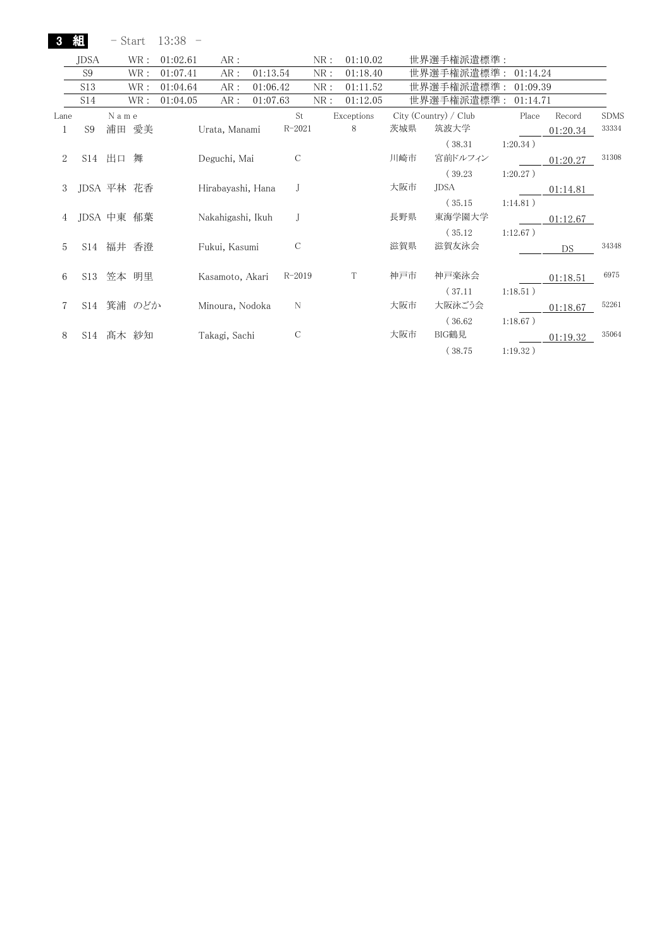| 3                           | 組               |         | - Start    | $13:38 -$ |                   |          |               |              |            |     |                       |             |          |             |
|-----------------------------|-----------------|---------|------------|-----------|-------------------|----------|---------------|--------------|------------|-----|-----------------------|-------------|----------|-------------|
|                             | JDSA            |         | WR :       | 01:02.61  | AR:               |          |               | NR:          | 01:10.02   |     | 世界選手権派遣標準 :           |             |          |             |
|                             | S <sub>9</sub>  |         | WR :       | 01:07.41  | AR:               | 01:13.54 |               | NR:          | 01:18.40   |     | 世界選手権派遣標準             | 01:14.24    |          |             |
|                             | S <sub>13</sub> |         | WR :       | 01:04.64  | AR:               | 01:06.42 |               | NR:          | 01:11.52   |     | 世界選手権派遣標準:            | 01:09.39    |          |             |
|                             | S14             |         | WR :       | 01:04.05  | AR :              | 01:07.63 |               | ${\rm NR}$ : | 01:12.05   |     | 世界選手権派遣標準:            | 01:14.71    |          |             |
| Lane                        |                 | N a m e |            |           |                   |          | St            |              | Exceptions |     | City (Country) / Club | Place       | Record   | <b>SDMS</b> |
| 1                           | S9              |         | 浦田 愛美      |           | Urata, Manami     |          | $R - 2021$    |              | 8          | 茨城県 | 筑波大学                  |             | 01:20.34 | 33334       |
|                             |                 |         |            |           |                   |          |               |              |            |     | (38.31)               | $1:20.34$ ) |          |             |
| $\mathcal{D}_{\mathcal{L}}$ |                 | S14 出口  | 舞          |           | Deguchi, Mai      |          | $\mathcal{C}$ |              |            | 川崎市 | 宮前ドルフィン               |             | 01:20.27 | 31308       |
|                             |                 |         |            |           |                   |          |               |              |            |     | (39.23)               | $1:20.27$ ) |          |             |
| 3                           | JDSA 平林 花香      |         |            |           | Hirabayashi, Hana |          |               |              |            | 大阪市 | JDSA                  |             | 01:14.81 |             |
|                             |                 |         |            |           |                   |          |               |              |            |     | (35.15)               | 1:14.81)    |          |             |
|                             |                 |         | JDSA 中東 郁葉 |           | Nakahigashi, Ikuh |          |               |              |            | 長野県 | 東海学園大学                |             | 01:12.67 |             |
|                             |                 |         |            |           |                   |          |               |              |            |     | (35.12)               | $1:12.67$ ) |          |             |
| 5                           |                 |         | S14 福井 香澄  |           | Fukui, Kasumi     |          | С             |              |            | 滋賀県 | 滋賀友泳会                 |             | DS       | 34348       |
|                             |                 |         |            |           |                   |          |               |              |            |     |                       |             |          |             |
| 6                           | S13             |         | 笠本 明里      |           | Kasamoto, Akari   |          | $R - 2019$    |              | T          | 神戸市 | 神戸楽泳会                 |             |          | 6975        |
|                             |                 |         |            |           |                   |          |               |              |            |     | (37.11)               | 1:18.51)    | 01:18.51 |             |
|                             |                 |         |            |           |                   |          | N             |              |            | 大阪市 | 大阪泳ごう会                |             |          | 52261       |
|                             |                 |         | S14 箕浦 のどか |           | Minoura, Nodoka   |          |               |              |            |     |                       |             | 01:18.67 |             |
|                             |                 |         |            |           |                   |          |               |              |            |     | (36.62)               | $1:18.67$ ) |          |             |
| 8                           | S14             |         | 髙木 紗知      |           | Takagi, Sachi     |          | C             |              |            | 大阪市 | BIG鶴見                 |             | 01:19.32 | 35064       |
|                             |                 |         |            |           |                   |          |               |              |            |     | (38.75)               | 1:19.32)    |          |             |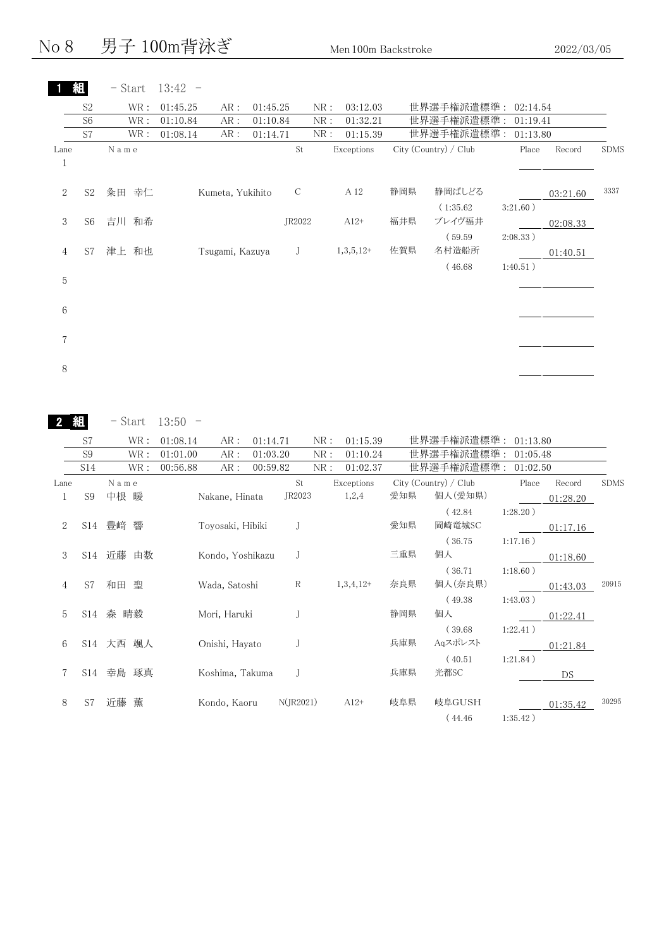No 8 男子 100m背泳ぎ Men 100m Backstroke 2022/03/05

|                      | 組              | - Start               | $13:42 -$ |                  |          |               |              |             |     |                       |             |          |             |
|----------------------|----------------|-----------------------|-----------|------------------|----------|---------------|--------------|-------------|-----|-----------------------|-------------|----------|-------------|
|                      | S <sub>2</sub> | $\operatorname{WR}$ : | 01:45.25  | AR:              | 01:45.25 |               | NR:          | 03:12.03    |     | 世界選手権派遣標準: 02:14.54   |             |          |             |
|                      | S <sub>6</sub> | $\operatorname{WR}$ : | 01:10.84  | AR:              | 01:10.84 |               | ${\rm NR}$ : | 01:32.21    |     | 世界選手権派遣標準:            | 01:19.41    |          |             |
|                      | S7             | WR :                  | 01:08.14  | AR:              | 01:14.71 |               | NR:          | 01:15.39    |     | 世界選手権派遣標準: 01:13.80   |             |          |             |
| Lane<br>$\mathbf{1}$ |                | N a m e               |           |                  |          | St            |              | Exceptions  |     | City (Country) / Club | Place       | Record   | <b>SDMS</b> |
|                      |                |                       |           |                  |          |               |              |             |     |                       |             |          |             |
| $\overline{2}$       | S2             | 粂田 幸仁                 |           | Kumeta, Yukihito |          | $\mathcal{C}$ |              | A 12        | 静岡県 | 静岡ぱしどる                |             | 03:21.60 | 3337        |
|                      |                |                       |           |                  |          |               |              |             |     | (1:35.62)             | $3:21.60$ ) |          |             |
| 3                    | S6             | 吉川 和希                 |           |                  |          | JR2022        |              | $A12+$      | 福井県 | ブレイヴ福井                |             | 02:08.33 |             |
|                      |                |                       |           |                  |          |               |              |             |     | (59.59                | 2:08.33)    |          |             |
| $\overline{4}$       | S7             | 津上 和也                 |           | Tsugami, Kazuya  |          | J             |              | $1,3,5,12+$ | 佐賀県 | 名村造船所                 |             | 01:40.51 |             |
|                      |                |                       |           |                  |          |               |              |             |     | (46.68)               | 1:40.51)    |          |             |
| 5                    |                |                       |           |                  |          |               |              |             |     |                       |             |          |             |
|                      |                |                       |           |                  |          |               |              |             |     |                       |             |          |             |
| 6                    |                |                       |           |                  |          |               |              |             |     |                       |             |          |             |
|                      |                |                       |           |                  |          |               |              |             |     |                       |             |          |             |
| 7                    |                |                       |           |                  |          |               |              |             |     |                       |             |          |             |
|                      |                |                       |           |                  |          |               |              |             |     |                       |             |          |             |
| 8                    |                |                       |           |                  |          |               |              |             |     |                       |             |          |             |
|                      |                |                       |           |                  |          |               |              |             |     |                       |             |          |             |
|                      |                |                       |           |                  |          |               |              |             |     |                       |             |          |             |

2 組  $-$  Start 13:50  $-$ 

|      | S7             | WR :         | 01:08.14 | AR :             | 01:14.71     | NR: | 01:15.39            |     | 世界選手権派遣標準:                       | 01:13.80    |                    |             |
|------|----------------|--------------|----------|------------------|--------------|-----|---------------------|-----|----------------------------------|-------------|--------------------|-------------|
|      | S <sub>9</sub> | WR :         | 01:01.00 | AR :             | 01:03.20     | NR: | 01:10.24            |     | 世界選手権派遣標準 :                      | 01:05.48    |                    |             |
|      | S14            | WR :         | 00:56.88 | AR :             | 00:59.82     | NR: | 01:02.37            |     | 世界選手権派遣標準:                       | 01:02.50    |                    |             |
| Lane | S <sub>9</sub> | Name<br>中根 暖 |          | Nakane, Hinata   | St<br>JR2023 |     | Exceptions<br>1,2,4 | 愛知県 | City (Country) / Club<br>個人(愛知県) | Place       | Record<br>01:28.20 | <b>SDMS</b> |
| 2    | S14            | 豊﨑<br>響      |          | Toyosaki, Hibiki |              |     |                     | 愛知県 | (42.84)<br>岡崎竜城SC                | $1:28.20$ ) | 01:17.16           |             |
| 3    | S14            | 近藤 由数        |          | Kondo, Yoshikazu |              |     |                     | 三重県 | (36.75)<br>個人                    | $1:17.16$ ) | 01:18.60           |             |
| 4    | S7             | 聖<br>和田      |          | Wada, Satoshi    | R            |     | $1,3,4,12+$         | 奈良県 | (36.71)<br>個人(奈良県)               | 1:18.60)    | 01:43.03           | 20915       |
| 5    | S14            | 森<br>晴毅      |          | Mori, Haruki     |              |     |                     | 静岡県 | (49.38)<br>個人                    | 1:43.03)    | 01:22.41           |             |
| 6    | S14            | 大西<br>颯人     |          | Onishi, Hayato   |              |     |                     | 兵庫県 | (39.68)<br>Aqスポレスト               | 1:22.41)    | 01:21.84           |             |
|      | S14            | 幸島 琢真        |          | Koshima, Takuma  |              |     |                     | 兵庫県 | (40.51)<br>光都SC                  | 1:21.84)    | DS                 |             |
| 8    | S7             | 薫<br>近藤      |          | Kondo, Kaoru     | N(JR2021)    |     | $A12+$              | 岐阜県 | 岐阜GUSH                           |             | 01:35.42           | 30295       |
|      |                |              |          |                  |              |     |                     |     | (44.46)                          | $1:35.42$ ) |                    |             |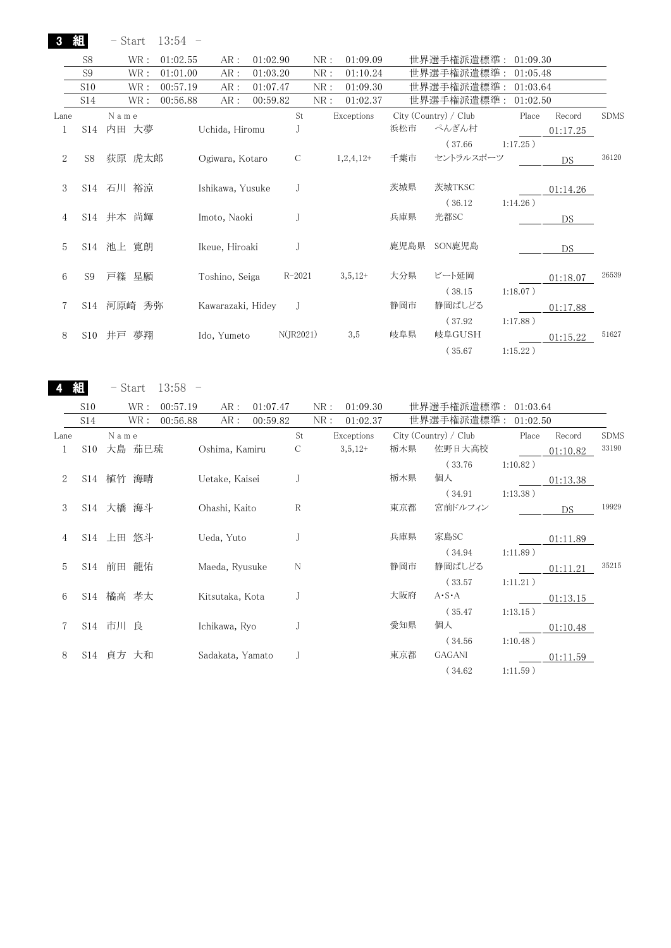3 組 - Start 13:54 -

|                | S <sub>8</sub>  | WR:<br>01:02.55  | AR:               | 01:02.90     | NR: | 01:09.09    |      | 世界選手権派遣標準:            | 01:09.30    |           |             |
|----------------|-----------------|------------------|-------------------|--------------|-----|-------------|------|-----------------------|-------------|-----------|-------------|
|                | S <sub>9</sub>  | WR :<br>01:01.00 | AR:               | 01:03.20     | NR: | 01:10.24    |      | 世界選手権派遣標準:            | 01:05.48    |           |             |
|                | S <sub>10</sub> | WR :<br>00:57.19 | AR:               | 01:07.47     | NR: | 01:09.30    |      | 世界選手権派遣標準:            | 01:03.64    |           |             |
|                | S14             | WR :<br>00:56.88 | AR:               | 00:59.82     | NR: | 01:02.37    |      | 世界選手権派遣標準:            | 01:02.50    |           |             |
| Lane           |                 | Name             |                   | St           |     | Exceptions  |      | City (Country) / Club | Place       | Record    | <b>SDMS</b> |
| 1              | S14             | 内田 大夢            | Uchida, Hiromu    |              |     |             | 浜松市  | ぺんぎん村                 |             | 01:17.25  |             |
|                |                 |                  |                   |              |     |             |      | (37.66)               | $1:17.25$ ) |           |             |
| $\overline{2}$ | S <sub>8</sub>  | 荻原 虎太郎           | Ogiwara, Kotaro   | $\mathsf{C}$ |     | $1,2,4,12+$ | 千葉市  | セントラルスポーツ             |             | <b>DS</b> | 36120       |
| 3              |                 | S14 石川 裕涼        | Ishikawa, Yusuke  |              |     |             | 茨城県  | 茨城TKSC                |             | 01:14.26  |             |
| 4              |                 | S14 井本 尚輝        | Imoto, Naoki      |              |     |             | 兵庫県  | (36.12)<br>光都SC       | $1:14.26$ ) | <b>DS</b> |             |
| 5              | S14             | 池上 寛朗            | Ikeue, Hiroaki    |              |     |             | 鹿児島県 | SON鹿児島                |             | <b>DS</b> |             |
| 6              | S9              | 戸篠 星願            | Toshino, Seiga    | $R - 2021$   |     | $3,5,12+$   | 大分県  | ビート延岡                 |             | 01:18.07  | 26539       |
|                |                 | S14 河原崎<br>秀弥    | Kawarazaki, Hidey |              |     |             | 静岡市  | (38.15)<br>静岡ぱしどる     | $1:18.07$ ) | 01:17.88  |             |
| 8              | S10             | 井戸<br>夢翔         | Ido, Yumeto       | N(JR2021)    |     | 3,5         | 岐阜県  | (37.92)<br>岐阜GUSH     | $1:17.88$ ) | 01:15.22  | 51627       |
|                |                 |                  |                   |              |     |             |      | (35.67)               | $1:15.22$ ) |           |             |

4 組 - Start 13:58 -

|      | S10        |           | WR :   | 00:57.19 | AR:              | 01:07.47 |    | NR: | 01:09.30   |     | 世界選手権派遣標準:            | 01:03.64    |          |             |
|------|------------|-----------|--------|----------|------------------|----------|----|-----|------------|-----|-----------------------|-------------|----------|-------------|
|      | S14        |           | WR :   | 00:56.88 | AR:              | 00:59.82 |    | NR: | 01:02.37   |     | 世界選手権派遣標準 :           | 01:02.50    |          |             |
| Lane |            | N a m e   |        |          |                  |          | St |     | Exceptions |     | City (Country) / Club | Place       | Record   | <b>SDMS</b> |
|      | <b>S10</b> |           | 大島 茄巳琉 |          | Oshima, Kamiru   |          | С  |     | $3,5,12+$  | 栃木県 | 佐野日大高校                |             | 01:10.82 | 33190       |
|      |            |           |        |          |                  |          |    |     |            |     | (33.76)               | $1:10.82$ ) |          |             |
| 2    | S14        | 植竹        | 海晴     |          | Uetake, Kaisei   |          |    |     |            | 栃木県 | 個人                    |             | 01:13.38 |             |
|      |            |           |        |          |                  |          |    |     |            |     | (34.91)               | $1:13.38$ ) |          |             |
| 3    | S14        | 大橋        | 海斗     |          | Ohashi, Kaito    |          | R  |     |            | 東京都 | 宮前ドルフィン               |             | DS       | 19929       |
|      |            |           |        |          |                  |          |    |     |            |     |                       |             |          |             |
| 4    |            | S14 上田 悠斗 |        |          | Ueda, Yuto       |          |    |     |            | 兵庫県 | 家島SC                  |             | 01:11.89 |             |
|      |            |           |        |          |                  |          |    |     |            |     | (34.94)               | 1:11.89)    |          |             |
| 5    | S14        | 前田        | 龍佑     |          | Maeda, Ryusuke   |          | N  |     |            | 静岡市 | 静岡ぱしどる                |             | 01:11.21 | 35215       |
|      |            |           |        |          |                  |          |    |     |            |     | (33.57)               | 1:11.21)    |          |             |
| 6    | S14        |           | 橘高 孝太  |          | Kitsutaka, Kota  |          |    |     |            | 大阪府 | $A \cdot S \cdot A$   |             | 01:13.15 |             |
|      |            |           |        |          |                  |          |    |     |            |     | (35.47)               | 1:13.15)    |          |             |
|      | S14        | 市川 良      |        |          | Ichikawa, Ryo    |          |    |     |            | 愛知県 | 個人                    |             | 01:10.48 |             |
|      |            |           |        |          |                  |          |    |     |            |     | (34.56)               | 1:10.48)    |          |             |
| 8    | S14        | 貞方        | 大和     |          | Sadakata, Yamato |          |    |     |            | 東京都 | <b>GAGANI</b>         |             | 01:11.59 |             |
|      |            |           |        |          |                  |          |    |     |            |     | 34.62                 | $1:11.59$ ) |          |             |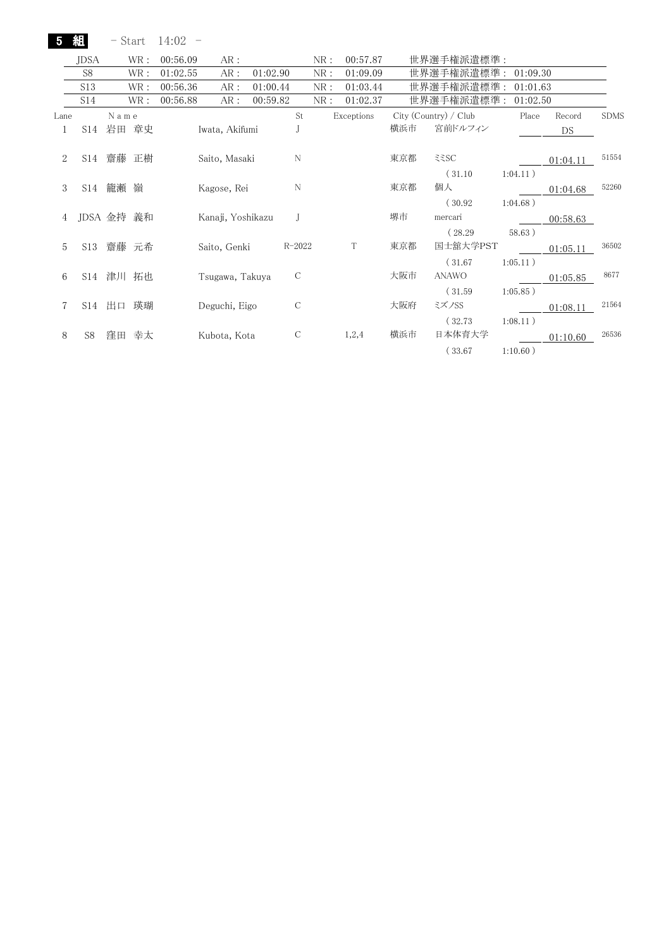5 組 - Start 14:02 -

|      | <b>JDSA</b>     |           | WR :  | 00:56.09 | AR:               |          |               | NR : | 00:57.87   |     | 世界選手権派遣標準:            |             |          |             |
|------|-----------------|-----------|-------|----------|-------------------|----------|---------------|------|------------|-----|-----------------------|-------------|----------|-------------|
|      | S8              |           | WR :  | 01:02.55 | AR:               | 01:02.90 |               | NR:  | 01:09.09   |     | 世界選手権派遣標準:            | 01:09.30    |          |             |
|      | S <sub>13</sub> |           | WR :  | 00:56.36 | AR :              | 01:00.44 |               | NR:  | 01:03.44   |     | 世界選手権派遣標準:            | 01:01.63    |          |             |
|      | S14             |           | WR :  | 00:56.88 | AR :              | 00:59.82 |               | NR:  | 01:02.37   |     | 世界選手権派遣標準:            | 01:02.50    |          |             |
| Lane |                 | N a m e   |       |          |                   |          | St            |      | Exceptions |     | City (Country) / Club | Place       | Record   | <b>SDMS</b> |
| 1    |                 | S14 岩田 章史 |       |          | Iwata, Akifumi    |          |               |      |            | 横浜市 | 宮前ドルフィン               |             | DS       |             |
| 2    |                 | S14 齋藤 正樹 |       |          | Saito, Masaki     |          | N             |      |            | 東京都 | 335C                  |             | 01:04.11 | 51554       |
|      |                 |           |       |          |                   |          |               |      |            |     | (31.10)               | 1:04.11)    |          |             |
| 3    |                 | S14 籠瀬 嶺  |       |          | Kagose, Rei       |          | N             |      |            | 東京都 | 個人                    |             | 01:04.68 | 52260       |
|      |                 |           |       |          |                   |          |               |      |            |     | (30.92)               | $1:04.68$ ) |          |             |
| 4    | JDSA 金持 義和      |           |       |          | Kanaji, Yoshikazu |          |               |      |            | 堺市  | mercari               |             | 00:58.63 |             |
|      |                 |           |       |          |                   |          |               |      |            |     | (28.29)               | 58.63)      |          |             |
| 5    | S13             | 齋藤 元希     |       |          | Saito, Genki      |          | $R - 2022$    |      | T          | 東京都 | 国士舘大学PST              |             | 01:05.11 | 36502       |
|      |                 |           |       |          |                   |          |               |      |            |     | (31.67)               | 1:05.11)    |          |             |
| 6    |                 | S14 津川 拓也 |       |          | Tsugawa, Takuya   |          | $\mathcal{C}$ |      |            | 大阪市 | ANAWO                 |             | 01:05.85 | 8677        |
|      |                 |           |       |          |                   |          |               |      |            |     | (31.59)               | $1:05.85$ ) |          |             |
|      |                 | S14 出口 瑛瑚 |       |          | Deguchi, Eigo     |          | С             |      |            | 大阪府 | ミズノSS                 |             | 01:08.11 | 21564       |
|      |                 |           |       |          |                   |          |               |      |            |     | (32.73)               | 1:08.11)    |          |             |
| 8    | S8              |           | 窪田 幸太 |          | Kubota, Kota      |          | $\mathsf{C}$  |      | 1,2,4      | 横浜市 | 日本体育大学                |             | 01:10.60 | 26536       |
|      |                 |           |       |          |                   |          |               |      |            |     | (33.67)               | 1:10.60)    |          |             |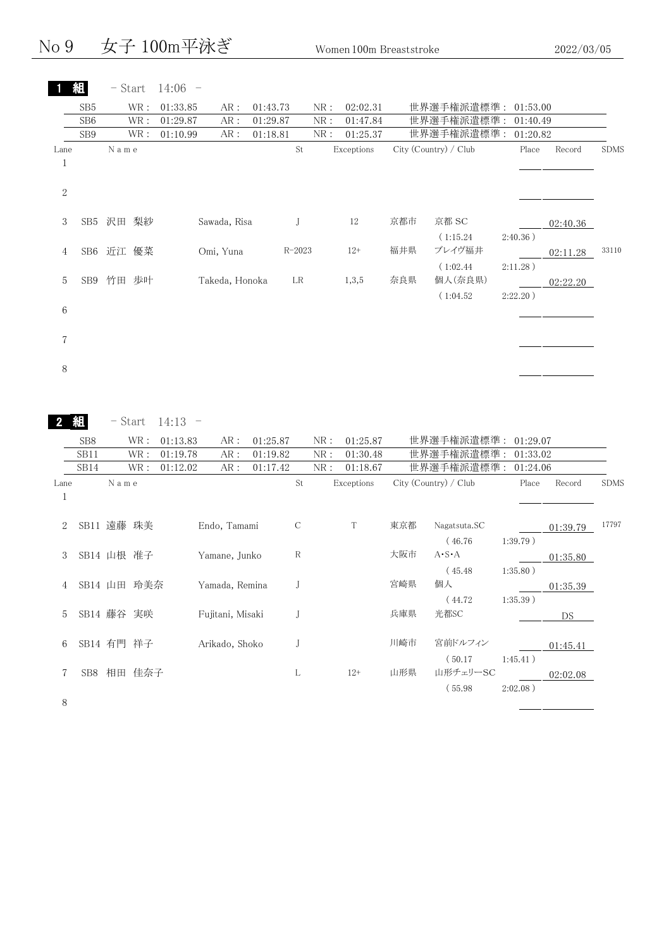No 9 女子 100m平泳ぎ Women 100m Breaststroke 2022/03/05

|                      | 組               | - Start                          | $14:06 -$             |                  |          |                     |              |                        |     |                                                                                 |                         |                 |             |
|----------------------|-----------------|----------------------------------|-----------------------|------------------|----------|---------------------|--------------|------------------------|-----|---------------------------------------------------------------------------------|-------------------------|-----------------|-------------|
|                      | SB <sub>5</sub> | $\operatorname{WR}$ :            | 01:33.85              | AR:              | 01:43.73 |                     | NR:          | 02:02.31               |     | 世界選手権派遣標準:                                                                      | 01:53.00                |                 |             |
|                      | SB <sub>6</sub> | WR :                             | 01:29.87              | AR:              | 01:29.87 |                     | NR:          | 01:47.84               |     | 世界選手権派遣標準:                                                                      | 01:40.49                |                 |             |
|                      | SB <sub>9</sub> | WR :                             | 01:10.99              | AR:              | 01:18.81 |                     | NR:          | 01:25.37               |     | 世界選手権派遣標準:                                                                      | 01:20.82                |                 |             |
| Lane<br>$\mathbf{1}$ |                 | $N$ a $m$ $e$                    |                       |                  |          | St                  |              | Exceptions             |     | City (Country) / Club                                                           | Place                   | Record          | <b>SDMS</b> |
| $\sqrt{2}$           |                 |                                  |                       |                  |          |                     |              |                        |     |                                                                                 |                         |                 |             |
| 3                    |                 | SB5 沢田 梨紗                        |                       | Sawada, Risa     |          | J                   |              | 12                     | 京都市 | 京都 SC                                                                           |                         | 02:40.36        |             |
| 4                    |                 | SB6 近江 優菜                        |                       | Omi, Yuna        |          | $R - 2023$          |              | $12+$                  | 福井県 | (1:15.24)<br>ブレイヴ福井                                                             | $2:40.36$ )             | 02:11.28        | 33110       |
| 5                    |                 | SB9 竹田 歩叶                        |                       | Takeda, Honoka   |          | LR                  |              | 1,3,5                  | 奈良県 | (1:02.44)<br>個人(奈良県)                                                            | $2:11.28$ )             | 02:22.20        |             |
| 6                    |                 |                                  |                       |                  |          |                     |              |                        |     | (1:04.52)                                                                       | $2:22.20$ )             |                 |             |
| 7                    |                 |                                  |                       |                  |          |                     |              |                        |     |                                                                                 |                         |                 |             |
|                      |                 |                                  |                       |                  |          |                     |              |                        |     |                                                                                 |                         |                 |             |
| 8                    |                 |                                  |                       |                  |          |                     |              |                        |     |                                                                                 |                         |                 |             |
| 2 組                  | SB8             | - Start<br>$\operatorname{WR}$ : | $14:13 -$<br>01:13.83 | AR:              | 01:25.87 |                     | NR:          | 01:25.87               |     | 世界選手権派遣標準:                                                                      | 01:29.07                |                 |             |
|                      | SB11            | WR:                              | 01:19.78              | AR:              | 01:19.82 |                     | ${\rm NR}$ : | 01:30.48               |     | 世界選手権派遣標準:                                                                      | 01:33.02                |                 |             |
| Lane<br>$\mathbf{1}$ | SB14            | WR :<br>N a m e                  | 01:12.02              | AR:              | 01:17.42 | $\operatorname{St}$ | NR:          | 01:18.67<br>Exceptions |     | 世界選手権派遣標準:<br>City (Country) / Club                                             | 01:24.06<br>Place       | Record          |             |
| 2                    |                 | SB11 遠藤 珠美                       |                       | Endo, Tamami     |          | $\mathcal{C}$       |              | $\rm T$                | 東京都 | Nagatsuta.SC                                                                    |                         | 01:39.79        | 17797       |
| 3                    |                 | SB14 山根 准子                       |                       | Yamane, Junko    |          | $\mathbf R$         |              |                        | 大阪市 | (46.76)<br>$\mathbf{A}\boldsymbol{\cdot}\mathbf{S}\boldsymbol{\cdot}\mathbf{A}$ | $1:39.79$ )             | 01:35.80        |             |
|                      |                 | 4 SB14 山田 玲美奈                    |                       | Yamada, Remina   |          | J                   |              |                        | 宮崎県 | (45.48)<br>個人                                                                   | $1:35.80$ )             | 01:35.39        | <b>SDMS</b> |
| 5                    |                 | SB14 藤谷 実咲                       |                       | Fujitani, Misaki |          | J                   |              |                        | 兵庫県 | (44.72)<br>光都SC                                                                 | $1:35.39$ )             | DS <sub>2</sub> |             |
| 6                    |                 | SB14 有門 祥子                       |                       | Arikado, Shoko   |          | J                   |              |                        | 川崎市 | 宮前ドルフィン                                                                         |                         | 01:45.41        |             |
| 7                    |                 | SB8 相田 佳奈子                       |                       |                  |          | $\Gamma$            |              | $12+$                  | 山形県 | (50.17)<br>山形チェリーSC<br>(55.98)                                                  | 1:45.41)<br>$2:02.08$ ) | 02:02.08        |             |

8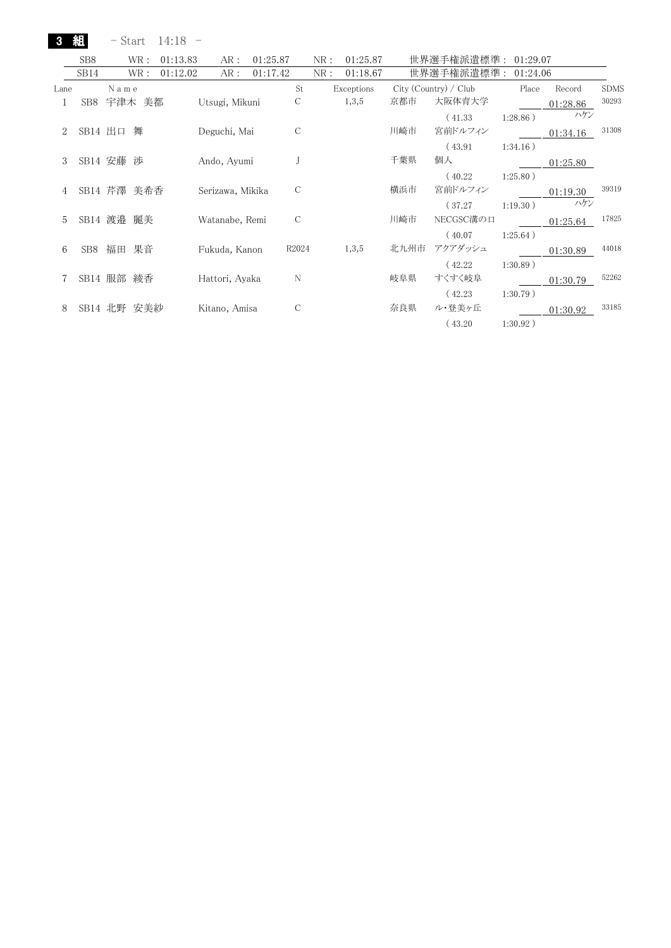| 3    |                 | - Start        | $14:18 -$ |                  |          |       |     |            |      |                       |             |          |             |
|------|-----------------|----------------|-----------|------------------|----------|-------|-----|------------|------|-----------------------|-------------|----------|-------------|
|      | SB <sub>8</sub> | WR :           | 01:13.83  | AR:              | 01:25.87 |       | NR: | 01:25.87   |      | 世界選手権派遣標準: 01:29.07   |             |          |             |
|      | SB14            | WR :           | 01:12.02  | AR:              | 01:17.42 |       | NR: | 01:18.67   |      | 世界選手権派遣標準:            | 01:24.06    |          |             |
| Lane |                 | Name           |           |                  |          | St    |     | Exceptions |      | City (Country) / Club | Place       | Record   | <b>SDMS</b> |
|      | SB <sub>8</sub> | 宇津木 美都         |           | Utsugi, Mikuni   |          | С     |     | 1,3,5      | 京都市  | 大阪体育大学                |             | 01:28.86 | 30293       |
|      |                 |                |           |                  |          |       |     |            |      | (41.33)               | $1:28.86$ ) | ハケン      |             |
| 2    |                 | SB14 出口<br>舞   |           | Deguchi, Mai     |          | C     |     |            | 川崎市  | 宮前ドルフィン               |             | 01:34.16 | 31308       |
|      |                 |                |           |                  |          |       |     |            |      | (43.91)               | $1:34.16$ ) |          |             |
| 3    |                 | SB14 安藤<br>渉   |           | Ando, Ayumi      |          |       |     |            | 千葉県  | 個人                    |             | 01:25.80 |             |
|      |                 |                |           |                  |          |       |     |            |      | (40.22)               | $1:25.80$ ) |          |             |
| 4    |                 | SB14 芹澤 美希香    |           | Serizawa, Mikika |          | C     |     |            | 横浜市  | 宮前ドルフィン               |             | 01:19.30 | 39319       |
|      |                 |                |           |                  |          |       |     |            |      | (37.27)               | 1:19.30)    | ハケン      |             |
| 5    |                 | SB14 渡邉 麗美     |           | Watanabe, Remi   |          | С     |     |            | 川崎市  | NECGSC溝の口             |             | 01:25.64 | 17825       |
|      |                 |                |           |                  |          |       |     |            |      | (40.07)               | 1:25.64)    |          |             |
| 6    | SB8             | 福田 果音          |           | Fukuda, Kanon    |          | R2024 |     | 1,3,5      | 北九州市 | アクアダッシュ               |             | 01:30.89 | 44018       |
|      |                 |                |           |                  |          |       |     |            |      | (42.22)               | $1:30.89$ ) |          |             |
|      |                 | SB14 服部<br>綾香  |           | Hattori, Ayaka   |          | N     |     |            | 岐阜県  | すくすく岐阜                |             | 01:30.79 | 52262       |
|      |                 |                |           |                  |          |       |     |            |      | (42.23)               | $1:30.79$ ) |          |             |
| 8    |                 | 安美紗<br>SB14 北野 |           | Kitano, Amisa    |          | C     |     |            | 奈良県  | ル・登美ヶ丘                |             | 01:30.92 | 33185       |
|      |                 |                |           |                  |          |       |     |            |      | (43.20)               | $1:30.92$ ) |          |             |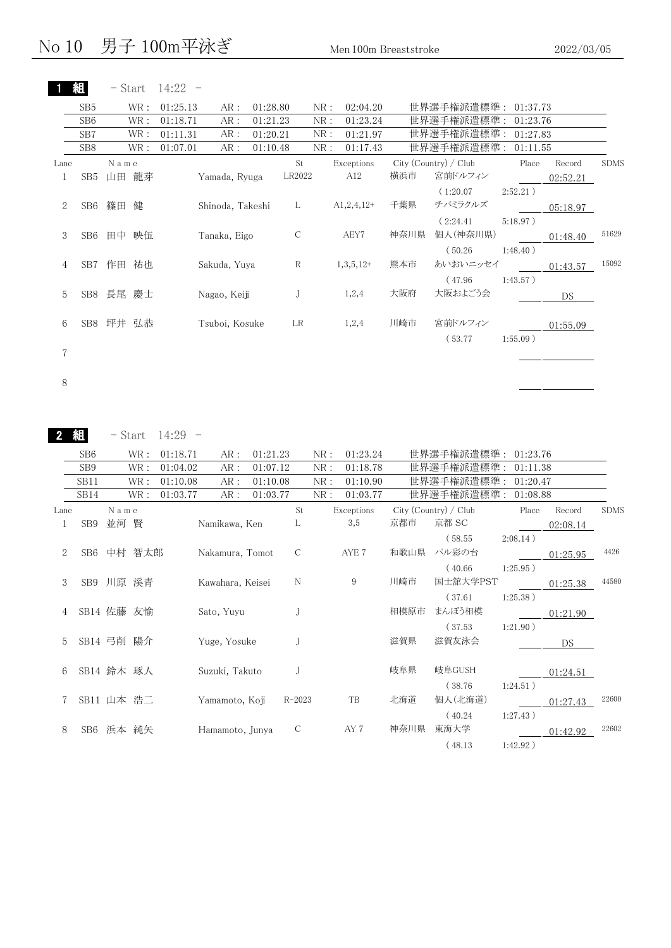| 紹<br>– Start | 14.22 |
|--------------|-------|
|--------------|-------|

|      | SB <sub>5</sub> | WR :     | 01:25.13 | AR:              | 01:28.80 |               | NR: | 02:04.20     |      | 世界選手権派遣標準: 01:37.73   |             |          |             |
|------|-----------------|----------|----------|------------------|----------|---------------|-----|--------------|------|-----------------------|-------------|----------|-------------|
|      | SB <sub>6</sub> | WR :     | 01:18.71 | AR:              | 01:21.23 |               | NR: | 01:23.24     |      | 世界選手権派遣標準: 01:23.76   |             |          |             |
|      | SB7             | WR :     | 01:11.31 | AR:              | 01:20.21 |               | NR: | 01:21.97     |      | 世界選手権派遣標準:            | 01:27.83    |          |             |
|      | SB <sub>8</sub> | WR :     | 01:07.01 | AR :             | 01:10.48 |               | NR: | 01:17.43     |      | 世界選手権派遣標準: 01:11.55   |             |          |             |
| Lane |                 | Name     |          |                  |          | St            |     | Exceptions   |      | City (Country) / Club | Place       | Record   | <b>SDMS</b> |
| 1    | SB5             | 山田 龍芽    |          | Yamada, Ryuga    |          | LR2022        |     | A12          | 横浜市  | 宮前ドルフィン               |             | 02:52.21 |             |
|      |                 |          |          |                  |          |               |     |              |      | (1:20.07)             | 2:52.21)    |          |             |
| 2    | SB6             | 篠田<br>健  |          | Shinoda, Takeshi |          | L             |     | $A1,2,4,12+$ | 千葉県  | チバミラクルズ               |             | 05:18.97 |             |
|      |                 |          |          |                  |          |               |     |              |      | (2:24.41)             | 5:18.97)    |          |             |
| 3    | SB6             | 田中<br>映伍 |          | Tanaka, Eigo     |          | $\mathcal{C}$ |     | AEY7         | 神奈川県 | 個人(神奈川県)              |             | 01:48.40 | 51629       |
|      |                 |          |          |                  |          |               |     |              |      | (50.26)               | 1:48.40)    |          |             |
| 4    | SB7             | 祐也<br>作田 |          | Sakuda, Yuya     |          | $\mathbb R$   |     | $1,3,5,12+$  | 熊本市  | あいおいニッセイ              |             | 01:43.57 | 15092       |
|      |                 |          |          |                  |          |               |     |              |      | (47.96)               | 1:43.57)    |          |             |
| 5    | SB8             | 長尾 慶士    |          | Nagao, Keiji     |          | J             |     | 1,2,4        | 大阪府  | 大阪およごう会               |             | DS.      |             |
|      |                 |          |          |                  |          | LR            |     | 1,2,4        | 川崎市  | 宮前ドルフィン               |             |          |             |
| 6    | SB8             | 坪井 弘恭    |          | Tsuboi, Kosuke   |          |               |     |              |      |                       |             | 01:55.09 |             |
|      |                 |          |          |                  |          |               |     |              |      | (53.77)               | $1:55.09$ ) |          |             |
|      |                 |          |          |                  |          |               |     |              |      |                       |             |          |             |

8

2 組

- Start 14:29 -

|      | SB <sub>6</sub>  |      | WR :       | 01:18.71 | AR:              | 01:21.23 |               | NR: | 01:23.24   |      | 世界選手権派遣標準:            | 01:23.76    |          |             |
|------|------------------|------|------------|----------|------------------|----------|---------------|-----|------------|------|-----------------------|-------------|----------|-------------|
|      | SB <sub>9</sub>  |      | WR :       | 01:04.02 | AR:              | 01:07.12 |               | NR: | 01:18.78   |      | 世界選手権派遣標準:            | 01:11.38    |          |             |
|      | SB <sub>11</sub> |      | WR :       | 01:10.08 | AR:              | 01:10.08 |               | NR: | 01:10.90   |      | 世界選手権派遣標準:            | 01:20.47    |          |             |
|      | SB14             |      | WR :       | 01:03.77 | AR :             | 01:03.77 |               | NR: | 01:03.77   |      | 世界選手権派遣標準: 01:08.88   |             |          |             |
| Lane |                  | Name |            |          |                  |          | St            |     | Exceptions |      | City (Country) / Club | Place       | Record   | <b>SDMS</b> |
| 1    | SB <sub>9</sub>  | 並河 賢 |            |          | Namikawa, Ken    |          | L             |     | 3,5        | 京都市  | 京都 SC                 |             | 02:08.14 |             |
|      |                  |      |            |          |                  |          |               |     |            |      | (58.55)               | $2:08.14$ ) |          |             |
| 2    | SB6              |      | 中村 智太郎     |          | Nakamura, Tomot  |          | C             |     | AYE 7      | 和歌山県 | パル彩の台                 |             | 01:25.95 | 4426        |
|      |                  |      |            |          |                  |          |               |     |            |      | (40.66)               | $1:25.95$ ) |          |             |
| 3    |                  |      | SB9 川原 渓青  |          | Kawahara, Keisei |          | N             |     | 9          | 川崎市  | 国士舘大学PST              |             | 01:25.38 | 44580       |
|      |                  |      |            |          |                  |          |               |     |            |      | (37.61)               | $1:25.38$ ) |          |             |
| 4    |                  |      | SB14 佐藤 友愉 |          | Sato, Yuyu       |          |               |     |            | 相模原市 | まんぼう相模                |             | 01:21.90 |             |
|      |                  |      |            |          |                  |          |               |     |            |      | (37.53)               | $1:21.90$ ) |          |             |
| 5    |                  |      | SB14 弓削 陽介 |          | Yuge, Yosuke     |          |               |     |            | 滋賀県  | 滋賀友泳会                 |             | DS       |             |
|      |                  |      |            |          |                  |          |               |     |            |      |                       |             |          |             |
| 6    |                  |      | SB14 鈴木 琢人 |          | Suzuki, Takuto   |          |               |     |            | 岐阜県  | 岐阜GUSH                |             | 01:24.51 |             |
|      |                  |      |            |          |                  |          |               |     |            |      | (38.76)               | 1:24.51)    |          |             |
|      |                  |      | SB11 山本 浩二 |          | Yamamoto, Koji   |          | $R - 2023$    |     | TB         | 北海道  | 個人(北海道)               |             | 01:27.43 | 22600       |
|      |                  |      |            |          |                  |          |               |     |            |      | (40.24)               | $1:27.43$ ) |          |             |
| 8    | SB6              |      | 浜本 純矢      |          | Hamamoto, Junya  |          | $\mathcal{C}$ |     | AY 7       | 神奈川県 | 東海大学                  |             | 01:42.92 | 22602       |
|      |                  |      |            |          |                  |          |               |     |            |      | (48.13)               | 1:42.92)    |          |             |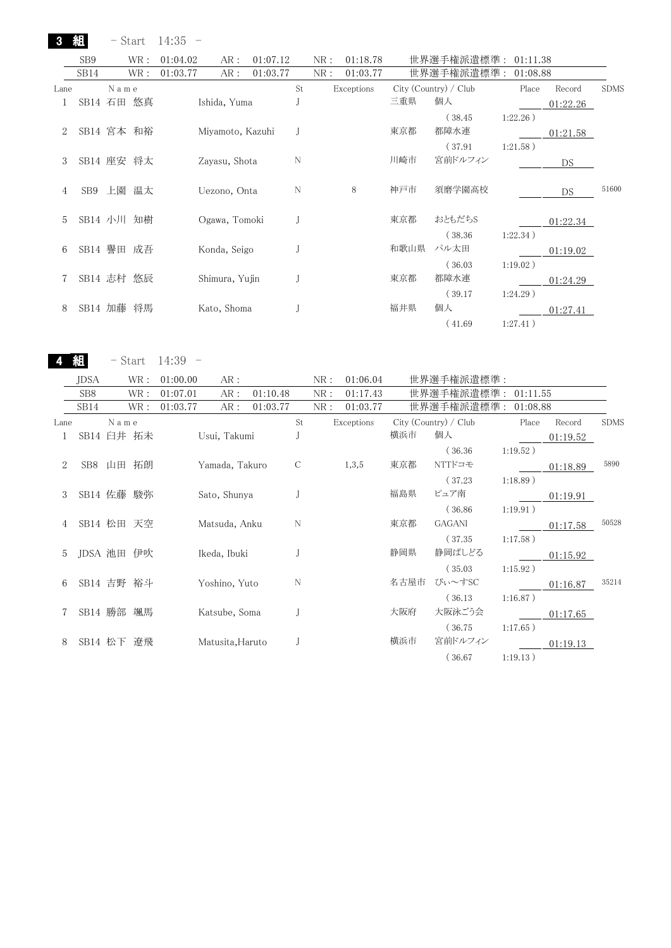| 3                           | 組               | – Start       | $14:35 -$ |                  |          |    |     |            |      |                       |             |          |             |
|-----------------------------|-----------------|---------------|-----------|------------------|----------|----|-----|------------|------|-----------------------|-------------|----------|-------------|
|                             | SB <sub>9</sub> | WR :          | 01:04.02  | AR:              | 01:07.12 |    | NR: | 01:18.78   |      | 世界選手権派遣標準: 01:11.38   |             |          |             |
|                             | SB14            | WR :          | 01:03.77  | AR:              | 01:03.77 |    | NR: | 01:03.77   |      | 世界選手権派遣標準:            | 01:08.88    |          |             |
| Lane                        |                 | N a m e       |           |                  |          | St |     | Exceptions |      | City (Country) / Club | Place       | Record   | <b>SDMS</b> |
|                             |                 | SB14 石田 悠真    |           | Ishida, Yuma     |          |    |     |            | 三重県  | 個人                    |             | 01:22.26 |             |
|                             |                 |               |           |                  |          |    |     |            |      | (38.45)               | $1:22.26$ ) |          |             |
| $\mathcal{D}_{\mathcal{L}}$ |                 | SB14 宮本 和裕    |           | Miyamoto, Kazuhi |          |    |     |            | 東京都  | 都障水連                  |             | 01:21.58 |             |
|                             |                 |               |           |                  |          |    |     |            |      | (37.91)               | $1:21.58$ ) |          |             |
| 3                           |                 | SB14 座安 将太    |           | Zayasu, Shota    |          | N  |     |            | 川崎市  | 宮前ドルフィン               |             | DS       |             |
|                             |                 |               |           |                  |          |    |     |            |      |                       |             |          |             |
| 4                           | SB9             | 上園<br>温太      |           | Uezono, Onta     |          | N  |     | 8          | 神戸市  | 須磨学園高校                |             | DS       | 51600       |
|                             |                 |               |           |                  |          |    |     |            |      |                       |             |          |             |
| 5                           |                 | SB14 小川 知樹    |           | Ogawa, Tomoki    |          |    |     |            | 東京都  | おともだちS                |             | 01:22.34 |             |
|                             |                 |               |           |                  |          |    |     |            |      | (38.36)               | 1:22.34)    |          |             |
| 6                           |                 | SB14 譽田 成吾    |           | Konda, Seigo     |          |    |     |            | 和歌山県 | パル太田                  |             | 01:19.02 |             |
|                             |                 |               |           |                  |          |    |     |            |      | (36.03)               | $1:19.02$ ) |          |             |
|                             |                 | SB14 志村 悠辰    |           | Shimura, Yujin   |          |    |     |            | 東京都  | 都障水連                  |             | 01:24.29 |             |
|                             |                 |               |           |                  |          |    |     |            |      | (39.17)               | $1:24.29$ ) |          |             |
| 8                           |                 | SB14 加藤<br>将馬 |           | Kato, Shoma      |          |    |     |            | 福井県  | 個人                    |             | 01:27.41 |             |
|                             |                 |               |           |                  |          |    |     |            |      | (41.69)               | 1:27.41)    |          |             |

4 組 - Start 14:39 -

|      | JDSA            | WR :       | 01:00.00 | AR:              |          |               | NR: | 01:06.04   |      | 世界選手権派遣標準:            |             |          |             |
|------|-----------------|------------|----------|------------------|----------|---------------|-----|------------|------|-----------------------|-------------|----------|-------------|
|      | SB <sub>8</sub> | WR :       | 01:07.01 | AR:              | 01:10.48 |               | NR: | 01:17.43   |      | 世界選手権派遣標準:            | 01:11.55    |          |             |
|      | SB14            | WR :       | 01:03.77 | AR:              | 01:03.77 |               | NR: | 01:03.77   |      | 世界選手権派遣標準 :           | 01:08.88    |          |             |
| Lane |                 | Name       |          |                  |          | St            |     | Exceptions |      | City (Country) / Club | Place       | Record   | <b>SDMS</b> |
|      |                 | SB14 臼井 拓未 |          | Usui, Takumi     |          |               |     |            | 横浜市  | 個人                    |             | 01:19.52 |             |
|      |                 |            |          |                  |          |               |     |            |      | (36.36)               | 1:19.52)    |          |             |
| 2    |                 | SB8 山田 拓朗  |          | Yamada, Takuro   |          | $\mathcal{C}$ |     | 1,3,5      | 東京都  | NTTドコモ                |             | 01:18.89 | 5890        |
|      |                 |            |          |                  |          |               |     |            |      | (37.23)               | $1:18.89$ ) |          |             |
| 3    |                 | SB14 佐藤 駿弥 |          | Sato, Shunya     |          |               |     |            | 福島県  | ピュア南                  |             | 01:19.91 |             |
|      |                 |            |          |                  |          |               |     |            |      | (36.86)               | 1:19.91)    |          |             |
|      |                 | SB14 松田 天空 |          | Matsuda, Anku    |          | N             |     |            | 東京都  | GAGANI                |             | 01:17.58 | 50528       |
|      |                 |            |          |                  |          |               |     |            |      | (37.35)               | $1:17.58$ ) |          |             |
| 5.   |                 | JDSA 池田 伊吹 |          | Ikeda, Ibuki     |          |               |     |            | 静岡県  | 静岡ぱしどる                |             | 01:15.92 |             |
|      |                 |            |          |                  |          |               |     |            |      | (35.03)               | 1:15.92)    |          |             |
| 6    |                 | SB14 吉野 裕斗 |          | Yoshino, Yuto    |          | N             |     |            | 名古屋市 | ぴぃ~すSC                |             |          | 35214       |
|      |                 |            |          |                  |          |               |     |            |      |                       |             | 01:16.87 |             |
|      |                 |            |          |                  |          |               |     |            |      | (36.13)               | $1:16.87$ ) |          |             |
|      |                 | SB14 勝部 颯馬 |          | Katsube, Soma    |          |               |     |            | 大阪府  | 大阪泳ごう会                |             | 01:17.65 |             |
|      |                 |            |          |                  |          |               |     |            |      | (36.75)               | $1:17.65$ ) |          |             |
| 8    | SB14 松下         | 遼飛         |          | Matusita, Haruto |          |               |     |            | 横浜市  | 宮前ドルフィン               |             | 01:19.13 |             |
|      |                 |            |          |                  |          |               |     |            |      | (36.67)               | 1:19.13)    |          |             |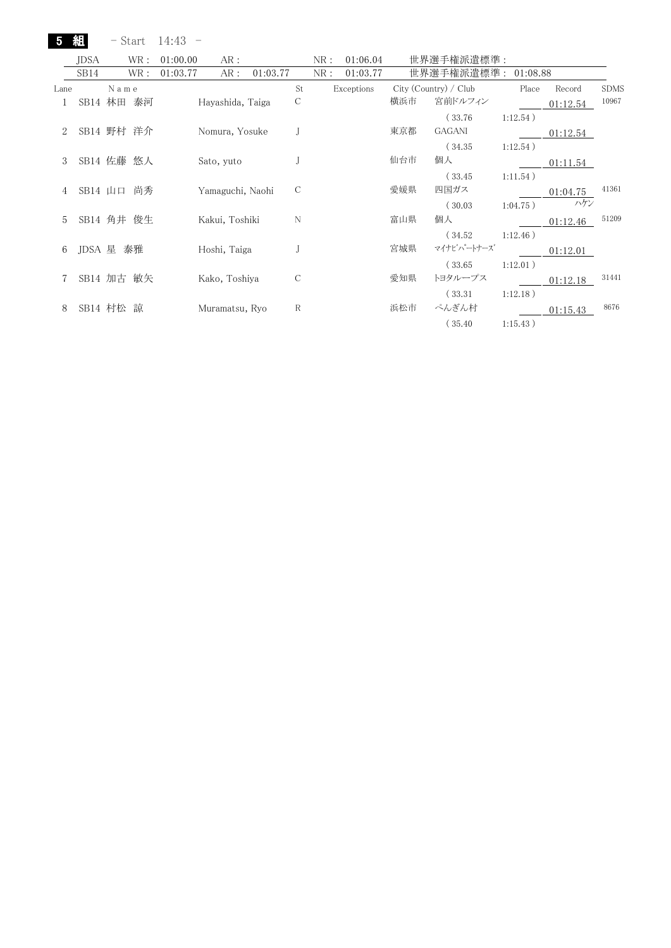| 01:00.00<br>01:06.04<br>世界選手権派遣標準 :<br><b>JDSA</b><br>WR :<br>AR:<br>NR:<br>世界選手権派遣標準:<br>AR:<br>NR:<br>WR :<br>01:03.77<br>01:03.77<br>01:03.77<br>01:08.88<br>SB14<br>City (Country) / Club<br>St.<br>Exceptions<br>Place<br>Name<br>Lane | Record<br>01:12.54<br>01:12.54 | <b>SDMS</b><br>10967 |
|---------------------------------------------------------------------------------------------------------------------------------------------------------------------------------------------------------------------------------------------|--------------------------------|----------------------|
|                                                                                                                                                                                                                                             |                                |                      |
|                                                                                                                                                                                                                                             |                                |                      |
|                                                                                                                                                                                                                                             |                                |                      |
| 宮前ドルフィン<br>C<br>橫浜市<br>SB14 林田 泰河<br>Hayashida, Taiga                                                                                                                                                                                       |                                |                      |
| (33.76)<br>1:12.54)                                                                                                                                                                                                                         |                                |                      |
| SB14 野村 洋介<br>東京都<br>GAGANI<br>Nomura, Yosuke<br>2                                                                                                                                                                                          |                                |                      |
| (34.35)<br>1:12.54)                                                                                                                                                                                                                         |                                |                      |
| 仙台市<br>SB14 佐藤 悠人<br>個人<br>3<br>Sato, yuto                                                                                                                                                                                                  | 01:11.54                       |                      |
| (33.45)<br>1:11.54)                                                                                                                                                                                                                         |                                |                      |
| 愛媛県<br>四国ガス<br>SB14 山口 尚秀<br>Yamaguchi, Naohi<br>C<br>4                                                                                                                                                                                     | 01:04.75                       | 41361                |
| (30.03)<br>$1:04.75$ )                                                                                                                                                                                                                      | ハケン                            |                      |
| 富山県<br>個人<br>N<br>SB14 角井 俊生<br>5<br>Kakui, Toshiki                                                                                                                                                                                         | 01:12.46                       | 51209                |
| (34.52)<br>$1:12.46$ )                                                                                                                                                                                                                      |                                |                      |
| マイナビパートナーズ<br>宮城県<br>JDSA 星 泰雅<br>Hoshi, Taiga<br>6                                                                                                                                                                                         | 01:12.01                       |                      |
| (33.65)<br>1:12.01)                                                                                                                                                                                                                         |                                |                      |
| 愛知県<br>SB14 加古 敏矢<br>トヨタループス<br>Kako, Toshiya<br>C                                                                                                                                                                                          | 01:12.18                       | 31441                |
| (33.31)<br>1:12.18)                                                                                                                                                                                                                         |                                |                      |
| 浜松市<br>ぺんぎん村<br>SB14 村松<br>R<br>諒<br>Muramatsu, Ryo<br>8                                                                                                                                                                                    | 01:15.43                       | 8676                 |
| (35.40)<br>1:15.43)                                                                                                                                                                                                                         |                                |                      |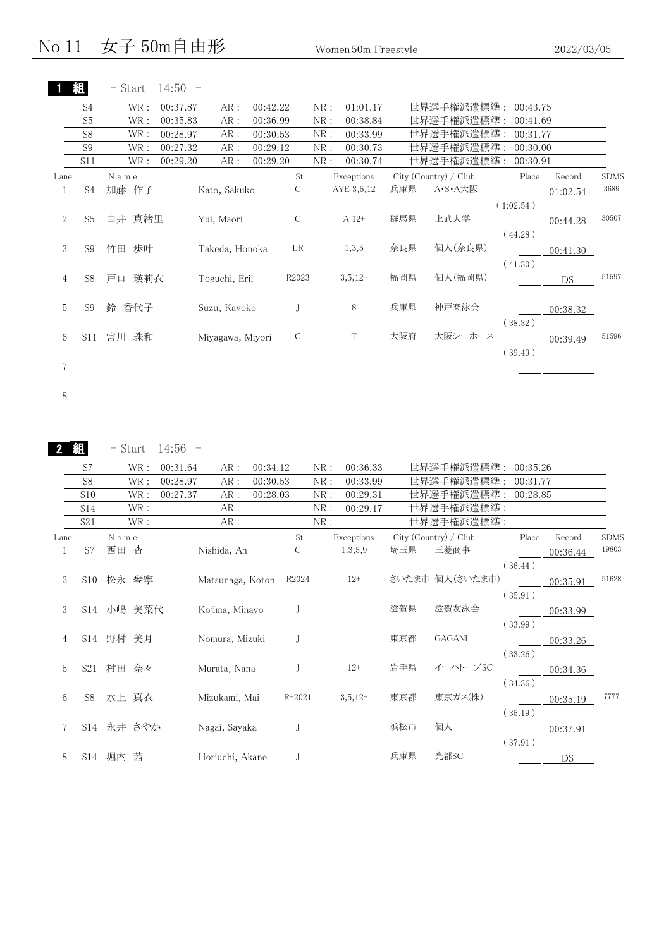| 細 | $-$ Start $14:50$ |  |
|---|-------------------|--|
|   |                   |  |

|                | S4             | WR :      | 00:37.87 | AR:              | 00:42.22 |               | NR: | 01:01.17   |     | 世界選手権派遣標準:            | 00:43.75  |           |             |
|----------------|----------------|-----------|----------|------------------|----------|---------------|-----|------------|-----|-----------------------|-----------|-----------|-------------|
|                | S <sub>5</sub> | WR :      | 00:35.83 | AR:              | 00:36.99 |               | NR: | 00:38.84   |     | 世界選手権派遣標準:            | 00:41.69  |           |             |
|                | S <sub>8</sub> | WR :      | 00:28.97 | AR:              | 00:30.53 |               | NR: | 00:33.99   |     | 世界選手権派遣標準:            | 00:31.77  |           |             |
|                | S <sub>9</sub> | WR :      | 00:27.32 | AR:              | 00:29.12 |               | NR: | 00:30.73   |     | 世界選手権派遣標準:            | 00:30.00  |           |             |
|                | S11            | WR :      | 00:29.20 | AR:              | 00:29.20 |               | NR: | 00:30.74   |     | 世界選手権派遣標準:            | 00:30.91  |           |             |
| Lane           |                | Name      |          |                  |          | St            |     | Exceptions |     | City (Country) / Club | Place     | Record    | <b>SDMS</b> |
| 1              | S4             | 加藤 作子     |          | Kato, Sakuko     |          | $\mathcal{C}$ |     | AYE 3,5,12 | 兵庫県 | A·S·A大阪               |           | 01:02.54  | 3689        |
|                |                |           |          |                  |          |               |     |            |     |                       | (1:02.54) |           |             |
| $\overline{2}$ | S <sub>5</sub> | 由井 真緒里    |          | Yui, Maori       |          | $\cal C$      |     | A 12+      | 群馬県 | 上武大学                  |           | 00:44.28  | 30507       |
|                |                |           |          |                  |          |               |     |            |     |                       | (44.28)   |           |             |
| 3              | S <sub>9</sub> | 歩叶<br>竹田  |          | Takeda, Honoka   |          | LR            |     | 1,3,5      | 奈良県 | 個人(奈良県)               |           | 00:41.30  |             |
|                |                |           |          |                  |          |               |     |            |     |                       | (41.30)   |           |             |
| 4              | S8             | 瑛莉衣<br>戸口 |          | Toguchi, Erii    |          | R2023         |     | $3,5,12+$  | 福岡県 | 個人(福岡県)               |           | <b>DS</b> | 51597       |
|                |                |           |          |                  |          |               |     |            |     |                       |           |           |             |
| 5              | S <sub>9</sub> | 香代子<br>鈴  |          | Suzu, Kayoko     |          |               |     | 8          | 兵庫県 | 神戸楽泳会                 |           | 00:38.32  |             |
|                |                |           |          |                  |          |               |     |            |     |                       | (38.32)   |           |             |
| 6              | <b>S11</b>     | 珠和<br>宮川  |          | Miyagawa, Miyori |          | С             |     | T          | 大阪府 | 大阪シーホース               |           | 00:39.49  | 51596       |
|                |                |           |          |                  |          |               |     |            |     |                       | (39.49)   |           |             |
|                |                |           |          |                  |          |               |     |            |     |                       |           |           |             |
|                |                |           |          |                  |          |               |     |            |     |                       |           |           |             |

8

2 組  $-$  Start 14:56  $-$ 

|                             | S7              | WR :       | 00:31.64 | AR:                    | 00:34.12 |               | NR:  | 00:36.33   |          | 世界選手権派遣標準: 00:35.26   |         |          |             |
|-----------------------------|-----------------|------------|----------|------------------------|----------|---------------|------|------------|----------|-----------------------|---------|----------|-------------|
|                             | S <sub>8</sub>  | WR :       | 00:28.97 | AR :                   | 00:30.53 |               | NR:  | 00:33.99   |          | 世界選手権派遣標準: 00:31.77   |         |          |             |
|                             | S <sub>10</sub> | WR :       | 00:27.37 | AR:                    | 00:28.03 |               | NR:  | 00:29.31   |          | 世界選手権派遣標準: 00:28.85   |         |          |             |
|                             | S14             | WR :       |          | AR:                    |          |               | NR:  | 00:29.17   |          | 世界選手権派遣標準:            |         |          |             |
|                             | S <sub>21</sub> | WR :       |          | AR:                    |          |               | NR : |            |          | 世界選手権派遣標準:            |         |          |             |
| Lane                        |                 | Name       |          |                        |          | St            |      | Exceptions |          | City (Country) / Club | Place   | Record   | <b>SDMS</b> |
| 1                           | S7              | 西田 杏       |          | Nishida, An            |          | $\mathcal{C}$ |      | 1,3,5,9    | 埼玉県 三菱商事 |                       |         | 00:36.44 | 19803       |
|                             |                 |            |          |                        |          |               |      |            |          |                       | (36.44) |          |             |
| $\mathcal{D}_{\mathcal{L}}$ |                 | S10 松永 琴寧  |          | Matsunaga, Koton R2024 |          |               |      | $12+$      |          | さいたま市 個人(さいたま市)       |         | 00:35.91 | 51628       |
|                             |                 |            |          |                        |          |               |      |            |          |                       | (35.91) |          |             |
| 3                           |                 | S14 小嶋 美菜代 |          | Kojima, Minayo         |          |               |      |            | 滋賀県      | 滋賀友泳会                 |         | 00:33.99 |             |
|                             |                 |            |          |                        |          |               |      |            |          |                       | (33.99) |          |             |
| 4                           |                 | S14 野村 美月  |          | Nomura, Mizuki         |          |               |      |            | 東京都      | GAGANI                |         | 00:33.26 |             |
|                             |                 |            |          |                        |          |               |      |            |          |                       | (33.26) |          |             |
| 5                           |                 | S21 村田 奈々  |          | Murata, Nana           |          |               |      | $12+$      | 岩手県      | イーハトーブSC              |         |          |             |
|                             |                 |            |          |                        |          |               |      |            |          |                       |         | 00:34.36 |             |
|                             |                 |            |          |                        |          |               |      |            |          |                       | (34.36) |          | 7777        |
| 6                           | S8              | 水上 真衣      |          | Mizukami, Mai          |          | R-2021        |      | $3,5,12+$  | 東京都      | 東京ガス(株)               |         | 00:35.19 |             |
|                             |                 |            |          |                        |          |               |      |            |          |                       | (35.19) |          |             |
| 7                           |                 | S14 永井 さやか |          | Nagai, Sayaka          |          |               |      |            | 浜松市      | 個人                    |         | 00:37.91 |             |
|                             |                 |            |          |                        |          |               |      |            |          |                       | (37.91) |          |             |
| 8                           |                 | S14 堀内 茜   |          | Horiuchi, Akane        |          |               |      |            | 兵庫県      | 光都SC                  |         | DS       |             |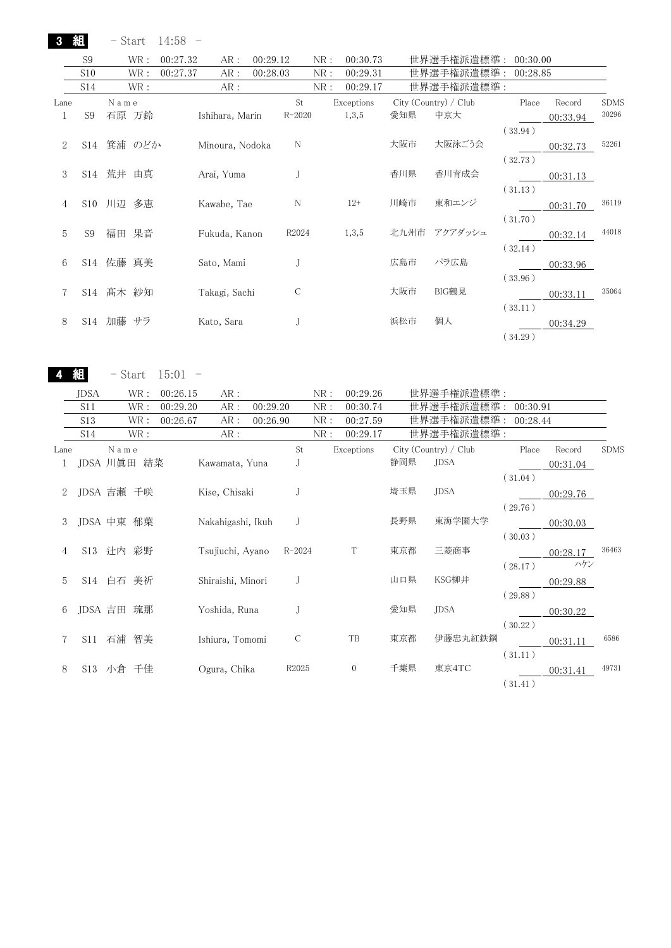$3$ 

|      | S <sub>9</sub> | WR :      | 00:27.32 | AR:             | 00:29.12 |             | NR: | 00:30.73   |      | 世界選手権派遣標準: 00:30.00   |          |          |             |
|------|----------------|-----------|----------|-----------------|----------|-------------|-----|------------|------|-----------------------|----------|----------|-------------|
|      | S10            | WR :      | 00:27.37 | AR:             | 00:28.03 |             | NR: | 00:29.31   |      | 世界選手権派遣標準:            | 00:28.85 |          |             |
|      | S14            | WR :      |          | AR:             |          |             | NR: | 00:29.17   |      | 世界選手権派遣標準:            |          |          |             |
| Lane |                | Name      |          |                 |          | St          |     | Exceptions |      | City (Country) / Club | Place    | Record   | <b>SDMS</b> |
|      | S <sub>9</sub> | 石原 万鈴     |          | Ishihara, Marin |          | $R - 2020$  |     | 1,3,5      | 愛知県  | 中京大                   |          | 00:33.94 | 30296       |
|      |                |           |          |                 |          |             |     |            |      |                       | (33.94)  |          |             |
| 2    | S14            | 箕浦 のどか    |          | Minoura, Nodoka |          | N           |     |            | 大阪市  | 大阪泳ごう会                |          | 00:32.73 | 52261       |
|      |                |           |          |                 |          |             |     |            |      |                       | (32.73)  |          |             |
| 3    |                | S14 荒井 由真 |          | Arai, Yuma      |          | J           |     |            | 香川県  | 香川育成会                 |          | 00:31.13 |             |
|      |                |           |          |                 |          |             |     |            |      |                       | (31.13)  |          |             |
| 4    | S10            | 川辺 多恵     |          | Kawabe, Tae     |          | $\mathbf N$ |     | $12+$      | 川崎市  | 東和エンジ                 |          | 00:31.70 | 36119       |
|      |                |           |          |                 |          |             |     |            |      |                       | (31.70)  |          |             |
| 5    | S <sub>9</sub> | 福田 果音     |          | Fukuda, Kanon   |          | R2024       |     | 1,3,5      | 北九州市 | アクアダッシュ               |          | 00:32.14 | 44018       |
|      |                |           |          |                 |          |             |     |            |      |                       | (32.14)  |          |             |
| 6    | S14            | 佐藤<br>真美  |          | Sato, Mami      |          |             |     |            | 広島市  | パラ広島                  |          | 00:33.96 |             |
|      |                |           |          |                 |          |             |     |            |      |                       | (33.96)  |          |             |
| 7    | S14            | 髙木 紗知     |          | Takagi, Sachi   |          | C           |     |            | 大阪市  | BIG鶴見                 |          | 00:33.11 | 35064       |
|      |                |           |          |                 |          |             |     |            |      |                       | (33.11)  |          |             |
| 8    | S14            | 加藤<br>サラ  |          | Kato, Sara      |          | J           |     |            | 浜松市  | 個人                    |          | 00:34.29 |             |
|      |                |           |          |                 |          |             |     |            |      |                       | (34.29)  |          |             |

4 組

- Start 15:01 -

Lane N a m e St Exceptions City (Country) / Club Place Record SDMS 1 JDSA 川眞田 結菜 Kawamata, Yuna J 市岡県 JDSA 00:31.04  $(31.04)$ 2 JDSA 吉瀬 千咲 Kise, Chisaki J 埼玉県 JDSA 00:29.76 ( 29.76 ) 00:30.03 3 JDSA 中東 郁葉 Nakahigashi, Ikuh J 長野県 東海学園大学 ( 30.03 ) ハケン 4 S13 辻内 彩野 Tsujiuchi, Ayano R-2024 T 東京都 三菱商事 00:28.17 36463  $(28.17)$ 5 S14 白石 美祈 Shiraishi, Minori J 山口県 KSG柳井 200:29.88  $\left(\right.29.88\left.\right)$ 6 JDSA 吉田 琉那 Yoshida, Runa J 要知県 JDSA 200:30.22 ( 30.22 ) 7 S11 石浦 智美 Ishiura, Tomomi C TB 東京都 伊藤忠丸紅鉄鋼 00:31.11 6586 ( 31.11 ) 8 S13 小倉 千佳 Ogura, Chika R2025 0 千葉県 東京4TC 100:31.41 49731 ( 31.41 ) JDSA WR : 00:26.15 AR : NR : 00:29.26 世界選手権派遣標準 : S11 WR : 00:29.20 AR : 00:29.20 NR : 00:30.74 世界選手権派遣標準 : 00:30.91 S13 WR : 00:26.67 AR : 00:26.90 NR : 00:27.59 世界選手権派遣標準 : 00:28.44 S14 WR : AR : AR : NR : 00:29.17 世界選手権派遣標準 :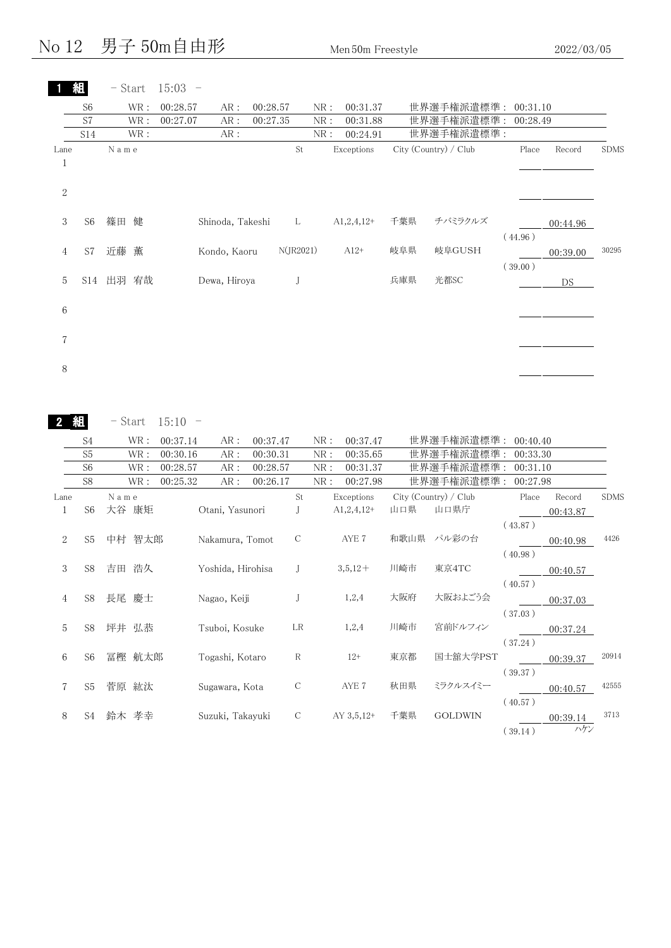No  $12$  男子 50m自由形 Men 50m Freestyle 2022/03/05

 $(39.14)$ 

|                      | 組                                | - Start                       | $15:03 -$                         |                                 |                      |             |              |                                        |     |                                             |                    |                    |                      |
|----------------------|----------------------------------|-------------------------------|-----------------------------------|---------------------------------|----------------------|-------------|--------------|----------------------------------------|-----|---------------------------------------------|--------------------|--------------------|----------------------|
|                      | S <sub>6</sub>                   | $\operatorname{WR}$ :         | 00:28.57                          | AR:                             | 00:28.57             |             | NR:          | 00:31.37                               |     | 世界選手権派遣標準:                                  | 00:31.10           |                    |                      |
|                      | S7                               | $\operatorname{WR}$ :         | 00:27.07                          | AR:                             | 00:27.35             |             | ${\rm NR}$ : | 00:31.88                               |     | 世界選手権派遣標準:                                  | 00:28.49           |                    |                      |
|                      | S14                              | $\operatorname{WR}$ :         |                                   | AR:                             |                      |             | ${\rm NR}$ : | 00:24.91                               |     | 世界選手権派遣標準:                                  |                    |                    |                      |
| Lane<br>$\mathbf{1}$ |                                  | N a m e                       |                                   |                                 |                      | St          |              | Exceptions                             |     | City (Country) / Club                       | Place              | Record             | <b>SDMS</b>          |
| $\sqrt{2}$           |                                  |                               |                                   |                                 |                      |             |              |                                        |     |                                             |                    |                    |                      |
| 3                    | S6                               | 篠田 健                          |                                   | Shinoda, Takeshi                |                      | L           |              | $A1,2,4,12+$                           | 千葉県 | チバミラクルズ                                     |                    | 00:44.96           |                      |
| 4                    | S7                               | 近藤<br>薫                       |                                   | Kondo, Kaoru                    |                      | N(JR2021)   |              | $A12+$                                 | 岐阜県 | 岐阜GUSH                                      | (44.96)            | 00:39.00           | 30295                |
| 5                    |                                  | S14 出羽 宥哉                     |                                   | Dewa, Hiroya                    |                      | J           |              |                                        | 兵庫県 | 光都SC                                        | (39.00)            | DS                 |                      |
| 6                    |                                  |                               |                                   |                                 |                      |             |              |                                        |     |                                             |                    |                    |                      |
| 7                    |                                  |                               |                                   |                                 |                      |             |              |                                        |     |                                             |                    |                    |                      |
| 8                    |                                  |                               |                                   |                                 |                      |             |              |                                        |     |                                             |                    |                    |                      |
| $\overline{2}$       | 組                                | $-$ Start                     |                                   |                                 |                      |             |              |                                        |     |                                             |                    |                    |                      |
|                      | S4<br>S <sub>5</sub>             | $\operatorname{WR}$ :<br>WR : | $15:10 -$<br>00:37.14<br>00:30.16 | AR:<br>AR:                      | 00:37.47<br>00:30.31 |             | NR:<br>NR:   | 00:37.47<br>00:35.65                   |     | 世界選手権派遣標準: 00:40.40<br>世界選手権派遣標準: 00:33.30  |                    |                    |                      |
|                      | S <sub>6</sub><br>S <sub>8</sub> | WR :<br>WR :                  | 00:28.57                          | AR:                             | 00:28.57             |             | NR:          | 00:31.37                               |     | 世界選手権派遣標準: 00:31.10                         | 00:27.98           |                    |                      |
| Lane<br>$\mathbf{1}$ | S <sub>6</sub>                   | N a m e<br>大谷 康矩              | 00:25.32                          | ${\sf AR}$ :<br>Otani, Yasunori | 00:26.17             | St<br>J     | NR:          | 00:27.98<br>Exceptions<br>$A1,2,4,12+$ | 山口県 | 世界選手権派遣標準:<br>City (Country) / Club<br>山口県庁 | Place              | Record<br>00:43.87 |                      |
| $\boldsymbol{2}$     | S <sub>5</sub>                   | 中村 智太郎                        |                                   | Nakamura, Tomot                 |                      | $\cal C$    |              | AYE 7                                  |     | 和歌山県 パル彩の台                                  | (43.87)            | 00:40.98           | 4426                 |
| 3                    | S8                               | 吉田 浩久                         |                                   | Yoshida, Hirohisa               |                      | J           |              | $3,5,12+$                              | 川崎市 | 東京4TC                                       | (40.98)            | 00:40.57           |                      |
| 4                    | S8                               | 長尾 慶士                         |                                   | Nagao, Keiji                    |                      | J           |              | 1,2,4                                  | 大阪府 | 大阪およごう会                                     | (40.57)            | 00:37.03           |                      |
| $\mathbf 5$          | S8                               | 坪井 弘恭                         |                                   | Tsuboi, Kosuke                  |                      | LR          |              | 1,2,4                                  | 川崎市 | 宮前ドルフィン                                     | (37.03)            | 00:37.24           |                      |
| 6                    | S <sub>6</sub>                   | 冨樫 航太郎                        |                                   | Togashi, Kotaro                 |                      | $\mathbf R$ |              | $12+$                                  | 東京都 | 国士舘大学PST                                    | (37.24)            | 00:39.37           | <b>SDMS</b><br>20914 |
| 7                    | S <sub>5</sub>                   | 菅原 紘汰                         |                                   | Sugawara, Kota                  |                      | $\mathbf C$ |              | AYE 7                                  | 秋田県 | ミラクルスイミー                                    | (39.37)<br>(40.57) | 00:40.57           | 42555                |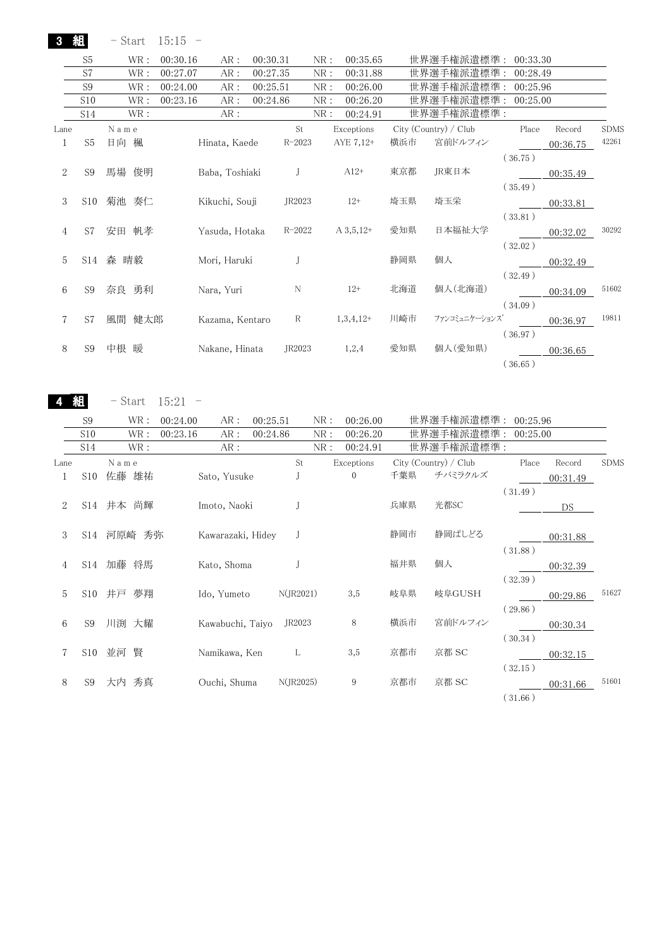3 組 - Start 15:15 -

|      | S <sub>5</sub> | WR :      | 00:30.16 | AR :            | 00:30.31 | NR:          | 00:35.65      |     | 世界選手権派遣標準: 00:33.30   |          |          |             |
|------|----------------|-----------|----------|-----------------|----------|--------------|---------------|-----|-----------------------|----------|----------|-------------|
|      | S7             | WR :      | 00:27.07 | AR :            | 00:27.35 | NR:          | 00:31.88      |     | 世界選手権派遣標準:            | 00:28.49 |          |             |
|      | S9             | WR :      | 00:24.00 | AR :            | 00:25.51 | NR:          | 00:26.00      |     | 世界選手権派遣標準:            | 00:25.96 |          |             |
|      | S10            | WR :      | 00:23.16 | AR :            | 00:24.86 | NR:          | 00:26.20      |     | 世界選手権派遣標準: 00:25.00   |          |          |             |
|      | S14            | WR :      |          | AR :            |          | NR :         | 00:24.91      |     | 世界選手権派遣標準:            |          |          |             |
| Lane |                | Name      |          |                 |          |              | St Exceptions |     | City (Country) / Club | Place    | Record   | <b>SDMS</b> |
|      | S <sub>5</sub> | 日向 楓      |          | Hinata, Kaede   |          | R-2023       | AYE 7,12+     |     | 横浜市 宮前ドルフィン           |          | 00:36.75 | 42261       |
|      |                |           |          |                 |          |              |               |     |                       | (36.75)  |          |             |
| 2    | S9             | 馬場 俊明     |          | Baba, Toshiaki  |          | $\mathbf{J}$ | $A12+$        | 東京都 | JR東日本                 |          | 00:35.49 |             |
|      |                |           |          |                 |          |              |               |     |                       | (35.49)  |          |             |
| 3    |                | S10 菊池 奏仁 |          | Kikuchi, Souji  |          | JR2023       | $12+$         | 埼玉県 | 埼玉栄                   |          | 00:33.81 |             |
|      |                |           |          |                 |          |              |               |     |                       | (33.81)  |          |             |
| 4    | S7             | 安田 帆孝     |          | Yasuda, Hotaka  |          | R-2022       | $A\,3,5,12+$  | 愛知県 | 日本福祉大学                |          | 00:32.02 | 30292       |
|      |                |           |          |                 |          |              |               |     |                       | (32.02)  |          |             |
| 5    |                | S14 森 晴毅  |          | Mori, Haruki    |          |              |               | 静岡県 | 個人                    |          | 00:32.49 |             |
|      |                |           |          |                 |          |              |               |     |                       | (32.49)  |          |             |
| 6    | S9             | 奈良 勇利     |          | Nara, Yuri      |          | N            | $12+$         | 北海道 | 個人(北海道)               |          | 00:34.09 | 51602       |
|      |                |           |          |                 |          |              |               |     |                       | (34.09)  |          |             |
| 7    | S7             | 風間 健太郎    |          | Kazama, Kentaro |          | $R_{\perp}$  | $1,3,4,12+$   | 川崎市 | ファンコミュニケーションズ         |          | 00:36.97 | 19811       |
|      |                |           |          |                 |          |              |               |     |                       | (36.97)  |          |             |
| 8    | S9             | 中根 暖      |          | Nakane, Hinata  | JR2023   |              | 1,2,4         | 愛知県 | 個人(愛知県)               |          |          |             |
|      |                |           |          |                 |          |              |               |     |                       |          | 00:36.65 |             |
|      |                |           |          |                 |          |              |               |     |                       | (36.65)  |          |             |

4 組 - Start 15:21 -

|      | S <sub>9</sub> | WR :     | 00:24.00 | AR:               | 00:25.51 |           | NR: | 00:26.00         |     | 世界選手権派遣標準:            | 00:25.96 |          |             |
|------|----------------|----------|----------|-------------------|----------|-----------|-----|------------------|-----|-----------------------|----------|----------|-------------|
|      | S10            | WR :     | 00:23.16 | AR:               | 00:24.86 |           | NR: | 00:26.20         |     | 世界選手権派遣標準:            | 00:25.00 |          |             |
|      | S14            | WR :     |          | AR:               |          |           | NR: | 00:24.91         |     | 世界選手権派遣標準:            |          |          |             |
| Lane |                | Name     |          |                   |          | St        |     | Exceptions       |     | City (Country) / Club | Place    | Record   | <b>SDMS</b> |
|      | S10            | 佐藤<br>雄祐 |          | Sato, Yusuke      |          |           |     | $\boldsymbol{0}$ | 千葉県 | チバミラクルズ               |          | 00:31.49 |             |
|      |                |          |          |                   |          |           |     |                  |     |                       | (31.49)  |          |             |
| 2    | S14            | 尚輝<br>井本 |          | Imoto, Naoki      |          |           |     |                  | 兵庫県 | 光都SC                  |          | DS       |             |
|      |                |          |          |                   |          |           |     |                  |     |                       |          |          |             |
| 3    | S14            | 河原崎 秀弥   |          | Kawarazaki, Hidey |          |           |     |                  | 静岡市 | 静岡ぱしどる                |          | 00:31.88 |             |
|      |                |          |          |                   |          |           |     |                  |     |                       | (31.88)  |          |             |
| 4    | S14            | 加藤<br>将馬 |          | Kato, Shoma       |          |           |     |                  | 福井県 | 個人                    |          | 00:32.39 |             |
|      |                |          |          |                   |          |           |     |                  |     |                       | (32.39)  |          |             |
| 5    | S10            | 井戸<br>夢翔 |          | Ido, Yumeto       |          | N(JR2021) |     | 3,5              | 岐阜県 | 岐阜GUSH                |          | 00:29.86 | 51627       |
|      |                |          |          |                   |          |           |     |                  |     |                       | (29.86)  |          |             |
| 6    | S9             | 川渕 大耀    |          | Kawabuchi, Taiyo  |          | JR2023    |     | 8                | 横浜市 | 宮前ドルフィン               |          | 00:30.34 |             |
|      |                |          |          |                   |          |           |     |                  |     |                       | (30.34)  |          |             |
|      | S10            | 並河<br>賢  |          | Namikawa, Ken     |          | L         |     | 3,5              | 京都市 | 京都 SC                 |          | 00:32.15 |             |
|      |                |          |          |                   |          |           |     |                  |     |                       | (32.15)  |          |             |
| 8    | S <sub>9</sub> | 秀真<br>大内 |          | Ouchi, Shuma      |          | N(JR2025) |     | 9                | 京都市 | 京都 SC                 |          | 00:31.66 | 51601       |
|      |                |          |          |                   |          |           |     |                  |     |                       | (31.66)  |          |             |
|      |                |          |          |                   |          |           |     |                  |     |                       |          |          |             |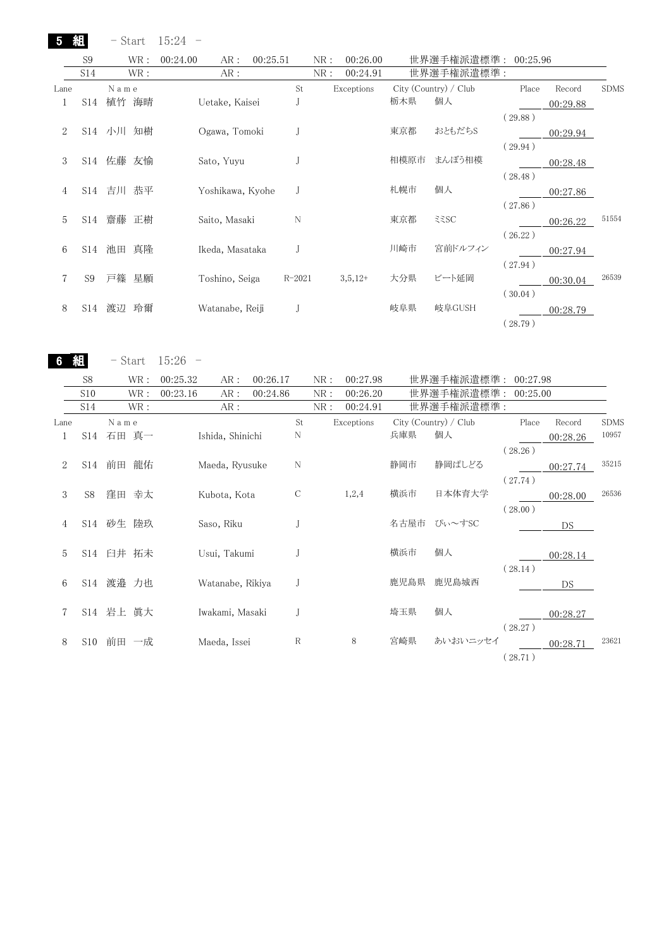5 組 - Start 15:24 -

|      | S <sub>9</sub> | WR:       | 00:24.00<br>AR:  | 00:25.51   | NR: | 00:26.00   |      | 世界選手権派遣標準: 00:25.96   |         |          |             |
|------|----------------|-----------|------------------|------------|-----|------------|------|-----------------------|---------|----------|-------------|
|      | S14            | WR :      | AR:              |            | NR: | 00:24.91   |      | 世界選手権派遣標準 :           |         |          |             |
| Lane |                | Name      |                  | St         |     | Exceptions |      | City (Country) / Club | Place   | Record   | <b>SDMS</b> |
|      | S14            | 植竹 海晴     | Uetake, Kaisei   |            |     |            | 栃木県  | 個人                    |         | 00:29.88 |             |
|      |                |           |                  |            |     |            |      |                       | (29.88) |          |             |
| 2    |                | S14 小川 知樹 | Ogawa, Tomoki    |            |     |            | 東京都  | おともだちS                |         | 00:29.94 |             |
|      |                |           |                  |            |     |            |      |                       | (29.94) |          |             |
| 3    | S14            | 佐藤 友愉     | Sato, Yuyu       |            |     |            | 相模原市 | まんぼう相模                |         | 00:28.48 |             |
|      |                |           |                  |            |     |            |      |                       | (28.48) |          |             |
| 4    | S14            | 吉川 恭平     | Yoshikawa, Kyohe |            |     |            | 札幌市  | 個人                    |         | 00:27.86 |             |
|      |                |           |                  |            |     |            |      |                       | (27.86) |          |             |
| 5    | S14            | 齋藤 正樹     | Saito, Masaki    | N          |     |            | 東京都  | 335C                  |         | 00:26.22 | 51554       |
|      |                |           |                  |            |     |            |      |                       | (26.22) |          |             |
| 6    | S14            | 池田 真隆     | Ikeda, Masataka  |            |     |            | 川崎市  | 宮前ドルフィン               |         | 00:27.94 |             |
|      |                |           |                  |            |     |            |      |                       | (27.94) |          |             |
|      | S9             | 戸篠 星願     | Toshino, Seiga   | $R - 2021$ |     | $3,5,12+$  | 大分県  | ビート延岡                 |         | 00:30.04 | 26539       |
|      |                |           |                  |            |     |            |      |                       | (30.04) |          |             |
| 8    | S14            | 渡辺<br>玲爾  | Watanabe, Reiji  |            |     |            | 岐阜県  | 岐阜GUSH                |         | 00:28.79 |             |
|      |                |           |                  |            |     |            |      |                       | (28.79) |          |             |

6 組 - Start 15:26 -

|              | S <sub>8</sub>  | WR :      | 00:25.32 | AR :             | 00:26.17 |             | NR: | 00:27.98   |      | 世界選手権派遣標準: 00:27.98   |         |          |             |
|--------------|-----------------|-----------|----------|------------------|----------|-------------|-----|------------|------|-----------------------|---------|----------|-------------|
|              | S <sub>10</sub> | WR :      | 00:23.16 | AR :             | 00:24.86 |             | NR: | 00:26.20   |      | 世界選手権派遣標準: 00:25.00   |         |          |             |
|              | S14             | WR :      |          | AR:              |          |             | NR: | 00:24.91   |      | 世界選手権派遣標準 :           |         |          |             |
| Lane         |                 | N a m e   |          |                  |          | St          |     | Exceptions |      | City (Country) / Club | Place   | Record   | <b>SDMS</b> |
| $\mathbf{I}$ | S14             | 石田 真一     |          | Ishida, Shinichi |          | N           |     |            | 兵庫県  | 個人                    |         | 00:28.26 | 10957       |
|              |                 |           |          |                  |          |             |     |            |      |                       | (28.26) |          |             |
| 2            |                 | S14 前田 龍佑 |          | Maeda, Ryusuke   |          | N           |     |            | 静岡市  | 静岡ぱしどる                |         | 00:27.74 | 35215       |
|              |                 |           |          |                  |          |             |     |            |      |                       | (27.74) |          |             |
| 3            | S8              | 窪田 幸太     |          | Kubota, Kota     |          | C           |     | 1,2,4      | 横浜市  | 日本体育大学                |         | 00:28.00 | 26536       |
|              |                 |           |          |                  |          |             |     |            |      |                       | (28.00) |          |             |
| 4            |                 | S14 砂生 陸玖 |          | Saso, Riku       |          |             |     |            |      | 名古屋市 ぴぃ~すSC           |         | DS       |             |
|              |                 |           |          |                  |          |             |     |            |      |                       |         |          |             |
| 5            |                 | S14 臼井 拓未 |          | Usui, Takumi     |          |             |     |            | 横浜市  | 個人                    |         | 00:28.14 |             |
|              |                 |           |          |                  |          |             |     |            |      |                       | (28.14) |          |             |
| 6            |                 | S14 渡邉 力也 |          | Watanabe, Rikiya |          |             |     |            | 鹿児島県 | 鹿児島城西                 |         | DS.      |             |
|              |                 |           |          |                  |          |             |     |            |      |                       |         |          |             |
| 7            |                 | S14 岩上 眞大 |          | Iwakami, Masaki  |          |             |     |            | 埼玉県  | 個人                    |         | 00:28.27 |             |
|              |                 |           |          |                  |          |             |     |            |      |                       | (28.27) |          |             |
| 8            | S10             | 前田 一成     |          | Maeda, Issei     |          | $\mathbb R$ |     | 8          | 宮崎県  | あいおいニッセイ              |         | 00:28.71 | 23621       |
|              |                 |           |          |                  |          |             |     |            |      |                       | (28.71) |          |             |
|              |                 |           |          |                  |          |             |     |            |      |                       |         |          |             |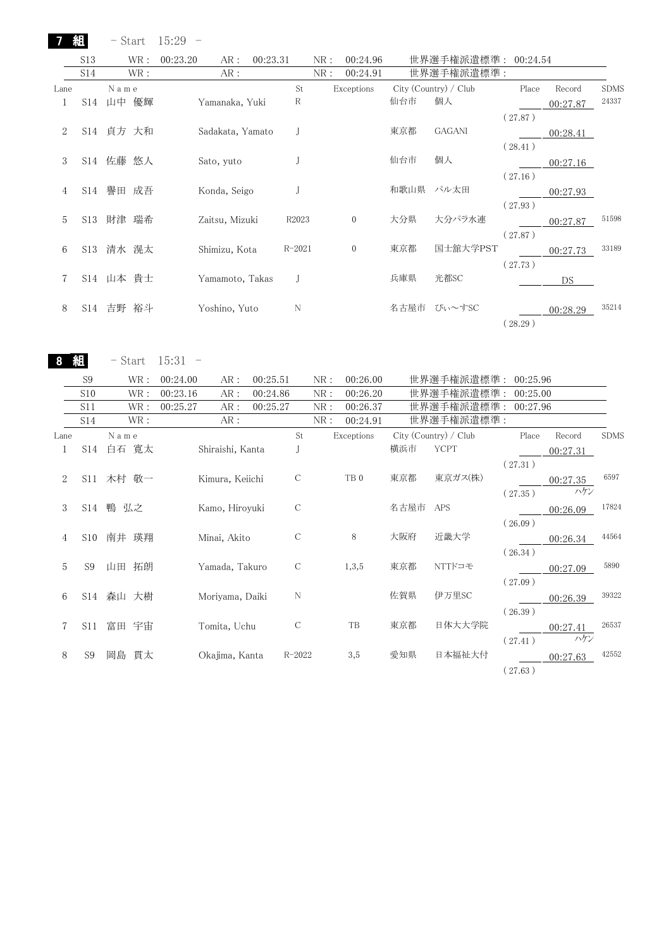|                             | 組   | - Start   | $15:29 -$                    |            |     |              |           |                       |         |          |             |
|-----------------------------|-----|-----------|------------------------------|------------|-----|--------------|-----------|-----------------------|---------|----------|-------------|
|                             | S13 | WR :      | 00:23.20<br>00:23.31<br>AR : |            | NR: | 00:24.96     |           | 世界選手権派遣標準: 00:24.54   |         |          |             |
|                             | S14 | WR :      | AR:                          |            | NR: | 00:24.91     |           | 世界選手権派遣標準 :           |         |          |             |
| Lane                        |     | Name      |                              | St         |     | Exceptions   |           | City (Country) / Club | Place   | Record   | <b>SDMS</b> |
| 1                           | S14 | 山中 優輝     | Yamanaka, Yuki               | R          |     |              | 仙台市       | 個人                    |         | 00:27.87 | 24337       |
|                             |     |           |                              |            |     |              |           |                       | (27.87) |          |             |
| $\mathcal{D}_{\mathcal{L}}$ |     | S14 貞方 大和 | Sadakata, Yamato             |            |     |              | 東京都       | <b>GAGANI</b>         |         | 00:28.41 |             |
|                             |     |           |                              |            |     |              |           |                       | (28.41) |          |             |
| 3                           | S14 | 佐藤 悠人     | Sato, yuto                   |            |     |              | 仙台市       | 個人                    |         | 00:27.16 |             |
|                             |     |           |                              |            |     |              |           |                       | (27.16) |          |             |
| 4                           | S14 | 譽田 成吾     | Konda, Seigo                 | J          |     |              | 和歌山県 パル太田 |                       |         | 00:27.93 |             |
|                             |     |           |                              |            |     |              |           |                       | (27.93) |          |             |
| 5                           |     | S13 財津 瑞希 | Zaitsu, Mizuki               | R2023      |     | $\mathbf{0}$ | 大分県       | 大分パラ水連                |         | 00:27.87 | 51598       |
|                             |     |           |                              |            |     |              |           |                       | (27.87) |          |             |
| 6                           | S13 | 清水 滉太     | Shimizu, Kota                | $R - 2021$ |     | $\mathbf{0}$ | 東京都       | 国士舘大学PST              |         | 00:27.73 | 33189       |
|                             |     |           |                              |            |     |              |           |                       | (27.73) |          |             |
| 7                           |     | S14 山本 貴士 | Yamamoto, Takas              | J          |     |              | 兵庫県       | 光都SC                  |         | DS       |             |
|                             |     |           |                              |            |     |              |           |                       |         |          |             |
| 8                           | S14 | 吉野<br>裕斗  | Yoshino, Yuto                | N          |     |              | 名古屋市      | ぴぃ~すSC                |         | 00:28.29 | 35214       |
|                             |     |           |                              |            |     |              |           |                       | (28.29) |          |             |

8 組

 $-$  Start  $15:31 -$ 

|      | S <sub>9</sub> | WR :     | 00:24.00 | AR:              | 00:25.51 |               | NR: | 00:26.00        |      | 世界選手権派遣標準:            | 00:25.96 |                 |             |
|------|----------------|----------|----------|------------------|----------|---------------|-----|-----------------|------|-----------------------|----------|-----------------|-------------|
|      | S10            | WR :     | 00:23.16 | AR:              | 00:24.86 |               | NR: | 00:26.20        |      | 世界選手権派遣標準:            | 00:25.00 |                 |             |
|      | S11            | WR :     | 00:25.27 | AR:              | 00:25.27 |               | NR: | 00:26.37        |      | 世界選手権派遣標準:            | 00:27.96 |                 |             |
|      | S14            | WR :     |          | AR :             |          |               | NR: | 00:24.91        |      | 世界選手権派遣標準:            |          |                 |             |
| Lane |                | Name     |          |                  |          | St            |     | Exceptions      |      | City (Country) / Club | Place    | Record          | <b>SDMS</b> |
| 1    | S14            | 白石 寛太    |          | Shiraishi, Kanta |          |               |     |                 | 横浜市  | YCPT                  |          | 00:27.31        |             |
|      |                |          |          |                  |          |               |     |                 |      |                       | (27.31)  |                 |             |
| 2    | S11            | 木村 敬一    |          | Kimura, Keiichi  |          | C             |     | TB <sub>0</sub> | 東京都  | 東京ガス(株)               |          | 00:27.35        | 6597        |
|      |                |          |          |                  |          |               |     |                 |      |                       | (27.35)  | ハケン             |             |
| 3    | S14            | 鴨 弘之     |          | Kamo, Hiroyuki   |          | C             |     |                 | 名古屋市 | APS                   |          | 00:26.09        | 17824       |
|      |                |          |          |                  |          |               |     |                 |      |                       | (26.09)  |                 |             |
| 4    | S10            | 南井 瑛翔    |          | Minai, Akito     |          | C             |     | $\,8\,$         | 大阪府  | 近畿大学                  |          | 00:26.34        | 44564       |
|      |                |          |          |                  |          |               |     |                 |      |                       | (26.34)  |                 |             |
| 5    | S9             | 拓朗<br>山田 |          | Yamada, Takuro   |          | C             |     | 1,3,5           | 東京都  | NTTドコモ                |          | 00:27.09        | 5890        |
|      |                |          |          |                  |          |               |     |                 |      |                       | (27.09)  |                 |             |
| 6    | S14            | 森山 大樹    |          | Moriyama, Daiki  |          | $\mathbf N$   |     |                 | 佐賀県  | 伊万里SC                 |          |                 | 39322       |
|      |                |          |          |                  |          |               |     |                 |      |                       | (26.39)  | 00:26.39        |             |
|      |                | 富田 宇宙    |          |                  |          | $\mathcal{C}$ |     | TB              | 東京都  | 日体大大学院                |          |                 | 26537       |
|      | S11            |          |          | Tomita, Uchu     |          |               |     |                 |      |                       |          | 00:27.41<br>ハケン |             |
|      |                |          |          |                  |          |               |     |                 |      |                       | (27.41)  |                 |             |
| 8    | S <sub>9</sub> | 岡島<br>貫太 |          | Okajima, Kanta   |          | $R - 2022$    |     | 3,5             | 愛知県  | 日本福祉大付                |          | 00:27.63        | 42552       |
|      |                |          |          |                  |          |               |     |                 |      |                       | (27.63)  |                 |             |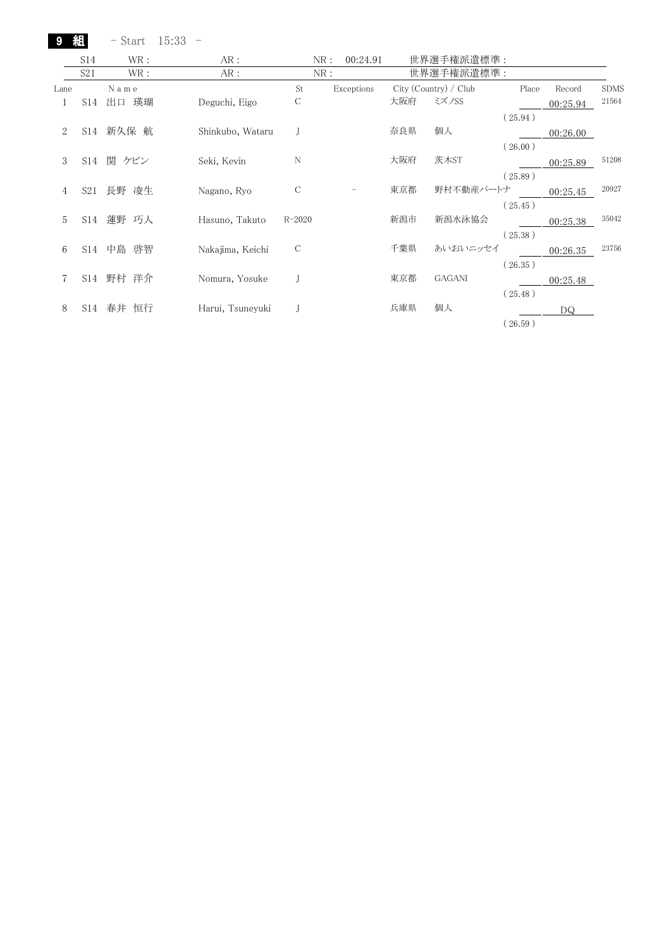9 組 - Start 15:33 -

|             | S14 | WR :        | AR :             | NR:           | 00:24.91   |     | 世界選手権派遣標準:            |         |          |             |
|-------------|-----|-------------|------------------|---------------|------------|-----|-----------------------|---------|----------|-------------|
|             | S21 | WR :        | AR:              | NR :          |            |     | 世界選手権派遣標準:            |         |          |             |
| Lane        |     | Name        |                  | St            | Exceptions |     | City (Country) / Club | Place   | Record   | <b>SDMS</b> |
|             |     | S14 出口 瑛瑚   | Deguchi, Eigo    | C             |            |     | 大阪府 ミズノSS             |         | 00:25.94 | 21564       |
|             |     |             |                  |               |            |     |                       | (25.94) |          |             |
| $2^{\circ}$ |     | S14 新久保 航   | Shinkubo, Wataru |               |            | 奈良県 | 個人                    |         | 00:26.00 |             |
|             |     |             |                  |               |            |     |                       | (26.00) |          |             |
|             |     | 3 S14 関 ケビン | Seki, Kevin      | N             |            | 大阪府 | 茨木ST                  |         | 00:25.89 | 51208       |
|             |     |             |                  |               |            |     |                       | (25.89) |          |             |
| 4           |     | S21 長野 凌生   | Nagano, Ryo      | $\mathcal{C}$ |            | 東京都 | 野村不動産パートナ             |         | 00:25.45 | 20927       |
|             |     |             |                  |               |            |     |                       | (25.45) |          |             |
| 5           |     | S14 蓮野 巧人   | Hasuno, Takuto   | R-2020        |            | 新潟市 | 新潟水泳協会                |         | 00:25.38 | 35042       |
|             |     |             |                  |               |            |     |                       | (25.38) |          |             |
|             |     | 6 S14 中島 啓智 | Nakajima, Keichi | $\mathcal{C}$ |            | 千葉県 | あいおいニッセイ              |         | 00:26.35 | 23756       |
|             |     |             |                  |               |            |     |                       | (26.35) |          |             |
|             |     | S14 野村 洋介   | Nomura, Yosuke   |               |            | 東京都 | GAGANI                |         | 00:25.48 |             |
|             |     |             |                  |               |            |     |                       | (25.48) |          |             |
| 8           |     | S14 春井 恒行   | Harui, Tsuneyuki |               |            | 兵庫県 | 個人                    |         | DQ       |             |
|             |     |             |                  |               |            |     |                       | (26.59) |          |             |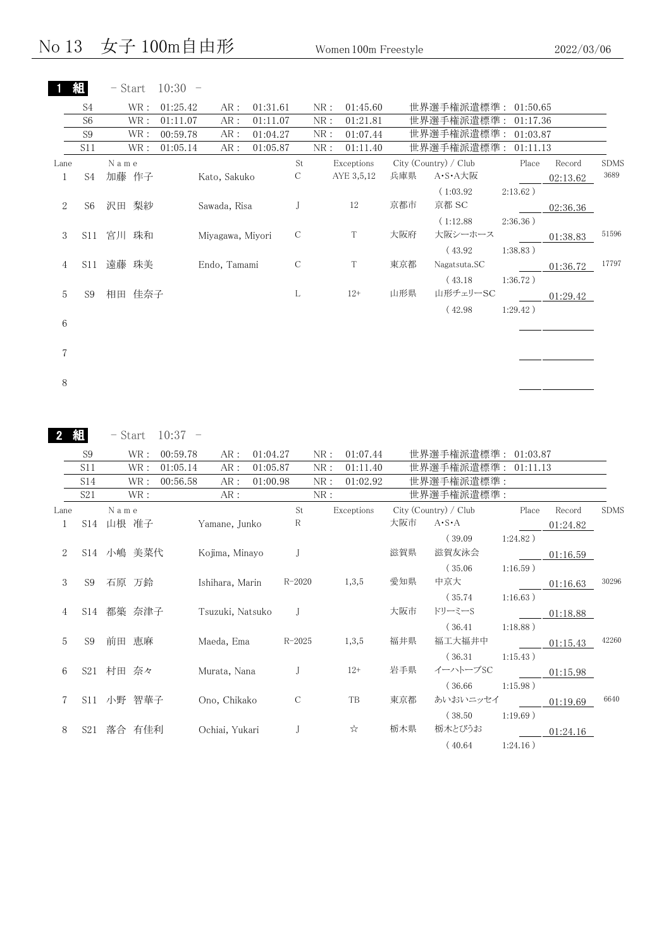|                |                | - Start   | $10:30 -$ |                  |          |               |     |            |     |                       |             |          |             |
|----------------|----------------|-----------|-----------|------------------|----------|---------------|-----|------------|-----|-----------------------|-------------|----------|-------------|
|                | S <sub>4</sub> | WR :      | 01:25.42  | AR :             | 01:31.61 |               | NR: | 01:45.60   |     | 世界選手権派遣標準: 01:50.65   |             |          |             |
|                | S <sub>6</sub> | WR :      | 01:11.07  | AR:              | 01:11.07 |               | NR: | 01:21.81   |     | 世界選手権派遣標準: 01:17.36   |             |          |             |
|                | S <sub>9</sub> | WR :      | 00:59.78  | AR:              | 01:04.27 |               | NR: | 01:07.44   |     | 世界選手権派遣標準: 01:03.87   |             |          |             |
|                | <b>S11</b>     | WR :      | 01:05.14  | AR :             | 01:05.87 |               | NR: | 01:11.40   |     | 世界選手権派遣標準:            | 01:11.13    |          |             |
| Lane           |                | Name      |           |                  |          | St            |     | Exceptions |     | City (Country) / Club | Place       | Record   | <b>SDMS</b> |
| $\mathbf{1}$   | S4             | 加藤 作子     |           | Kato, Sakuko     |          | $\mathcal{C}$ |     | AYE 3,5,12 | 兵庫県 | A·S·A大阪               |             | 02:13.62 | 3689        |
|                |                |           |           |                  |          |               |     |            |     | (1:03.92)             | $2:13.62$ ) |          |             |
| $\overline{2}$ | S6             | 沢田 梨紗     |           | Sawada, Risa     |          | J             |     | 12         | 京都市 | 京都 SC                 |             | 02:36.36 |             |
|                |                |           |           |                  |          |               |     |            |     | (1:12.88)             | $2:36.36$ ) |          |             |
| 3              |                | S11 宮川 珠和 |           | Miyagawa, Miyori |          | $\mathcal{C}$ |     | T          | 大阪府 | 大阪シーホース               |             | 01:38.83 | 51596       |
|                |                |           |           |                  |          |               |     |            |     | (43.92)               | $1:38.83$ ) |          |             |
| 4              | S11            | 遠藤 珠美     |           | Endo, Tamami     |          | C             |     | T          | 東京都 | Nagatsuta.SC          |             | 01:36.72 | 17797       |
|                |                |           |           |                  |          |               |     |            |     | (43.18)               | $1:36.72$ ) |          |             |
| 5              | S9             | 相田 佳奈子    |           |                  |          | L             |     | $12+$      | 山形県 | 山形チェリーSC              |             | 01:29.42 |             |
|                |                |           |           |                  |          |               |     |            |     | (42.98)               | 1:29.42)    |          |             |
| 6              |                |           |           |                  |          |               |     |            |     |                       |             |          |             |
|                |                |           |           |                  |          |               |     |            |     |                       |             |          |             |
| 7              |                |           |           |                  |          |               |     |            |     |                       |             |          |             |
|                |                |           |           |                  |          |               |     |            |     |                       |             |          |             |
| 8              |                |           |           |                  |          |               |     |            |     |                       |             |          |             |
|                |                |           |           |                  |          |               |     |            |     |                       |             |          |             |

| 組 | - Start | 10:37 |  |
|---|---------|-------|--|
|---|---------|-------|--|

|                             | S <sub>9</sub>  |           | WR :       | 00:59.78 | AR :             | 01:04.27 |                | NR : | 01:07.44   |     | 世界選手権派遣標準: 01:03.87   |             |          |             |
|-----------------------------|-----------------|-----------|------------|----------|------------------|----------|----------------|------|------------|-----|-----------------------|-------------|----------|-------------|
|                             | S11             |           | WR :       | 01:05.14 | AR:              | 01:05.87 |                | NR:  | 01:11.40   |     | 世界選手権派遣標準: 01:11.13   |             |          |             |
|                             | S14             |           | WR :       | 00:56.58 | AR :             | 01:00.98 |                | NR:  | 01:02.92   |     | 世界選手権派遣標準:            |             |          |             |
|                             | S <sub>21</sub> |           | WR :       |          | AR:              |          |                | NR:  |            |     | 世界選手権派遣標準:            |             |          |             |
| Lane                        |                 | Name      |            |          |                  |          | St             |      | Exceptions |     | City (Country) / Club | Place       | Record   | <b>SDMS</b> |
| $\mathbf{1}$                |                 | S14 山根 准子 |            |          | Yamane, Junko    |          | R              |      |            | 大阪市 | $A \cdot S \cdot A$   |             | 01:24.82 |             |
| $\mathcal{D}_{\mathcal{L}}$ |                 |           | S14 小嶋 美菜代 |          |                  |          |                |      |            | 滋賀県 | (39.09)<br>滋賀友泳会      | $1:24.82$ ) |          |             |
|                             |                 |           |            |          | Kojima, Minayo   |          |                |      |            |     |                       |             | 01:16.59 |             |
| 3                           | S9              | 石原 万鈴     |            |          | Ishihara, Marin  |          | R-2020         |      | 1,3,5      | 愛知県 | (35.06)<br>中京大        | $1:16.59$ ) | 01:16.63 | 30296       |
|                             |                 |           |            |          |                  |          |                |      |            |     | (35.74)               | $1:16.63$ ) |          |             |
| $\overline{4}$              |                 |           | S14 都築 奈津子 |          | Tsuzuki, Natsuko |          | $\overline{J}$ |      |            | 大阪市 | ドリーミーS                |             | 01:18.88 |             |
|                             |                 |           |            |          |                  |          |                |      |            |     | (36.41)               | $1:18.88$ ) |          |             |
| 5                           | S9              | 前田 恵麻     |            |          | Maeda, Ema       |          | R-2025         |      | 1,3,5      | 福井県 | 福工大福井中                |             | 01:15.43 | 42260       |
|                             |                 |           |            |          |                  |          |                |      |            |     | (36.31)               | 1:15.43)    |          |             |
| 6                           |                 | S21 村田 奈々 |            |          | Murata, Nana     |          | $\mathbf{I}$   |      | $12+$      | 岩手県 | イーハトーブSC              |             | 01:15.98 |             |
|                             |                 |           |            |          |                  |          |                |      |            |     | (36.66)               | $1:15.98$ ) |          |             |
| 7                           |                 |           | S11 小野 智華子 |          | Ono, Chikako     |          | $\mathcal{C}$  |      | TB         | 東京都 | あいおいニッセイ              |             | 01:19.69 | 6640        |
|                             |                 |           |            |          |                  |          |                |      |            |     | (38.50)               | $1:19.69$ ) |          |             |
| 8                           |                 |           | S21 落合 有佳利 |          | Ochiai, Yukari   |          |                |      | ☆          | 栃木県 | 栃木とびうお                |             | 01:24.16 |             |
|                             |                 |           |            |          |                  |          |                |      |            |     | (40.64)               | $1:24.16$ ) |          |             |
|                             |                 |           |            |          |                  |          |                |      |            |     |                       |             |          |             |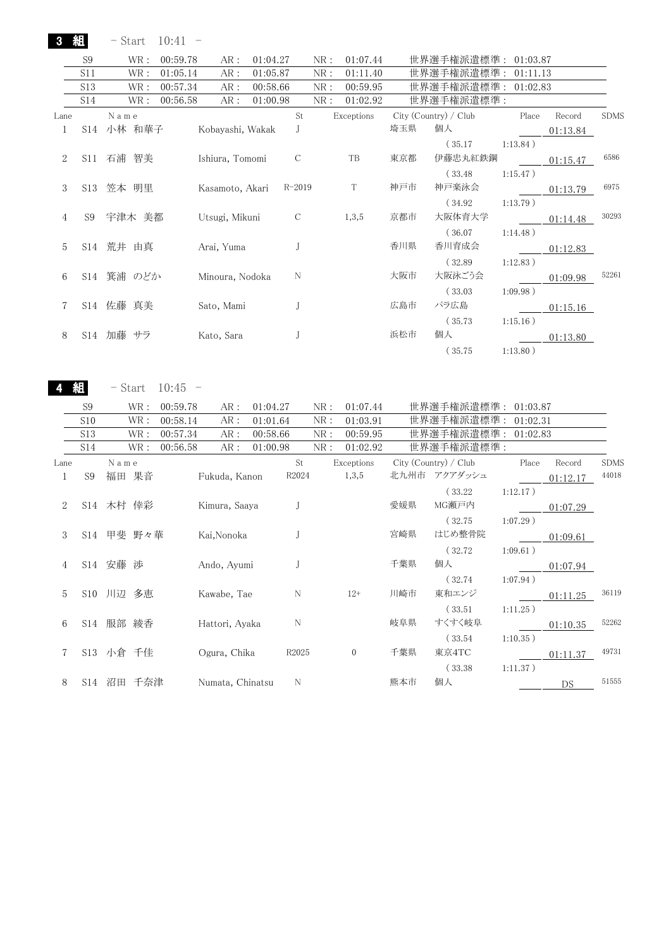3 組 - Start  $10:41$  -

|      | S <sub>9</sub>  | WR :       | 00:59.78 | AR :             | 01:04.27 |               | NR:  | 01:07.44   |     | 世界選手権派遣標準: 01:03.87   |             |          |             |
|------|-----------------|------------|----------|------------------|----------|---------------|------|------------|-----|-----------------------|-------------|----------|-------------|
|      | S11             | WR :       | 01:05.14 | AR:              | 01:05.87 |               | NR:  | 01:11.40   |     | 世界選手権派遣標準: 01:11.13   |             |          |             |
|      | S <sub>13</sub> | WR :       | 00:57.34 | AR:              | 00:58.66 |               | NR:  | 00:59.95   |     | 世界選手権派遣標準: 01:02.83   |             |          |             |
|      | S14             | WR :       | 00:56.58 | AR :             | 01:00.98 |               | NR : | 01:02.92   |     | 世界選手権派遣標準:            |             |          |             |
| Lane |                 | Name       |          |                  |          | St            |      | Exceptions |     | City (Country) / Club | Place       | Record   | <b>SDMS</b> |
|      |                 | S14 小林 和華子 |          | Kobayashi, Wakak |          | T             |      |            | 埼玉県 | 個人                    |             | 01:13.84 |             |
|      |                 |            |          |                  |          |               |      |            |     | (35.17)               | $1:13.84$ ) |          |             |
| 2    |                 | S11 石浦 智美  |          | Ishiura, Tomomi  |          | $\mathcal{C}$ |      | TB         | 東京都 | 伊藤忠丸紅鉄鋼               |             | 01:15.47 | 6586        |
|      |                 |            |          |                  |          |               |      |            |     | (33.48)               | $1:15.47$ ) |          |             |
| 3    | S13             | 笠本 明里      |          | Kasamoto, Akari  |          | $R - 2019$    |      | T          | 神戸市 | 神戸楽泳会                 |             | 01:13.79 | 6975        |
|      |                 |            |          |                  |          |               |      |            |     | (34.92)               | $1:13.79$ ) |          |             |
| 4    | S9              | 宇津木 美都     |          | Utsugi, Mikuni   |          | C             |      | 1,3,5      | 京都市 | 大阪体育大学                |             | 01:14.48 | 30293       |
|      |                 |            |          |                  |          |               |      |            |     | (36.07)               | 1:14.48)    |          |             |
| 5    |                 | S14 荒井 由真  |          | Arai, Yuma       |          |               |      |            | 香川県 | 香川育成会                 |             | 01:12.83 |             |
|      |                 |            |          |                  |          |               |      |            |     | (32.89)               | 1:12.83)    |          |             |
| 6    |                 | S14 箕浦 のどか |          | Minoura, Nodoka  |          | N             |      |            | 大阪市 | 大阪泳ごう会                |             | 01:09.98 | 52261       |
|      |                 |            |          |                  |          |               |      |            |     | (33.03)               | $1:09.98$ ) |          |             |
|      |                 | S14 佐藤 真美  |          | Sato, Mami       |          |               |      |            | 広島市 | パラ広島                  |             |          |             |
|      |                 |            |          |                  |          |               |      |            |     | (35.73)               | $1:15.16$ ) | 01:15.16 |             |
|      |                 |            |          |                  |          |               |      |            |     |                       |             |          |             |
| 8    |                 | S14 加藤 サラ  |          | Kato, Sara       |          |               |      |            | 浜松市 | 個人                    |             | 01:13.80 |             |
|      |                 |            |          |                  |          |               |      |            |     | (35.75)               | $1:13.80$ ) |          |             |

4 組 - Start 10:45 -

|      | S <sub>9</sub>  | WR :        | 00:59.78 | AR:              | 01:04.27 |       | NR: | 01:07.44     |     | 世界選手権派遣標準:            | 01:03.87    |          |             |
|------|-----------------|-------------|----------|------------------|----------|-------|-----|--------------|-----|-----------------------|-------------|----------|-------------|
|      | S10             | WR :        | 00:58.14 | AR:              | 01:01.64 |       | NR: | 01:03.91     |     | 世界選手権派遣標準:            | 01:02.31    |          |             |
|      | S <sub>13</sub> | WR :        | 00:57.34 | AR:              | 00:58.66 |       | NR: | 00:59.95     |     | 世界選手権派遣標準:            | 01:02.83    |          |             |
|      | S14             | WR :        | 00:56.58 | AR:              | 01:00.98 |       | NR: | 01:02.92     |     | 世界選手権派遣標準:            |             |          |             |
| Lane |                 | N a m e     |          |                  |          | St    |     | Exceptions   |     | City (Country) / Club | Place       | Record   | <b>SDMS</b> |
|      | S <sub>9</sub>  | 福田 果音       |          | Fukuda, Kanon    |          | R2024 |     | 1,3,5        |     | 北九州市 アクアダッシュ          |             | 01:12.17 | 44018       |
|      |                 |             |          |                  |          |       |     |              |     | (33.22)               | 1:12.17)    |          |             |
| 2    | S14             | 木村 倖彩       |          | Kimura, Saaya    |          |       |     |              | 愛媛県 | MG瀬戸内                 |             | 01:07.29 |             |
|      |                 |             |          |                  |          |       |     |              |     | (32.75)               | $1:07.29$ ) |          |             |
| 3    | S14             | 甲斐 野々華      |          | Kai,Nonoka       |          |       |     |              | 宮崎県 | はじめ整骨院                |             | 01:09.61 |             |
|      |                 |             |          |                  |          |       |     |              |     | (32.72)               | 1:09.61)    |          |             |
| 4    |                 | S14 安藤<br>渉 |          | Ando, Ayumi      |          |       |     |              | 千葉県 | 個人                    |             | 01:07.94 |             |
|      |                 |             |          |                  |          |       |     |              |     | (32.74)               | 1:07.94)    |          |             |
| 5    | S10             | 川辺 多恵       |          | Kawabe, Tae      |          | N     |     | $12+$        | 川崎市 | 東和エンジ                 |             | 01:11.25 | 36119       |
|      |                 |             |          |                  |          |       |     |              |     | (33.51)               | 1:11.25)    |          |             |
| 6    | S14             | 服部 綾香       |          | Hattori, Ayaka   |          | N     |     |              | 岐阜県 | すくすく岐阜                |             |          | 52262       |
|      |                 |             |          |                  |          |       |     |              |     | (33.54)               | 1:10.35)    | 01:10.35 |             |
|      |                 |             |          | Ogura, Chika     |          | R2025 |     | $\mathbf{0}$ | 千葉県 | 東京4TC                 |             |          | 49731       |
|      |                 | S13 小倉 千佳   |          |                  |          |       |     |              |     |                       |             | 01:11.37 |             |
|      |                 |             |          |                  |          |       |     |              |     | (33.38)               | 1:11.37)    |          |             |
| 8    | S14             | 沼田<br>千奈津   |          | Numata, Chinatsu |          | N     |     |              | 熊本市 | 個人                    |             | DS       | 51555       |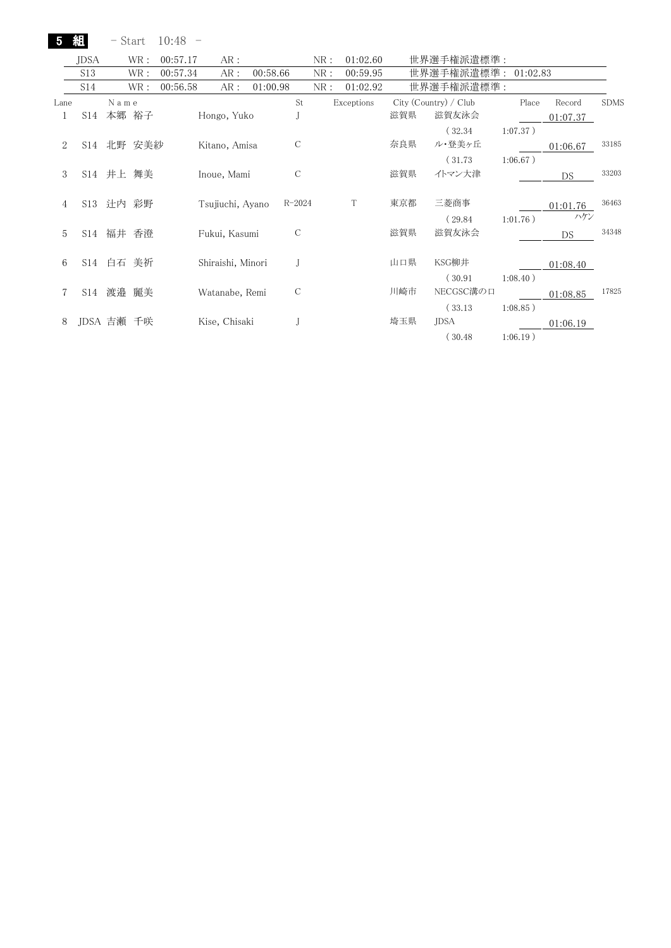| $-$ Start 10:48 – | 5 組 |  |  |  |
|-------------------|-----|--|--|--|
|-------------------|-----|--|--|--|

|      | <b>JDSA</b> |           | WR :   | 00:57.17 | AR:               |          |               | NR: | 01:02.60   |     | 世界選手権派遣標準:            |             |          |             |
|------|-------------|-----------|--------|----------|-------------------|----------|---------------|-----|------------|-----|-----------------------|-------------|----------|-------------|
|      | S13         |           | WR :   | 00:57.34 | AR :              | 00:58.66 |               | NR: | 00:59.95   |     | 世界選手権派遣標準:            | 01:02.83    |          |             |
|      | S14         |           | WR :   | 00:56.58 | AR :              | 01:00.98 |               | NR: | 01:02.92   |     | 世界選手権派遣標準:            |             |          |             |
| Lane |             | Name      |        |          |                   |          | St            |     | Exceptions |     | City (Country) / Club | Place       | Record   | <b>SDMS</b> |
|      | S14         | 本郷 裕子     |        |          | Hongo, Yuko       |          |               |     |            | 滋賀県 | 滋賀友泳会                 |             | 01:07.37 |             |
|      |             |           |        |          |                   |          |               |     |            |     | (32.34)               | $1:07.37$ ) |          |             |
| 2    | S14         |           | 北野 安美紗 |          | Kitano, Amisa     |          | C             |     |            | 奈良県 | ル・登美ヶ丘                |             | 01:06.67 | 33185       |
|      |             |           |        |          |                   |          |               |     |            |     | (31.73)               | $1:06.67$ ) |          |             |
| 3    |             | S14 井上 舞美 |        |          | Inoue, Mami       |          | C             |     |            | 滋賀県 | イトマン大津                |             | DS       | 33203       |
|      |             |           |        |          |                   |          |               |     |            |     |                       |             |          |             |
| 4    |             | S13 辻内 彩野 |        |          | Tsujiuchi, Ayano  |          | $R - 2024$    |     | T          | 東京都 | 三菱商事                  |             | 01:01.76 | 36463       |
|      |             |           |        |          |                   |          |               |     |            |     | (29.84)               | $1:01.76$ ) | ハケン      |             |
| 5    | S14         | 福井 香澄     |        |          | Fukui, Kasumi     |          | С             |     |            | 滋賀県 | 滋賀友泳会                 |             | DS.      | 34348       |
|      |             |           |        |          |                   |          |               |     |            |     |                       |             |          |             |
| 6    |             | S14 白石    | 美祈     |          | Shiraishi, Minori |          |               |     |            | 山口県 | KSG柳井                 |             | 01:08.40 |             |
|      |             |           |        |          |                   |          |               |     |            |     | (30.91)               | 1:08.40)    |          |             |
|      | S14         | 渡邉        | 麗美     |          | Watanabe, Remi    |          | $\mathcal{C}$ |     |            | 川崎市 | NECGSC溝の口             |             | 01:08.85 | 17825       |
|      |             |           |        |          |                   |          |               |     |            |     | (33.13)               | $1:08.85$ ) |          |             |
| 8    |             | JDSA 吉瀬   | 千咲     |          | Kise, Chisaki     |          |               |     |            | 埼玉県 | JDSA                  |             | 01:06.19 |             |
|      |             |           |        |          |                   |          |               |     |            |     | 30.48                 | $1:06.19$ ) |          |             |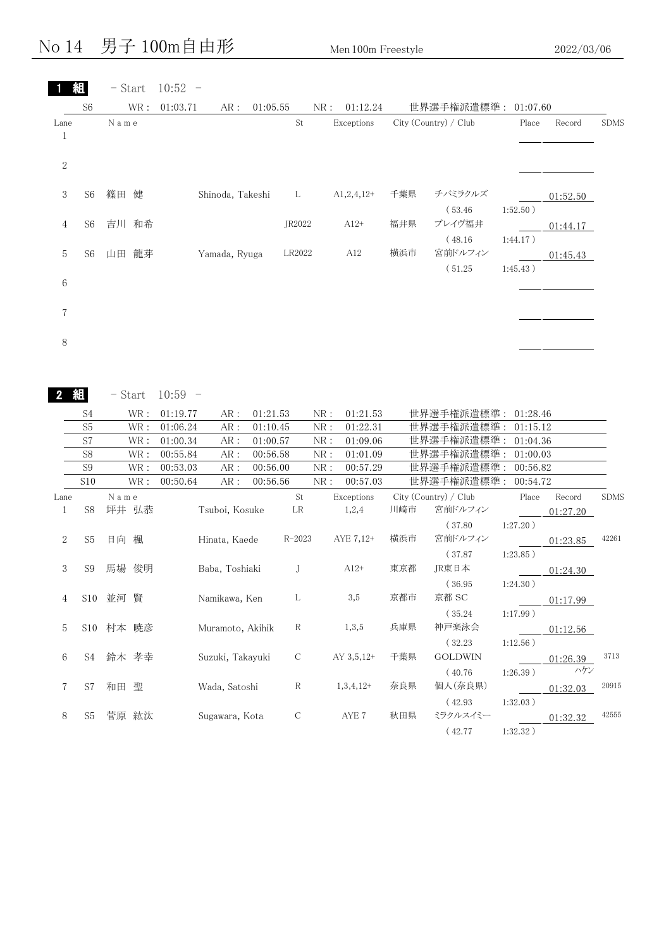# No 14 男子 100m自由形 Men 100m Freestyle 2022/03/06

|                      | 組<br>S <sub>6</sub> | - Start<br>WR : | $10:52 -$<br>01:03.71 | AR:<br>01:05.55  |        | NR:<br>01:12.24 |     | 世界選手権派遣標準:            | 01:07.60    |          |             |
|----------------------|---------------------|-----------------|-----------------------|------------------|--------|-----------------|-----|-----------------------|-------------|----------|-------------|
| Lane<br>$\mathbf{1}$ |                     | N a m e         |                       |                  | St     | Exceptions      |     | City (Country) / Club | Place       | Record   | <b>SDMS</b> |
| $\sqrt{2}$           |                     |                 |                       |                  |        |                 |     |                       |             |          |             |
| 3                    | S <sub>6</sub>      | 篠田<br>健         |                       | Shinoda, Takeshi | L      | $A1, 2, 4, 12+$ | 千葉県 | チバミラクルズ<br>(53.46)    | 1:52.50)    | 01:52.50 |             |
| $\overline{4}$       | S <sub>6</sub>      | 吉川 和希           |                       |                  | JR2022 | $A12+$          | 福井県 | ブレイヴ福井                |             | 01:44.17 |             |
| $5\,$                | S <sub>6</sub>      | 山田<br>龍芽        |                       | Yamada, Ryuga    | LR2022 | A12             | 横浜市 | (48.16)<br>宮前ドルフィン    | $1:44.17$ ) | 01:45.43 |             |
| $\,6\,$              |                     |                 |                       |                  |        |                 |     | (51.25)               | 1:45.43)    |          |             |
| $\sqrt{ }$           |                     |                 |                       |                  |        |                 |     |                       |             |          |             |
| $8\,$                |                     |                 |                       |                  |        |                 |     |                       |             |          |             |
|                      |                     |                 |                       |                  |        |                 |     |                       |             |          |             |
| $\mathbf{2}$         | 組                   |                 | $-$ Start $10:59 -$   |                  |        |                 |     |                       |             |          |             |

|      | S4              | WR :      | 01:19.77 | AR:               | 01:21.53 |               | 01:21.53<br>NR: |     | 世界選手権派遣標準:            | 01:28.46    |          |             |
|------|-----------------|-----------|----------|-------------------|----------|---------------|-----------------|-----|-----------------------|-------------|----------|-------------|
|      | S <sub>5</sub>  | WR:       | 01:06.24 | AR:               | 01:10.45 |               | 01:22.31<br>NR: |     | 世界選手権派遣標準 :           | 01:15.12    |          |             |
|      | S7              | WR :      | 01:00.34 | AR:               | 01:00.57 |               | 01:09.06<br>NR: |     | 世界選手権派遣標準:            | 01:04.36    |          |             |
|      | S <sub>8</sub>  | WR :      | 00:55.84 | AR:               | 00:56.58 |               | 01:01.09<br>NR: |     | 世界選手権派遣標準 :           | 01:00.03    |          |             |
|      | S <sub>9</sub>  | WR :      | 00:53.03 | AR:               | 00:56.00 |               | 00:57.29<br>NR: |     | 世界選手権派遣標準:            | 00:56.82    |          |             |
|      | S <sub>10</sub> | WR :      | 00:50.64 | AR :              | 00:56.56 |               | 00:57.03<br>NR: |     | 世界選手権派遣標準:            | 00:54.72    |          |             |
| Lane |                 | Name      |          |                   |          | St            | Exceptions      |     | City (Country) / Club | Place       | Record   | <b>SDMS</b> |
| 1    | S8              | 坪井 弘恭     |          | Tsuboi, Kosuke LR |          |               | 1,2,4           | 川崎市 | 宮前ドルフィン               |             | 01:27.20 |             |
|      |                 |           |          |                   |          |               |                 |     | (37.80)               | $1:27.20$ ) |          |             |
| 2    | S <sub>5</sub>  | 日向<br>楓   |          | Hinata, Kaede     |          | $R - 2023$    | AYE 7,12+       | 横浜市 | 宮前ドルフィン               |             | 01:23.85 | 42261       |
|      |                 |           |          |                   |          |               |                 |     | (37.87)               | $1:23.85$ ) |          |             |
| 3    | S9              | 馬場 俊明     |          | Baba, Toshiaki    |          |               | $A12+$          | 東京都 | JR東日本                 |             | 01:24.30 |             |
|      |                 |           |          |                   |          |               |                 |     | (36.95)               | $1:24.30$ ) |          |             |
| 4    | S10             | 並河 賢      |          | Namikawa, Ken     |          | L             | 3,5             | 京都市 | 京都 SC                 |             | 01:17.99 |             |
|      |                 |           |          |                   |          |               |                 |     | (35.24)               | $1:17.99$ ) |          |             |
| 5    |                 | S10 村本 暁彦 |          | Muramoto, Akihik  |          | $\mathbb{R}$  | 1,3,5           | 兵庫県 | 神戸楽泳会                 |             | 01:12.56 |             |
|      |                 |           |          |                   |          |               |                 |     | (32.23)               | $1:12.56$ ) |          |             |
| 6    | S4              | 鈴木 孝幸     |          | Suzuki, Takayuki  |          | $\mathsf{C}$  | $AY$ 3,5,12+    | 千葉県 | <b>GOLDWIN</b>        |             | 01:26.39 | 3713        |
|      |                 |           |          |                   |          |               |                 |     | (40.76)               | $1:26.39$ ) | ハケン      |             |
| 7    | S7              | 和田 聖      |          | Wada, Satoshi     |          | R             | $1,3,4,12+$     | 奈良県 | 個人(奈良県)               |             | 01:32.03 | 20915       |
|      |                 |           |          |                   |          |               |                 |     | (42.93)               | $1:32.03$ ) |          |             |
| 8    | S5              | 菅原 紘汰     |          | Sugawara, Kota    |          | $\mathcal{C}$ | AYE 7           | 秋田県 | ミラクルスイミー              |             |          | 42555       |
|      |                 |           |          |                   |          |               |                 |     |                       |             | 01:32.32 |             |
|      |                 |           |          |                   |          |               |                 |     | (42.77)               | $1:32.32$ ) |          |             |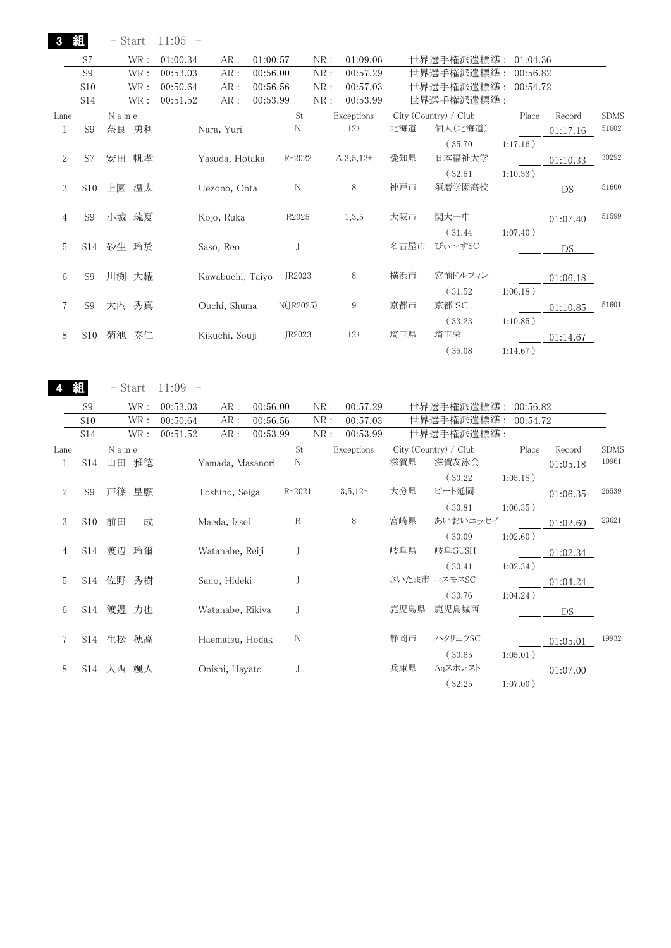3 組 - Start 11:05 -

|                | S7             | WR:       | 01:00.34<br>AR:  | 01:00.57 |             | NR: | 01:09.06     |      | 世界選手権派遣標準: 01:04.36   |             |          |             |
|----------------|----------------|-----------|------------------|----------|-------------|-----|--------------|------|-----------------------|-------------|----------|-------------|
|                | S <sub>9</sub> | WR :      | 00:53.03<br>AR:  | 00:56.00 |             | NR: | 00:57.29     |      | 世界選手権派遣標準: 00:56.82   |             |          |             |
|                | S10            | WR :      | 00:50.64<br>AR : | 00:56.56 |             | NR: | 00:57.03     |      | 世界選手権派遣標準:            | 00:54.72    |          |             |
|                | S14            | WR :      | AR:<br>00:51.52  | 00:53.99 |             | NR: | 00:53.99     |      | 世界選手権派遣標準:            |             |          |             |
| Lane           |                | Name      |                  |          | St          |     | Exceptions   |      | City (Country) / Club | Place       | Record   | <b>SDMS</b> |
| 1              | S <sub>9</sub> | 奈良 勇利     | Nara, Yuri       |          | N           |     | $12+$        | 北海道  | 個人(北海道)               |             | 01:17.16 | 51602       |
|                |                |           |                  |          |             |     |              |      | (35.70)               | $1:17.16$ ) |          |             |
| $\overline{2}$ | S7             | 安田 帆孝     | Yasuda, Hotaka   |          | $R - 2022$  |     | $A\,3,5,12+$ | 愛知県  | 日本福祉大学                |             | 01:10.33 | 30292       |
|                |                |           |                  |          |             |     |              |      | (32.51)               | 1:10.33)    |          |             |
| 3              | S10            | 上園 温太     | Uezono, Onta     |          | $\mathbf N$ |     | $\,8\,$      | 神戸市  | 須磨学園高校                |             | DS       | 51600       |
|                |                |           |                  |          |             |     |              |      |                       |             |          |             |
| 4              | S <sub>9</sub> | 小城 琉夏     | Kojo, Ruka       |          | R2025       |     | 1,3,5        | 大阪市  | 関大一中                  |             | 01:07.40 | 51599       |
|                |                |           |                  |          |             |     |              |      | (31.44)               | $1:07.40$ ) |          |             |
| 5              |                | S14 砂生 玲於 | Saso, Reo        |          |             |     |              | 名古屋市 | ぴぃ~すSC                |             | DS       |             |
|                |                |           |                  |          |             |     |              |      |                       |             |          |             |
| 6              | S <sub>9</sub> | 川渕 大耀     | Kawabuchi, Taiyo |          | JR2023      |     | 8            | 横浜市  | 宮前ドルフィン               |             | 01:06.18 |             |
|                |                |           |                  |          |             |     |              |      | (31.52)               | $1:06.18$ ) |          |             |
| 7              | S <sub>9</sub> | 秀真<br>大内  | Ouchi, Shuma     |          | N(JR2025)   |     | 9            | 京都市  | 京都 SC                 |             | 01:10.85 | 51601       |
|                |                |           |                  |          |             |     |              |      | (33.23)               | $1:10.85$ ) |          |             |
| 8              | S10            | 菊池<br>奏仁  | Kikuchi, Souji   |          | JR2023      |     | $12+$        | 埼玉県  | 埼玉栄                   |             |          |             |
|                |                |           |                  |          |             |     |              |      |                       |             | 01:14.67 |             |
|                |                |           |                  |          |             |     |              |      | (35.08)               | 1:14.67)    |          |             |

4 組 - Start 11:09 -

|      | S <sub>9</sub>  | WR :         | 00:53.03 | AR :             | 00:56.00    | NR: | 00:57.29   |      | 世界選手権派遣標準:            | 00:56.82    |           |             |
|------|-----------------|--------------|----------|------------------|-------------|-----|------------|------|-----------------------|-------------|-----------|-------------|
|      | S10             | WR :         | 00:50.64 | AR:              | 00:56.56    | NR: | 00:57.03   |      | 世界選手権派遣標準:            | 00:54.72    |           |             |
|      | S14             | WR :         | 00:51.52 | AR :             | 00:53.99    | NR: | 00:53.99   |      | 世界選手権派遣標準:            |             |           |             |
| Lane |                 | Name         |          |                  | St          |     | Exceptions |      | City (Country) / Club | Place       | Record    | <b>SDMS</b> |
| 1    | S14             | 山田 雅徳        |          | Yamada, Masanori | N           |     |            | 滋賀県  | 滋賀友泳会                 |             | 01:05.18  | 10961       |
|      |                 |              |          |                  |             |     |            |      | (30.22)               | $1:05.18$ ) |           |             |
| 2    | S9              | 戸篠 星願        |          | Toshino, Seiga   | $R - 2021$  |     | $3,5,12+$  | 大分県  | ビート延岡                 |             | 01:06.35  | 26539       |
|      |                 |              |          |                  |             |     |            |      | (30.81)               | 1:06.35)    |           |             |
| 3    | S <sub>10</sub> | 前田 一成        |          | Maeda, Issei     | $\mathbb R$ |     | 8          | 宮崎県  | あいおいニッセイ              |             | 01:02.60  | 23621       |
|      |                 |              |          |                  |             |     |            |      | (30.09)               | $1:02.60$ ) |           |             |
| 4    | S14             | 渡辺 玲爾        |          | Watanabe, Reiji  |             |     |            | 岐阜県  | 岐阜GUSH                |             | 01:02.34  |             |
|      |                 |              |          |                  |             |     |            |      | (30.41)               | 1:02.34)    |           |             |
| 5    |                 | S14 佐野 秀樹    |          | Sano, Hideki     |             |     |            |      | さいたま市 コスモスSC          |             | 01:04.24  |             |
|      |                 |              |          |                  |             |     |            |      | (30.76)               | 1:04.24)    |           |             |
| 6    |                 | S14 渡邉 力也    |          | Watanabe, Rikiya |             |     |            | 鹿児島県 | 鹿児島城西                 |             | <b>DS</b> |             |
|      |                 |              |          |                  |             |     |            |      |                       |             |           |             |
|      | S14             | 生松 穂高        |          | Haematsu, Hodak  | N           |     |            | 静岡市  | ハクリュウSC               |             | 01:05.01  | 19932       |
|      |                 |              |          |                  |             |     |            |      | (30.65)               | 1:05.01)    |           |             |
| 8    |                 | 颯人<br>S14 大西 |          | Onishi, Hayato   |             |     |            | 兵庫県  | Aqスポレスト               |             | 01:07.00  |             |
|      |                 |              |          |                  |             |     |            |      | (32.25                | $1:07.00$ ) |           |             |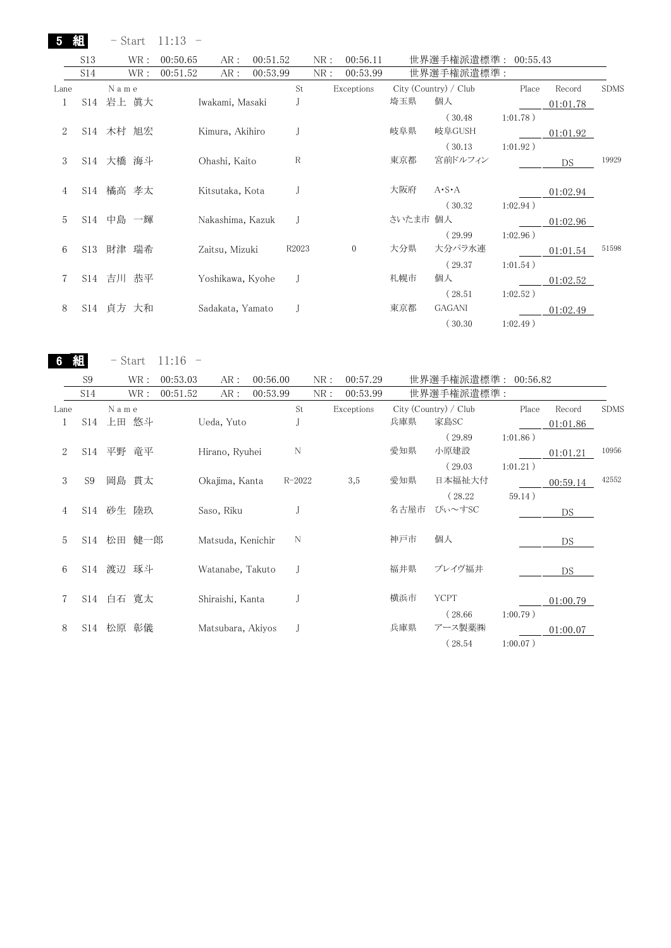| 5    |                 | - Start   | $11:13 -$        |     |          |       |     |              |       |                       |             |          |             |
|------|-----------------|-----------|------------------|-----|----------|-------|-----|--------------|-------|-----------------------|-------------|----------|-------------|
|      | S13             | WR :      | 00:50.65         | AR: | 00:51.52 |       | NR: | 00:56.11     |       | 世界選手権派遣標準: 00:55.43   |             |          |             |
|      | S14             | WR :      | 00:51.52         | AR: | 00:53.99 |       | NR: | 00:53.99     |       | 世界選手権派遣標準:            |             |          |             |
| Lane |                 | Name      |                  |     |          | St    |     | Exceptions   |       | City (Country) / Club | Place       | Record   | <b>SDMS</b> |
| 1    |                 | S14 岩上 眞大 | Iwakami, Masaki  |     |          |       |     |              | 埼玉県   | 個人                    |             | 01:01.78 |             |
|      |                 |           |                  |     |          |       |     |              |       | (30.48)               | $1:01.78$ ) |          |             |
| 2    | S14             | 木村 旭宏     | Kimura, Akihiro  |     |          |       |     |              | 岐阜県   | 岐阜GUSH                |             | 01:01.92 |             |
|      |                 |           |                  |     |          |       |     |              |       | (30.13)               | 1:01.92)    |          |             |
| 3    | S14             | 大橋<br>海斗  | Ohashi, Kaito    |     |          | R     |     |              | 東京都   | 宮前ドルフィン               |             | DS       | 19929       |
|      |                 |           |                  |     |          |       |     |              |       |                       |             |          |             |
| 4    | S14             | 橘高 孝太     | Kitsutaka, Kota  |     |          |       |     |              | 大阪府   | $A \cdot S \cdot A$   |             | 01:02.94 |             |
|      |                 |           |                  |     |          |       |     |              |       | (30.32)               | 1:02.94)    |          |             |
| 5    | S14             | 中島 一輝     | Nakashima, Kazuk |     |          |       |     |              | さいたま市 | 個人                    |             | 01:02.96 |             |
|      |                 |           |                  |     |          |       |     |              |       | (29.99)               | $1:02.96$ ) |          |             |
| 6    | S <sub>13</sub> | 財津<br>瑞希  | Zaitsu, Mizuki   |     |          | R2023 |     | $\mathbf{0}$ | 大分県   | 大分パラ水連                |             | 01:01.54 | 51598       |
|      |                 |           |                  |     |          |       |     |              |       | (29.37)               | 1:01.54)    |          |             |
| 7    |                 | S14 吉川 恭平 | Yoshikawa, Kyohe |     |          | J     |     |              | 札幌市   | 個人                    |             | 01:02.52 |             |
|      |                 |           |                  |     |          |       |     |              |       | (28.51)               | 1:02.52)    |          |             |
| 8    | S14             | 貞方 大和     | Sadakata, Yamato |     |          |       |     |              | 東京都   | GAGANI                |             | 01:02.49 |             |
|      |                 |           |                  |     |          |       |     |              |       | (30.30)               | $1:02.49$ ) |          |             |

6 組

- Start 11:16 -

Lane N a m e St Exceptions City (Country) / Club Place Record SDMS 1 514 上田 悠斗 Ueda, Yuto J 兵庫県 家島SC <u>01:01.86</u>  $(29.89 \t1:01.86)$ 2 S14 平野 竜平 Hirano, Ryuhei N 愛知県 小原建設 01:01.21 <sup>10956</sup>  $(29.03 \t1:01.21)$ 3 S9 岡島 貫太 Okajima, Kanta R-2022 3,5 愛知県 日本福祉大付 1 00:59.14 42552  $(28.22 59.14)$ 4 S14 砂生 陸玖 Saso, Riku J タイラン タゴ屋市 ぴぃ~すSC DS 5 S14 松田 健一郎 Matsuda, Kenichir N 神戸市 個人 DS 6 S14 渡辺 琢斗 Watanabe, Takuto J 福井県 ブレイヴ福井 <u>コーロS</u> 7 S14 白石 寛太 Shiraishi, Kanta J 横浜市 YCPT 201:00.79  $(28.66 \t1:00.79)$ 8 S14 松原 彰儀 Matsubara, Akiyos J <br>
<sub>兵庫県</sub> アース製薬㈱ 201:00.07  $(28.54 \t1:00.07)$ S9 WR : 00:53.03 AR : 00:56.00 NR : 00:57.29 世界選手権派遣標準 : 00:56.82 S14 WR : 00:51.52 AR : 00:53.99 NR : 00:53.99 世界選手権派遣標準 :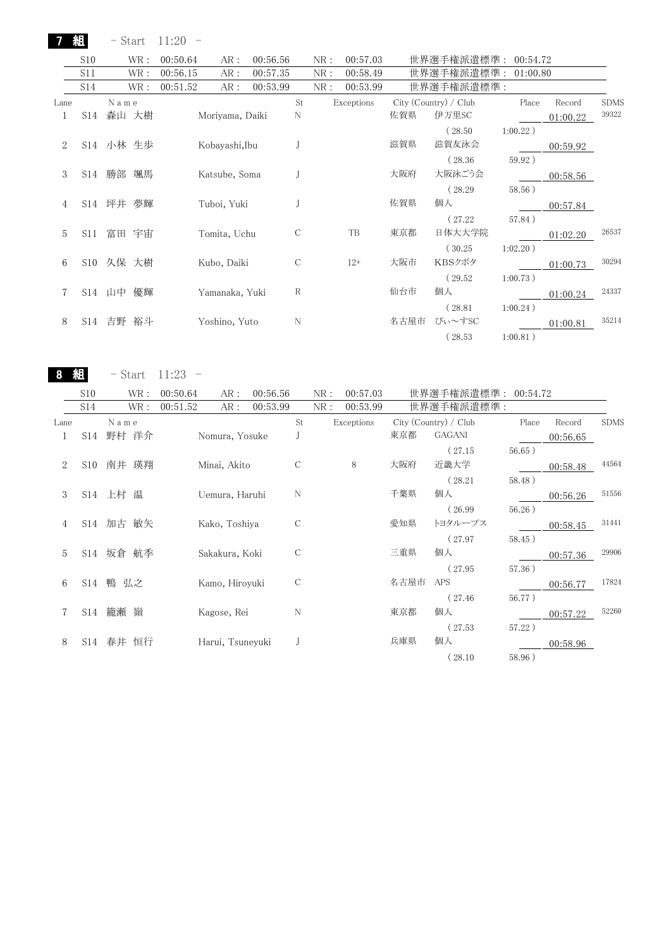- Start 11:20 -

7 組

|      | S10 | WR:          | 00:50.64 | AR:             | 00:56.56 |    | NR: | 00:57.03   |      | 世界選手権派遣標準: 00:54.72   |             |          |             |
|------|-----|--------------|----------|-----------------|----------|----|-----|------------|------|-----------------------|-------------|----------|-------------|
|      | S11 | WR :         | 00:56.15 | AR:             | 00:57.35 |    | NR: | 00:58.49   |      | 世界選手権派遣標準: 01:00.80   |             |          |             |
|      | S14 | WR :         | 00:51.52 | AR:             | 00:53.99 |    | NR: | 00:53.99   |      | 世界選手権派遣標準:            |             |          |             |
| Lane |     | N a m e      |          |                 |          | St |     | Exceptions |      | City (Country) / Club | Place       | Record   | <b>SDMS</b> |
|      | S14 | 森山 大樹        |          | Moriyama, Daiki |          | N  |     |            | 佐賀県  | 伊万里SC                 |             | 01:00.22 | 39322       |
|      |     |              |          |                 |          |    |     |            |      | (28.50)               | $1:00.22$ ) |          |             |
| 2    |     | S14 小林 生歩    |          | Kobayashi, Ibu  |          |    |     |            | 滋賀県  | 滋賀友泳会                 |             | 00:59.92 |             |
|      |     |              |          |                 |          |    |     |            |      | (28.36)               | 59.92)      |          |             |
| 3    | S14 | 勝部 颯馬        |          | Katsube, Soma   |          |    |     |            | 大阪府  | 大阪泳ごう会                |             | 00:58.56 |             |
|      |     |              |          |                 |          |    |     |            |      | (28.29)               | 58.56)      |          |             |
| 4    | S14 | 坪井 夢輝        |          | Tuboi, Yuki     |          |    |     |            | 佐賀県  | 個人                    |             | 00:57.84 |             |
|      |     |              |          |                 |          |    |     |            |      | (27.22)               | 57.84)      |          |             |
| 5    | S11 | 富田 宇宙        |          | Tomita, Uchu    |          | С  |     | TB         | 東京都  | 日体大大学院                |             | 01:02.20 | 26537       |
|      |     |              |          |                 |          |    |     |            |      | (30.25)               | $1:02.20$ ) |          |             |
| 6    | S10 | 久保 大樹        |          | Kubo, Daiki     |          | С  |     | $12+$      | 大阪市  | KBSクボタ                |             | 01:00.73 | 30294       |
|      |     |              |          |                 |          |    |     |            |      | (29.52)               | $1:00.73$ ) |          |             |
|      |     | S14 山中<br>優輝 |          | Yamanaka, Yuki  |          | R  |     |            | 仙台市  | 個人                    |             | 01:00.24 | 24337       |
|      |     |              |          |                 |          |    |     |            |      | (28.81)               | $1:00.24$ ) |          |             |
| 8    | S14 | 吉野 裕斗        |          | Yoshino, Yuto   |          | N  |     |            | 名古屋市 | ぴぃ~すSC                |             | 01:00.81 | 35214       |
|      |     |              |          |                 |          |    |     |            |      | 28.53                 | 1:00.81)    |          |             |

8 組

- Start 11:23 -

Lane N a m e St Exceptions City (Country) / Club Place Record SDMS 1 S14 野村 洋介 Nomura, Yosuke J 東京都 GAGANI 1 2 00:56.65  $(27.15$   $56.65)$ 2 S10 南井 瑛翔 Minai, Akito C 8 大阪府 近畿大学 00:58.48 <sup>44564</sup>  $(28.21 58.48)$ 3 S14 上村 温 Uemura, Haruhi N T葉県 個人 90:56.26 51556  $(26.99 56.26)$ 4 S14 加古 敏矢 Kako, Toshiya C <br>
<sub>愛知県 トヨタループス 00:58.45</sub> <sup>31441</sup>  $(27.97$   $58.45)$ 5 S14 坂倉 航季 Sakakura, Koki C · · · · 三重県 個人 · · · · · 00:57.36 <sup>29906</sup>  $(27.95$   $57.36)$ 6 S14 鴨 弘之 Kamo, Hiroyuki C <br>
A古屋市 APS 00:56.77 <sup>17824</sup>  $(27.46$   $56.77)$ 7 S14 籠瀬 嶺 Kagose, Rei N 東京都 個人 00:57.22 <sup>52260</sup>  $(27.53$   $57.22)$ 8 S14 春井 恒行 Harui, Tsuneyuki J 兵庫県 個人 200:58.96  $(28.10$   $58.96)$ S10 WR : 00:50.64 AR : 00:56.56 NR : 00:57.03 世界選手権派遣標準 : 00:54.72 S14 WR : 00:51.52 AR : 00:53.99 NR : 00:53.99 世界選手権派遣標準 :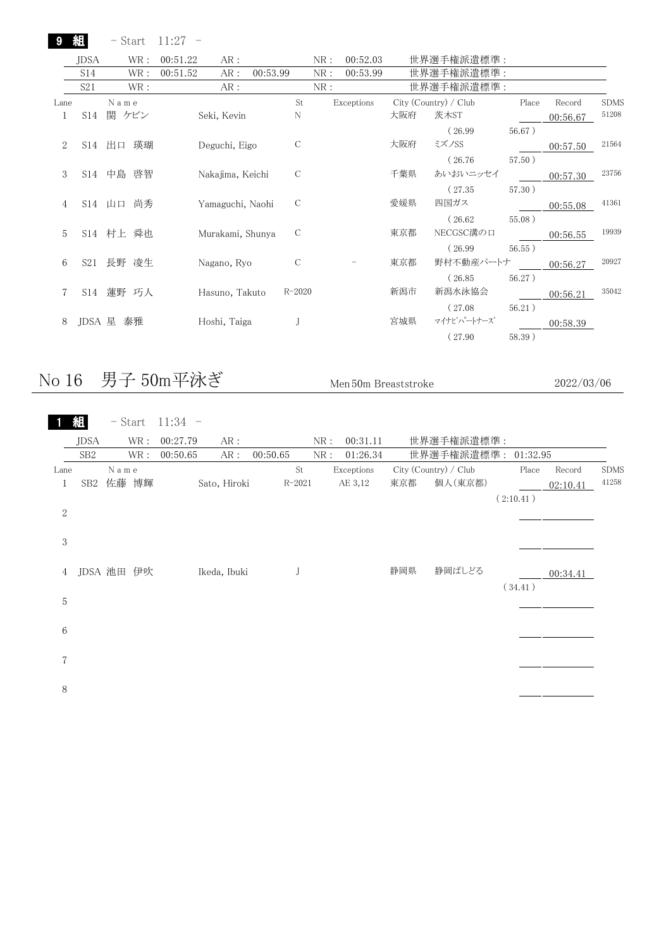| 9            |                 |           | $-$ Start $11:27 -$ |                  |          |               |     |            |     |                       |        |          |             |
|--------------|-----------------|-----------|---------------------|------------------|----------|---------------|-----|------------|-----|-----------------------|--------|----------|-------------|
|              | <b>JDSA</b>     | WR :      | 00:51.22            | AR:              |          |               | NR: | 00:52.03   |     | 世界選手権派遣標準 :           |        |          |             |
|              | S <sub>14</sub> |           | WR: 00:51.52        | AR:              | 00:53.99 |               | NR: | 00:53.99   |     | 世界選手権派遣標準 :           |        |          |             |
|              | S21             | WR :      |                     | AR:              |          |               | NR: |            |     | 世界選手権派遣標準:            |        |          |             |
| Lane         |                 | Name      |                     |                  |          | St            |     | Exceptions |     | City (Country) / Club | Place  | Record   | <b>SDMS</b> |
| $\mathbf{1}$ |                 | S14 関 ケビン |                     | Seki, Kevin      |          | N             |     |            | 大阪府 | 茨木ST                  |        | 00:56.67 | 51208       |
|              |                 |           |                     |                  |          |               |     |            |     | (26.99)               | 56.67) |          |             |
| 2            |                 | S14 出口 瑛瑚 |                     | Deguchi, Eigo    |          | С             |     |            | 大阪府 | ミズノSS                 |        | 00:57.50 | 21564       |
|              |                 |           |                     |                  |          |               |     |            |     | (26.76)               | 57.50) |          |             |
| 3            |                 | S14 中島 啓智 |                     | Nakajima, Keichi |          | $\mathcal{C}$ |     |            | 千葉県 | あいおいニッセイ              |        | 00:57.30 | 23756       |
|              |                 |           |                     |                  |          |               |     |            |     | (27.35)               | 57.30) |          |             |
| 4            |                 | S14 山口 尚秀 |                     | Yamaguchi, Naohi |          | C             |     |            | 愛媛県 | 四国ガス                  |        | 00:55.08 | 41361       |
|              |                 |           |                     |                  |          |               |     |            |     | (26.62)               | 55.08) |          |             |
| $5^{\circ}$  |                 | S14 村上 舜也 |                     | Murakami, Shunya |          | C             |     |            | 東京都 | NECGSC溝の口             |        | 00:56.55 | 19939       |
|              |                 |           |                     |                  |          |               |     |            |     | (26.99)               | 56.55) |          |             |
| 6            |                 | S21 長野 凌生 |                     | Nagano, Ryo      |          | С             |     |            | 東京都 | 野村不動産パートナ             |        | 00:56.27 | 20927       |
|              |                 |           |                     |                  |          |               |     |            |     | (26.85)               | 56.27) |          |             |
| 7            |                 | S14 蓮野 巧人 |                     | Hasuno, Takuto   |          | $R - 2020$    |     |            | 新潟市 | 新潟水泳協会                |        | 00:56.21 | 35042       |
|              |                 |           |                     |                  |          |               |     |            |     | (27.08)               | 56.21) |          |             |
| 8            |                 | JDSA 星 泰雅 |                     | Hoshi, Taiga     |          | J             |     |            | 宮城県 | マイナビパートナーズ            |        | 00:58.39 |             |
|              |                 |           |                     |                  |          |               |     |            |     | (27.90)               | 58.39) |          |             |
|              |                 |           |                     |                  |          |               |     |            |     |                       |        |          |             |
|              |                 |           |                     |                  |          |               |     |            |     |                       |        |          |             |

# No 16 男子 50m平泳ぎ Men 50m Breaststroke 2022/03/06

 $\sim$   $\lambda$ El

|                | 組               |      | - Start    | $11:34 -$ |              |                     |     |            |     |                       |           |          |             |
|----------------|-----------------|------|------------|-----------|--------------|---------------------|-----|------------|-----|-----------------------|-----------|----------|-------------|
|                | JDSA            |      | WR :       | 00:27.79  | AR:          |                     | NR: | 00:31.11   |     | 世界選手権派遣標準:            |           |          |             |
|                | SB <sub>2</sub> |      | WR :       | 00:50.65  | AR:          | 00:50.65            | NR: | 01:26.34   |     | 世界選手権派遣標準:            | 01:32.95  |          |             |
| Lane           |                 | Name |            |           |              | $\operatorname{St}$ |     | Exceptions |     | City (Country) / Club | Place     | Record   | <b>SDMS</b> |
| 1              | SB <sub>2</sub> |      | 佐藤 博輝      |           | Sato, Hiroki | $R - 2021$          |     | AE 3,12    | 東京都 | 個人(東京都)               |           | 02:10.41 | 41258       |
| $\sqrt{2}$     |                 |      |            |           |              |                     |     |            |     |                       | (2:10.41) |          |             |
| 3              |                 |      |            |           |              |                     |     |            |     |                       |           |          |             |
| $\overline{4}$ |                 |      | JDSA 池田 伊吹 |           | Ikeda, Ibuki | J                   |     |            | 静岡県 | 静岡ぱしどる                | (34.41)   | 00:34.41 |             |
| 5              |                 |      |            |           |              |                     |     |            |     |                       |           |          |             |
| 6              |                 |      |            |           |              |                     |     |            |     |                       |           |          |             |
| 7              |                 |      |            |           |              |                     |     |            |     |                       |           |          |             |
| 8              |                 |      |            |           |              |                     |     |            |     |                       |           |          |             |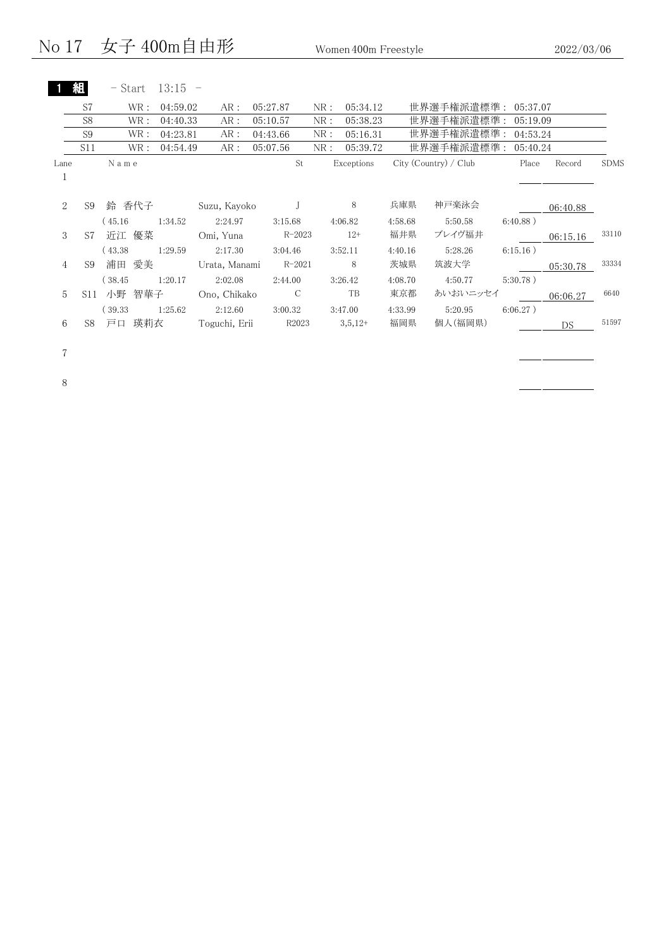# No 17 女子 400m自由形 Women 400m Freestyle 2022/03/06

1 組  $-$  Start 13:15  $-$ 

|      | S7              | WR:       | 04:59.02 | AR :          | 05:27.87   | NR: | 05:34.12   |         | 世界選手権派遣標準: 05:37.07   |             |          |             |
|------|-----------------|-----------|----------|---------------|------------|-----|------------|---------|-----------------------|-------------|----------|-------------|
|      | S <sub>8</sub>  | WR :      | 04:40.33 | AR :          | 05:10.57   | NR: | 05:38.23   |         | 世界選手権派遣標準:            | 05:19.09    |          |             |
|      | S <sub>9</sub>  | WR :      | 04:23.81 | AR:           | 04:43.66   | NR: | 05:16.31   |         | 世界選手権派遣標準:            | 04:53.24    |          |             |
|      | S <sub>11</sub> | WR:       | 04:54.49 | AR :          | 05:07.56   | NR: | 05:39.72   |         | 世界選手権派遣標準:            | 05:40.24    |          |             |
| Lane |                 | Name      |          |               | St         |     | Exceptions |         | City (Country) / Club | Place       | Record   | <b>SDMS</b> |
| T.   |                 |           |          |               |            |     |            |         |                       |             |          |             |
|      |                 |           |          |               |            |     |            |         |                       |             |          |             |
| 2    | S <sub>9</sub>  | 鈴 香代子     |          | Suzu, Kayoko  |            |     | 8          | 兵庫県     | 神戸楽泳会                 |             | 06:40.88 |             |
|      |                 | (45.16)   | 1:34.52  | 2:24.97       | 3:15.68    |     | 4:06.82    | 4:58.68 | 5:50.58               | $6:40.88$ ) |          |             |
| 3    | S7              | 優菜<br>近江  |          | Omi, Yuna     | $R - 2023$ |     | $12+$      | 福井県     | ブレイヴ福井                |             | 06:15.16 | 33110       |
|      |                 | (43.38)   | 1:29.59  | 2:17.30       | 3:04.46    |     | 3:52.11    | 4:40.16 | 5:28.26               | 6:15.16)    |          |             |
| 4    | S <sub>9</sub>  | 愛美<br>浦田  |          | Urata, Manami | $R - 2021$ |     | 8          | 茨城県     | 筑波大学                  |             | 05:30.78 | 33334       |
|      |                 | (38.45)   | 1:20.17  | 2:02.08       | 2:44.00    |     | 3:26.42    | 4:08.70 | 4:50.77               | $5:30.78$ ) |          |             |
| 5    | S11             | 智華子<br>小野 |          | Ono, Chikako  | C          |     | TB         | 東京都     | あいおいニッセイ              |             | 06:06.27 | 6640        |
|      |                 | (39.33)   | 1:25.62  | 2:12.60       | 3:00.32    |     | 3:47.00    | 4:33.99 | 5:20.95               | $6:06.27$ ) |          |             |
| 6    | S8              | 瑛莉衣<br>戸口 |          | Toguchi, Erii | R2023      |     | $3,5,12+$  | 福岡県     | 個人(福岡県)               |             | DS       | 51597       |
|      |                 |           |          |               |            |     |            |         |                       |             |          |             |

7

8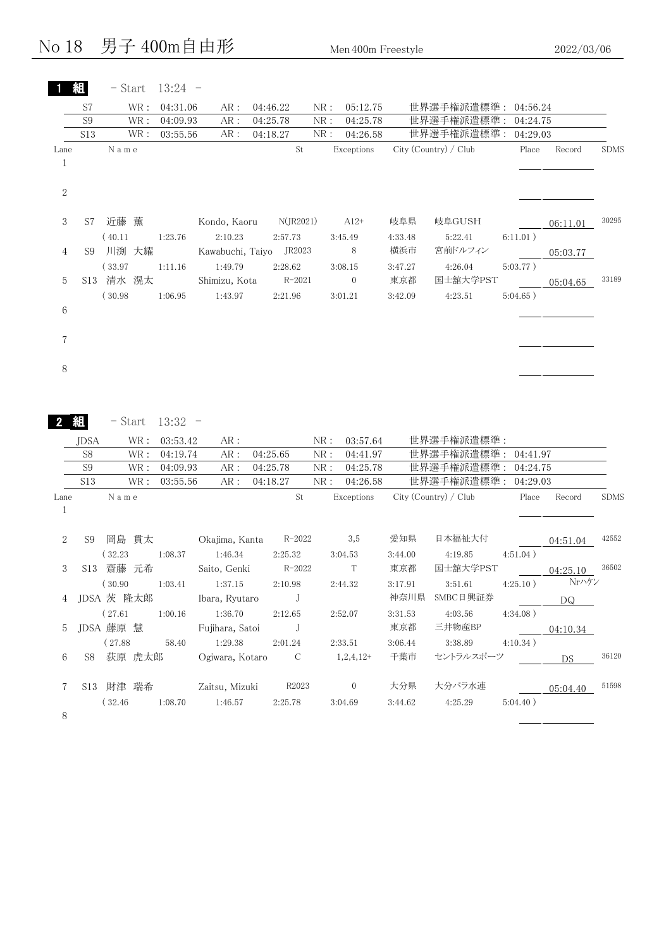No 18 男子 400m自由形 Men 400m Freestyle 2022/03/06

|                      | 組              | - Start           |      | $13:24 -$             |                            |                           |              |                        |                |                       |             |           |             |
|----------------------|----------------|-------------------|------|-----------------------|----------------------------|---------------------------|--------------|------------------------|----------------|-----------------------|-------------|-----------|-------------|
|                      | S7             |                   | WR : | 04:31.06              | AR:                        | 04:46.22                  | ${\rm NR}$ : | 05:12.75               |                | 世界選手権派遣標準:            | 04:56.24    |           |             |
|                      | S <sub>9</sub> |                   | WR : | 04:09.93              | $AR:$                      | 04:25.78                  | NR:          | 04:25.78               |                | 世界選手権派遣標準:            | 04:24.75    |           |             |
|                      | S13            |                   | WR : | 03:55.56              | AR:                        | 04:18.27                  | NR:          | 04:26.58               |                | 世界選手権派遣標準: 04:29.03   |             |           |             |
| Lane                 |                | N a m e           |      |                       |                            | St                        |              | Exceptions             |                | City (Country) / Club | Place       | Record    | <b>SDMS</b> |
| $\mathbf{1}$         |                |                   |      |                       |                            |                           |              |                        |                |                       |             |           |             |
| $\,2$                |                |                   |      |                       |                            |                           |              |                        |                |                       |             |           |             |
| 3                    | S7             | 近藤 薫              |      |                       | Kondo, Kaoru               | N(JR2021)                 |              | $A12+$                 | 岐阜県            | 岐阜GUSH                |             | 06:11.01  | 30295       |
|                      |                | (40.11)           |      | 1:23.76               | 2:10.23                    | 2:57.73                   |              | 3:45.49                | 4:33.48        | 5:22.41               | 6:11.01)    |           |             |
| 4                    |                | S9 川渕 大耀          |      |                       | Kawabuchi, Taiyo JR2023    |                           |              | 8                      | 横浜市            | 宮前ドルフィン               |             |           |             |
|                      |                |                   |      |                       |                            |                           |              |                        |                |                       |             | 05:03.77  |             |
|                      |                | (33.97)           |      | 1:11.16               | 1:49.79                    | 2:28.62                   |              | 3:08.15                | 3:47.27        | 4:26.04               | $5:03.77$ ) |           | 33189       |
| 5                    |                | S13 清水 滉太         |      |                       | Shimizu, Kota              | $R - 2021$                |              | $\mathbf{0}$           | 東京都            | 国士舘大学PST              |             | 05:04.65  |             |
| 6                    |                | (30.98)           |      | 1:06.95               | 1:43.97                    | 2:21.96                   |              | 3:01.21                | 3:42.09        | 4:23.51               | $5:04.65$ ) |           |             |
| 7                    |                |                   |      |                       |                            |                           |              |                        |                |                       |             |           |             |
|                      |                |                   |      |                       |                            |                           |              |                        |                |                       |             |           |             |
| 8                    |                |                   |      |                       |                            |                           |              |                        |                |                       |             |           |             |
|                      |                |                   |      |                       |                            |                           |              |                        |                |                       |             |           |             |
|                      | 組<br>JDSA      | - Start           | WR : | $13:32 -$<br>03:53.42 | AR:                        |                           | NR:          | 03:57.64               |                | 世界選手権派遣標準:            |             |           |             |
|                      | S8             |                   | WR : | 04:19.74              | AR:                        | 04:25.65                  | NR:          | 04:41.97               |                | 世界選手権派遣標準: 04:41.97   |             |           |             |
|                      | S9             |                   | WR : | 04:09.93              | AR:                        | 04:25.78                  | NR:          | 04:25.78               |                | 世界選手権派遣標準: 04:24.75   |             |           |             |
|                      | S13            |                   | WR : | 03:55.56              | AR:                        | 04:18.27                  | NR:          | 04:26.58               |                | 世界選手権派遣標準:            | 04:29.03    |           |             |
| Lane<br>$\mathbf{1}$ |                | N a m e           |      |                       |                            | St                        |              | Exceptions             |                | City (Country) / Club | Place       | Record    |             |
| $\overline{2}$       | S9             | 岡島 貫太             |      |                       | Okajima, Kanta R-2022      |                           |              | 3,5                    | 愛知県            | 日本福祉大付                |             | 04:51.04  | 42552       |
|                      |                | (32.23)           |      | 1:08.37               | 1:46.34                    | 2:25.32                   |              | 3:04.53                | 3:44.00        | 4:19.85               | $4:51.04$ ) |           | <b>SDMS</b> |
| 3                    | S13            | 齋藤 元希             |      |                       | Saito, Genki               | $R - 2022$                |              | $\mathbf T$            | 東京都            | 国士舘大学PST              |             | 04:25.10  | 36502       |
|                      |                |                   |      |                       |                            |                           |              |                        |                |                       | 4:25.10)    | Nrハケン     |             |
| 4                    |                | (30.90)           |      | 1:03.41               | 1:37.15                    | 2:10.98<br>$\mathbf{J}$   |              | 2:44.32                | 3:17.91        | 3:51.61               |             |           |             |
|                      |                | JDSA 茨 隆太郎        |      |                       | Ibara, Ryutaro             |                           |              |                        |                | 神奈川県 SMBC日興証券         |             | DQ        |             |
|                      |                | (27.61)           |      | 1:00.16               | 1:36.70                    | 2:12.65                   |              | 2:52.07                | 3:31.53        | 4:03.56               | $4:34.08$ ) |           |             |
| 5                    |                | JDSA 藤原 慧         |      |                       | Fujihara, Satoi            | $\int$                    |              |                        | 東京都            | 三井物産BP                |             | 04:10.34  |             |
| 6                    | S8.            | (27.88)<br>荻原 虎太郎 |      | 58.40                 | 1:29.38<br>Ogiwara, Kotaro | 2:01.24<br>$\overline{C}$ |              | 2:33.51<br>$1,2,4,12+$ | 3:06.44<br>千葉市 | 3:38.89<br>セントラルスポーツ  | 4:10.34)    | <b>DS</b> | 36120       |
| 7                    |                | S13 財津 瑞希         |      |                       | Zaitsu, Mizuki             | R2023                     |              | $\overline{0}$         | 大分県            | 大分パラ水連                |             | 05:04.40  | 51598       |
|                      |                | (32.46)           |      | 1:08.70               | 1:46.57                    | 2:25.78                   |              | 3:04.69                | 3:44.62        | 4:25.29               | 5:04.40)    |           |             |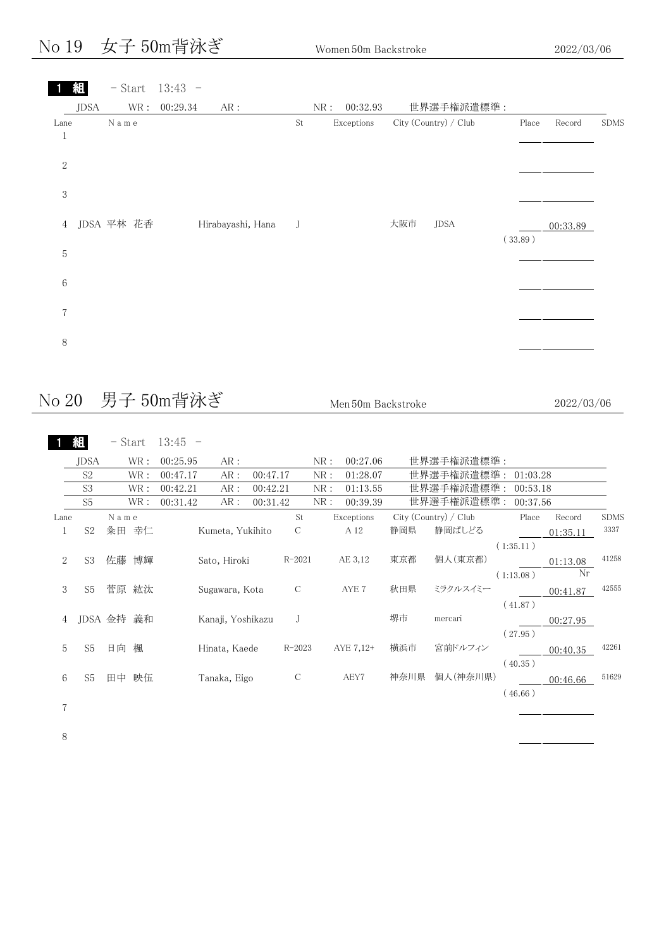### No 19 女子 50m背泳ぎ Women 50m Backstroke 2022/03/06

| 1                    | 組    |            | $-$ Start 13:43 $-$ |                   |        |     |            |     |                       |         |          |             |
|----------------------|------|------------|---------------------|-------------------|--------|-----|------------|-----|-----------------------|---------|----------|-------------|
|                      | JDSA | WR :       | 00:29.34            | AR :              |        | NR: | 00:32.93   |     | 世界選手権派遣標準:            |         |          |             |
| Lane<br>$\mathbf{1}$ |      | N a m e    |                     |                   | St     |     | Exceptions |     | City (Country) / Club | Place   | Record   | <b>SDMS</b> |
| $\sqrt{2}$           |      |            |                     |                   |        |     |            |     |                       |         |          |             |
| $\,3$                |      |            |                     |                   |        |     |            |     |                       |         |          |             |
| $\overline{4}$       |      | JDSA 平林 花香 |                     | Hirabayashi, Hana | $\int$ |     |            | 大阪市 | JDSA                  | (33.89) | 00:33.89 |             |
| $\,$ 5 $\,$          |      |            |                     |                   |        |     |            |     |                       |         |          |             |
| $\,6\,$<br>7         |      |            |                     |                   |        |     |            |     |                       |         |          |             |
| $8\,$                |      |            |                     |                   |        |     |            |     |                       |         |          |             |
|                      |      |            |                     |                   |        |     |            |     |                       |         |          |             |

## No 20 男子 50m背泳ぎ Men 50m Backstroke 2022/03/06

1 組 Lane N a m e St Exceptions City (Country) / Club Place Record SDMS 1 S2 粂田 幸仁 Kumeta, Yukihito C A 12 静岡県 静岡ぱしどる 01:35.11 3337 ( 1:35.11 ) Nr 2 S3 佐藤 博輝 Sato, Hiroki R-2021 AE 3,12 東京都 個人(東京都) 01:13.08 <sup>41258</sup>  $(1:13.08)$ 3 S5 菅原 紘汰 Sugawara, Kota C AYE 7 秋田県 ミラクルスイミー 00:41.87 42555  $(41.87)$ 00:27.95 4 JDSA 金持 義和 Kanaji, Yoshikazu J 堺市 mercari  $(27.95)$ 5 S5 日向 楓 Hinata, Kaede R-2023 AYE 7,12+ 横浜市 宮前ドルフィン <u> 00:40.35 </u> <sup>42261</sup> ( 40.35 ) 6 S5 田中 映伍 Tanaka, Eigo C AEY7 神奈川県 個人(神奈川県) \_\_\_\_\_ <u>00:46.66 </u> <sup>51629</sup> ( 46.66 ) JDSA WR : 00:25.95 AR : NR : 00:27.06 世界選手権派遣標準 : S2 WR : 00:47.17 AR : 00:47.17 NR : 01:28.07 世界選手権派遣標準 : 01:03.28 S3 WR: 00:42.21 AR: 00:42.21 NR: 01:13.55 世界選手権派遣標準: 00:53.18 S5 WR : 00:31.42 AR : 00:31.42 NR : 00:39.39 世界選手権派遣標準 : 00:37.56 - Start 13:45 -

- 7
- 8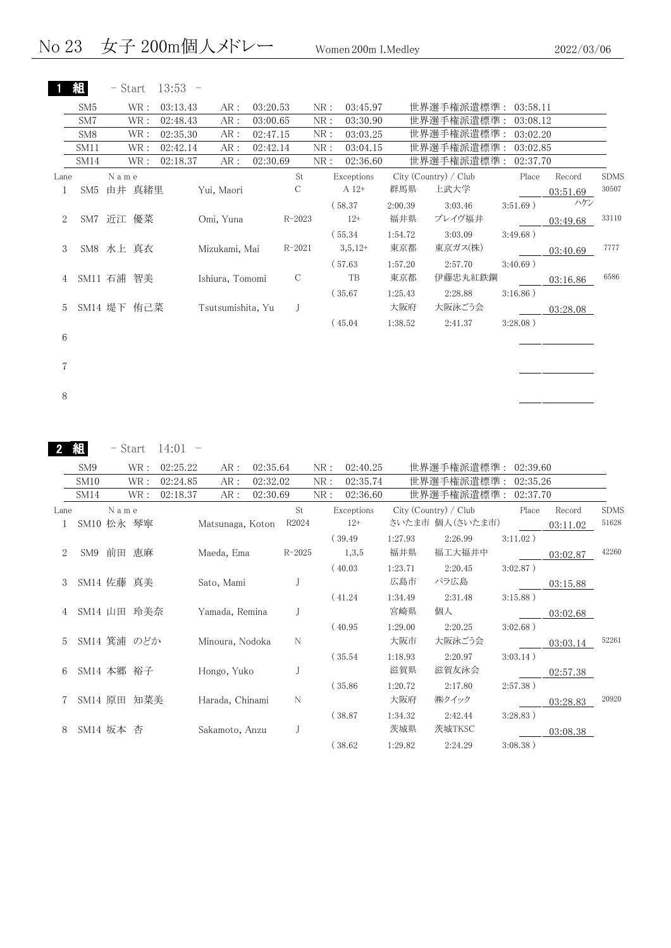|              |                 |             | $-$ Start 13:53 $-$ |                   |          |               |      |            |         |                       |             |          |             |
|--------------|-----------------|-------------|---------------------|-------------------|----------|---------------|------|------------|---------|-----------------------|-------------|----------|-------------|
|              | SM <sub>5</sub> | WR :        | 03:13.43            | AR :              | 03:20.53 |               | NR : | 03:45.97   |         | 世界選手権派遣標準: 03:58.11   |             |          |             |
|              | SM7             | WR :        | 02:48.43            | AR:               | 03:00.65 |               | NR:  | 03:30.90   |         | 世界選手権派遣標準: 03:08.12   |             |          |             |
|              | SM <sub>8</sub> | WR :        | 02:35.30            | AR :              | 02:47.15 |               | NR:  | 03:03.25   |         | 世界選手権派遣標準: 03:02.20   |             |          |             |
|              | SM11            | WR :        | 02:42.14            | AR :              | 02:42.14 |               | NR:  | 03:04.15   |         | 世界選手権派遣標準:            | 03:02.85    |          |             |
|              | SM14            | WR :        | 02:18.37            | AR:               | 02:30.69 |               | NR:  | 02:36.60   |         | 世界選手権派遣標準: 02:37.70   |             |          |             |
| Lane         |                 | Name        |                     |                   |          | St.           |      | Exceptions |         | City (Country) / Club | Place       | Record   | <b>SDMS</b> |
| $\mathbf{1}$ |                 | SM5 由井 真緒里  |                     | Yui, Maori        |          | C             |      | A 12+      | 群馬県     | 上武大学                  |             | 03:51.69 | 30507       |
|              |                 |             |                     |                   |          |               |      | (58.37)    | 2:00.39 | 3:03.46               | $3:51.69$ ) | ハケン      |             |
| 2            |                 | SM7 近江 優菜   |                     | Omi, Yuna         |          | $R - 2023$    |      | $12+$      | 福井県     | ブレイヴ福井                |             | 03:49.68 | 33110       |
|              |                 |             |                     |                   |          |               |      | (55.34)    | 1:54.72 | 3:03.09               | $3:49.68$ ) |          |             |
| 3            |                 | SM8 水上 真衣   |                     | Mizukami, Mai     |          | $R - 2021$    |      | $3,5,12+$  | 東京都     | 東京ガス(株)               |             | 03:40.69 | 7777        |
|              |                 |             |                     |                   |          |               |      | (57.63)    | 1:57.20 | 2:57.70               | $3:40.69$ ) |          |             |
| 4            |                 | SM11 石浦 智美  |                     | Ishiura, Tomomi   |          | $\mathcal{C}$ |      | TB         | 東京都     | 伊藤忠丸紅鉄鋼               |             | 03:16.86 | 6586        |
|              |                 |             |                     |                   |          |               |      | (35.67)    | 1:25.43 | 2:28.88               | $3:16.86$ ) |          |             |
| $5^{\circ}$  |                 | SM14 堤下 侑己菜 |                     | Tsutsumishita, Yu |          |               |      |            | 大阪府     | 大阪泳ごう会                |             | 03:28.08 |             |
|              |                 |             |                     |                   |          |               |      | (45.04)    | 1:38.52 | 2:41.37               | $3:28.08$ ) |          |             |
| 6            |                 |             |                     |                   |          |               |      |            |         |                       |             |          |             |
|              |                 |             |                     |                   |          |               |      |            |         |                       |             |          |             |
| 7            |                 |             |                     |                   |          |               |      |            |         |                       |             |          |             |
|              |                 |             |                     |                   |          |               |      |            |         |                       |             |          |             |
| 8            |                 |             |                     |                   |          |               |      |            |         |                       |             |          |             |
|              |                 |             |                     |                   |          |               |      |            |         |                       |             |          |             |

2 組 - Start 14:01 -

|      | SM <sub>9</sub>  |       | WR:  | 02:25.22 | AR :             | 02:35.64 |            | NR: | 02:40.25   |         | 世界選手権派遣標準:            | 02:39.60    |          |             |
|------|------------------|-------|------|----------|------------------|----------|------------|-----|------------|---------|-----------------------|-------------|----------|-------------|
|      | SM <sub>10</sub> |       | WR : | 02:24.85 | AR:              | 02:32.02 |            | NR: | 02:35.74   |         | 世界選手権派遣標準:            | 02:35.26    |          |             |
|      | SM14             |       | WR : | 02:18.37 | AR:              | 02:30.69 |            | NR: | 02:36.60   |         | 世界選手権派遣標準:            | 02:37.70    |          |             |
| Lane |                  | Name  |      |          |                  |          | St.        |     | Exceptions |         | City (Country) / Club | Place       | Record   | <b>SDMS</b> |
|      | SM10 松永 琴寧       |       |      |          | Matsunaga, Koton |          | R2024      |     | $12+$      |         | さいたま市 個人(さいたま市)       |             | 03:11.02 | 51628       |
|      |                  |       |      |          |                  |          |            |     | (39.49)    | 1:27.93 | 2:26.99               | 3:11.02)    |          |             |
| 2    | SM9              | 前田 恵麻 |      |          | Maeda, Ema       |          | $R - 2025$ |     | 1,3,5      | 福井県     | 福工大福井中                |             | 03:02.87 | 42260       |
|      |                  |       |      |          |                  |          |            |     | (40.03)    | 1.23.71 | 2:20.45               | $3:02.87$ ) |          |             |
| 3    | SM14 佐藤 真美       |       |      |          | Sato, Mami       |          |            |     |            | 広島市     | パラ広島                  |             | 03:15.88 |             |
|      |                  |       |      |          |                  |          |            |     | (41.24)    | 1:34.49 | 2:31.48               | $3:15.88$ ) |          |             |
|      | SM14 山田 玲美奈      |       |      |          | Yamada, Remina   |          |            |     |            | 宮崎県     | 個人                    |             | 03:02.68 |             |
|      |                  |       |      |          |                  |          |            |     | (40.95)    | 1:29.00 | 2:20.25               | $3:02.68$ ) |          |             |
| 5    | SM14 箕浦 のどか      |       |      |          | Minoura, Nodoka  |          | N          |     |            | 大阪市     | 大阪泳ごう会                |             | 03:03.14 | 52261       |
|      |                  |       |      |          |                  |          |            |     | (35.54)    | 1:18.93 | 2:20.97               | 3:03.14)    |          |             |
| 6    | SM14 本郷 裕子       |       |      |          | Hongo, Yuko      |          |            |     |            | 滋賀県     | 滋賀友泳会                 |             | 02:57.38 |             |
|      |                  |       |      |          |                  |          |            |     | (35.86)    | 1:20.72 | 2:17.80               | $2:57.38$ ) |          |             |
|      | SM14 原田 知菜美      |       |      |          | Harada, Chinami  |          | N          |     |            | 大阪府     | ㈱クイック                 |             | 03:28.83 | 20920       |
|      |                  |       |      |          |                  |          |            |     | (38.87)    | 1:34.32 | 2:42.44               | $3:28.83$ ) |          |             |
| 8    | SM14 坂本          |       | 杏    |          | Sakamoto, Anzu   |          |            |     |            | 茨城県     | 茨城TKSC                |             | 03:08.38 |             |
|      |                  |       |      |          |                  |          |            |     | (38.62)    | 1:29.82 | 2:24.29               | 3:08.38)    |          |             |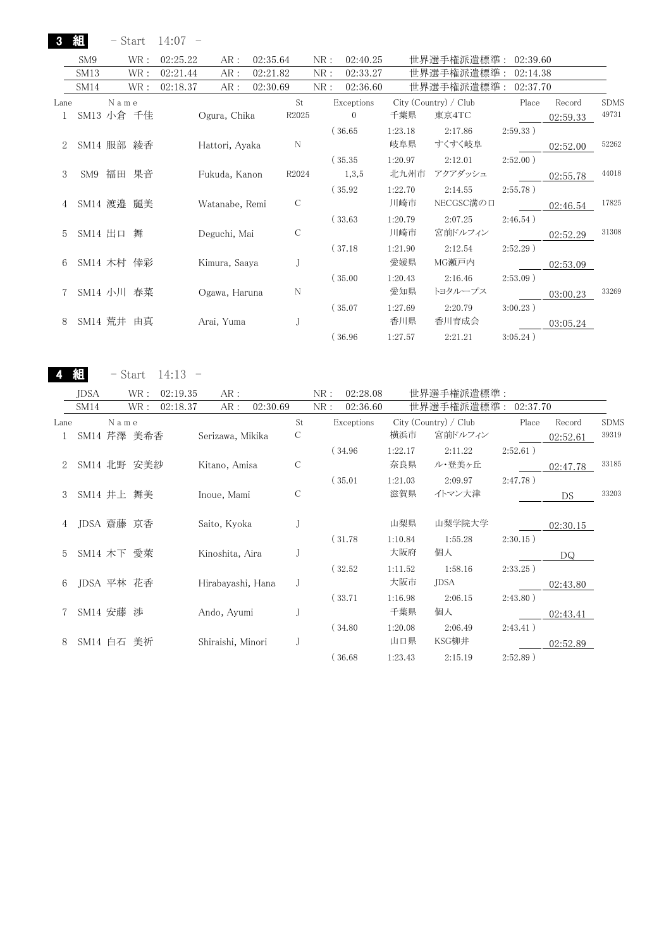| Start | 14:07 |  |
|-------|-------|--|
|-------|-------|--|

3 組

|      | SM <sub>9</sub> | WR :       | 02:25.22 | AR:            | 02:35.64 |               | NR:     | 02:40.25     |         | 世界選手権派遣標準:            | 02:39.60    |          |             |
|------|-----------------|------------|----------|----------------|----------|---------------|---------|--------------|---------|-----------------------|-------------|----------|-------------|
|      | SM13            | WR :       | 02:21.44 | AR:            | 02:21.82 |               | NR:     | 02:33.27     |         | 世界選手権派遣標準 :           | 02:14.38    |          |             |
|      | <b>SM14</b>     | WR :       | 02:18.37 | AR:            | 02:30.69 |               | NR:     | 02:36.60     |         | 世界選手権派遣標準:            | 02:37.70    |          |             |
| Lane |                 | Name       |          |                |          | St            |         | Exceptions   |         | City (Country) / Club | Place       | Record   | <b>SDMS</b> |
|      |                 | SM13 小倉 千佳 |          | Ogura, Chika   |          | R2025         |         | $\mathbf{0}$ | 千葉県     | 東京4TC                 |             | 02:59.33 | 49731       |
|      |                 |            |          |                |          |               | (36.65) |              | 1:23.18 | 2:17.86               | 2:59.33)    |          |             |
|      |                 | SM14 服部 綾香 |          | Hattori, Ayaka |          | $\mathbf N$   |         |              | 岐阜県     | すくすく岐阜                |             | 02:52.00 | 52262       |
|      |                 |            |          |                |          |               | (35.35) |              | 1:20.97 | 2:12.01               | $2:52.00$ ) |          |             |
| 3    |                 | SM9 福田 果音  |          | Fukuda, Kanon  |          | R2024         |         | 1,3,5        | 北九州市    | アクアダッシュ               |             | 02:55.78 | 44018       |
|      |                 |            |          |                |          |               | (35.92) |              | 1:22.70 | 2:14.55               | $2:55.78$ ) |          |             |
| 4    |                 | SM14 渡邉 麗美 |          | Watanabe, Remi |          | $\mathcal{C}$ |         |              | 川崎市     | NECGSC溝の口             |             | 02:46.54 | 17825       |
|      |                 |            |          |                |          |               | (33.63) |              | 1:20.79 | 2:07.25               | 2:46.54)    |          |             |
| 5    | $SM14$ 出口       | 舞          |          | Deguchi, Mai   |          | С             |         |              | 川崎市     | 宮前ドルフィン               |             | 02:52.29 | 31308       |
|      |                 |            |          |                |          |               | (37.18) |              | 1:21.90 | 2:12.54               | $2:52.29$ ) |          |             |
| 6    |                 | SM14 木村 倖彩 |          | Kimura, Saaya  |          |               |         |              | 愛媛県     | MG瀬戸内                 |             | 02:53.09 |             |
|      |                 |            |          |                |          |               | (35.00) |              | 1:20.43 | 2:16.46               | $2:53.09$ ) |          |             |
|      |                 | SM14 小川 春菜 |          | Ogawa, Haruna  |          | N             |         |              | 愛知県     | トヨタループス               |             | 03:00.23 | 33269       |
|      |                 |            |          |                |          |               | (35.07) |              | 1:27.69 | 2:20.79               | $3:00.23$ ) |          |             |
| 8    |                 | SM14 荒井 由真 |          | Arai, Yuma     |          | J             |         |              | 香川県     | 香川育成会                 |             | 03:05.24 |             |
|      |                 |            |          |                |          |               | (36.96) |              | 1:27.57 | 2:21.21               | 3:05.24)    |          |             |

4 組

- Start 14:13 -

Lane N a m e St Exceptions City (Country) / Club Place Record SDMS 1 SM14 芹澤 美希香 Serizawa, Mikika C 横浜市 宮前ドルフィン 102:52.61 39319  $(34.96 \t 1:22.17 \t 2:11.22 \t 2:52.61)$ 2 SM14 北野 安美紗 Kitano, Amisa C 奈良県 ル・登美ヶ丘 02:47.78 <sup>33185</sup> ( 35.01 1:21.03 2:09.97 2:47.78 ) 3 SM14 井上 舞美 Inoue, Mami C <br>
23203 02:30.15 4 JDSA 齋藤 京香 Saito, Kyoka J 山梨県 山梨学院大学  $( \hspace{1mm} 31.78 \hspace{1mm} 1:10.84 \hspace{1mm} 1:55.28 \hspace{1mm} 2:30.15 \hspace{1mm} )$ 5 SM14 木下 愛萊 Kinoshita, Aira J オ阪府 個人 スコントランス DQ  $( \hspace{1mm} 32.52 \hspace{1mm} 1:11.52 \hspace{1mm} 1:58.16 \hspace{1mm} 2:33.25 \hspace{1mm} )$ 6 JDSA 平林 花香 Hirabayashi, Hana J 大阪市 JDSA 02:43.80  $( \hspace{1mm} 33.71 \hspace{1mm} 1:16.98 \hspace{1mm} 2:06.15 \hspace{1mm} 2:43.80 \hspace{1mm} )$ 7 SM14 安藤 渉 Ando, Ayumi J 子葉県 個人 202:43.41  $( \hspace{1mm} 34.80 \hspace{1cm} 1:20.08 \hspace{1cm} 2:06.49 \hspace{1cm} 2:43.41 \hspace{1mm} )$ 8 SM14 白石 美祈 Shiraishi, Minori J 山口県 KSG柳井 9 12:52.89  $(36.68 \t 1:23.43 \t 2:15.19 \t 2:52.89)$ JDSA WR : 02:19.35 AR : NR : 02:28.08 世界選手権派遣標準 : SM14 WR: 02:18.37 AR: 02:30.69 NR: 02:36.60 世界選手権派遣標準: 02:37.70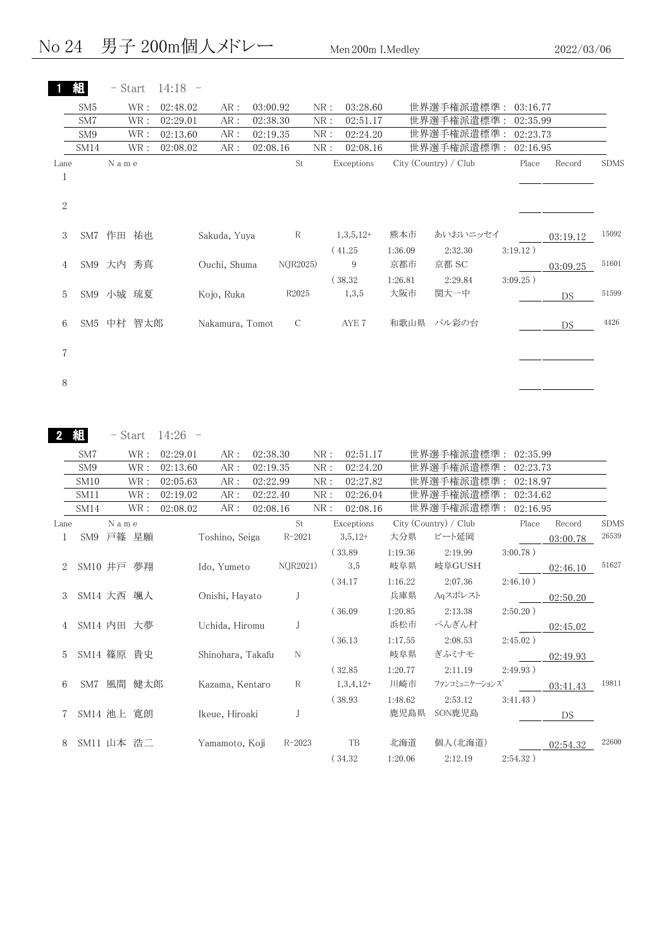|                      | 組                        | - Start    |                       | $14:18 -$             |                   |                      |                  |              |                         |                 |                                            |             |                    |             |
|----------------------|--------------------------|------------|-----------------------|-----------------------|-------------------|----------------------|------------------|--------------|-------------------------|-----------------|--------------------------------------------|-------------|--------------------|-------------|
|                      | SM <sub>5</sub>          |            | $\operatorname{WR}$ : | 02:48.02              | AR:               | 03:00.92             |                  | NR:          | 03:28.60                |                 | 世界選手権派遣標準:                                 | 03:16.77    |                    |             |
|                      | SM7                      |            | $\operatorname{WR}$ : | 02:29.01              | AR:               | 02:38.30             |                  | ${\rm NR}$ : | 02:51.17                |                 | 世界選手権派遣標準:                                 | 02:35.99    |                    |             |
|                      | SM9                      |            | $\operatorname{WR}$ : | 02:13.60              | AR:               | 02:19.35             |                  | NR:          | 02:24.20                |                 | 世界選手権派遣標準:                                 | 02:23.73    |                    |             |
|                      | SM14                     |            | WR :                  | 02:08.02              | AR:               | 02:08.16             |                  | ${\rm NR}$ : | 02:08.16                |                 | 世界選手権派遣標準:                                 | 02:16.95    |                    |             |
| Lane<br>$\mathbf{1}$ |                          | N a m e    |                       |                       |                   |                      | St               |              | Exceptions              |                 | City (Country) / Club                      | Place       | Record             | <b>SDMS</b> |
|                      |                          |            |                       |                       |                   |                      |                  |              |                         |                 |                                            |             |                    |             |
| $\,2$                |                          |            |                       |                       |                   |                      |                  |              |                         |                 |                                            |             |                    |             |
| 3                    |                          | SM7 作田 祐也  |                       |                       | Sakuda, Yuya      |                      | $\mathbb R$      |              | $1,3,5,12+$             | 熊本市             | あいおいニッセイ                                   |             | 03:19.12           | 15092       |
|                      |                          |            |                       |                       |                   |                      |                  |              | (41.25)                 | 1:36.09         | 2:32.30                                    | 3:19.12)    |                    |             |
| 4                    |                          | SM9 大内 秀真  |                       |                       | Ouchi, Shuma      |                      | N(JR2025)        |              | 9                       | 京都市             | 京都 SC                                      |             | 03:09.25           | 51601       |
|                      |                          |            |                       |                       |                   |                      |                  |              | (38.32)                 | 1:26.81         | 2:29.84                                    | $3:09.25$ ) |                    |             |
| 5                    |                          | SM9 小城 琉夏  |                       |                       | Kojo, Ruka        |                      | R2025            |              | 1,3,5                   | 大阪市             | 関大一中                                       |             | DS                 | 51599       |
| 6                    |                          | SM5 中村 智太郎 |                       |                       | Nakamura, Tomot   |                      | $\mathcal{C}$    |              | AYE 7                   |                 | 和歌山県 パル彩の台                                 |             | DS                 | 4426        |
| 7                    |                          |            |                       |                       |                   |                      |                  |              |                         |                 |                                            |             |                    |             |
| 8                    |                          |            |                       |                       |                   |                      |                  |              |                         |                 |                                            |             |                    |             |
|                      | 組<br>SM7                 | - Start    | WR :                  | $14:26 -$<br>02:29.01 | AR:               | 02:38.30             |                  | NR:          | 02:51.17                |                 | 世界選手権派遣標準: 02:35.99                        |             |                    |             |
|                      | SM9                      |            | WR :                  | 02:13.60<br>02:05.63  | AR:               | 02:19.35<br>02:22.99 |                  | NR:          | 02:24.20<br>02:27.82    |                 | 世界選手権派遣標準: 02:23.73<br>世界選手権派遣標準: 02:18.97 |             |                    |             |
|                      | SM <sub>10</sub><br>SM11 |            | WR :<br>WR :          | 02:19.02              | AR:<br>AR:        | 02:22.40             |                  | NR:<br>NR:   | 02:26.04                |                 |                                            |             |                    |             |
|                      | SM14                     |            | WR :                  | 02:08.02              | AR:               | 02:08.16             |                  |              |                         |                 |                                            |             |                    |             |
| Lane                 |                          | Name       |                       |                       |                   |                      |                  |              |                         |                 | 世界選手権派遣標準: 02:34.62                        |             |                    |             |
| 1                    |                          | SM9 戸篠 星願  |                       |                       |                   |                      |                  | ${\rm NR}$ : | 02:08.16                |                 | 世界選手権派遣標準: 02:16.95                        |             |                    |             |
|                      |                          |            |                       |                       | Toshino, Seiga    |                      | St<br>$R - 2021$ |              | Exceptions<br>$3,5,12+$ | 大分県             | City (Country) / Club<br>ビート延岡             | Place       | Record<br>03:00.78 | 26539       |
| 2                    |                          | SM10 井戸 夢翔 |                       |                       |                   |                      |                  |              | (33.89)                 | 1:19.36         | 2:19.99                                    | $3:00.78$ ) |                    |             |
| 3                    |                          |            |                       |                       | Ido, Yumeto       |                      | $N($ JR2021 $)$  |              | 3,5                     | 岐阜県             | 岐阜GUSH                                     |             | 02:46.10           | 51627       |
|                      |                          |            |                       |                       |                   |                      |                  |              | (34.17)                 | 1:16.22         | 2:07.36                                    | 2:46.10)    |                    | <b>SDMS</b> |
|                      |                          | SM14 大西 颯人 |                       |                       | Onishi, Hayato    |                      | J                |              |                         | 兵庫県             | Aqスポレスト                                    |             | 02:50.20           |             |
| 4                    |                          | SM14 内田 大夢 |                       |                       | Uchida, Hiromu    |                      | J                |              | (36.09)                 | 1:20.85<br>浜松市  | 2:13.38<br>ぺんぎん村                           | $2:50.20$ ) | 02:45.02           |             |
|                      |                          |            |                       |                       |                   |                      |                  |              | (36.13)                 | 1:17.55         | 2:08.53                                    | $2:45.02$ ) |                    |             |
| 5                    |                          | SM14 篠原 貴史 |                       |                       | Shinohara, Takafu |                      | N                |              |                         | 岐阜県             | ぎふミナモ                                      |             | 02:49.93           |             |
|                      |                          |            |                       |                       |                   |                      |                  |              | (32.85)                 | 1:20.77         | 2:11.19                                    | 2:49.93)    |                    |             |
| 6                    |                          | SM7 風間 健太郎 |                       |                       | Kazama, Kentaro   |                      | R                |              | $1,3,4,12+$             | 川崎市             | ファンコミュニケーションズ                              |             | 03:41.43           |             |
| 7                    |                          | SM14 池上 寛朗 |                       |                       | Ikeue, Hiroaki    |                      | J                |              | (38.93)                 | 1:48.62<br>鹿児島県 | 2:53.12<br>SON鹿児島                          | 3:41.43)    | DS                 | 19811       |
| 8                    |                          | SM11 山本 浩二 |                       |                       | Yamamoto, Koji    |                      | $R - 2023$       |              | TB                      | 北海道             | 個人(北海道)                                    |             | 02:54.32           | 22600       |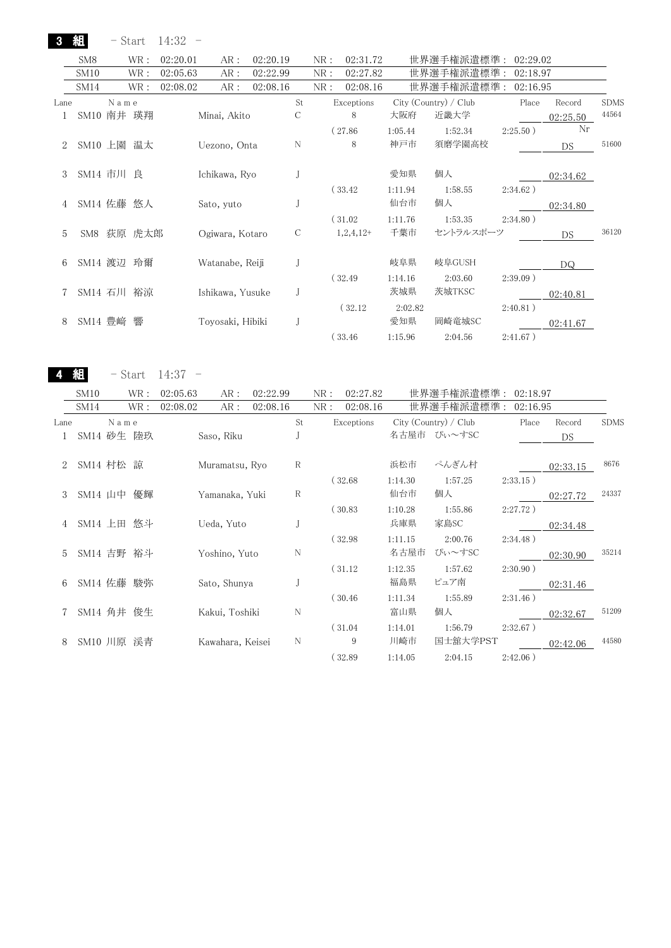3 組 - Start 14:32 -

|      | SM <sub>8</sub>  |      | WR :       | 02:20.01 | AR:              | 02:20.19 |    | NR:          | 02:31.72    |         | 世界選手権派遣標準:            | 02:29.02    |          |             |
|------|------------------|------|------------|----------|------------------|----------|----|--------------|-------------|---------|-----------------------|-------------|----------|-------------|
|      | <b>SM10</b>      |      | WR :       | 02:05.63 | AR:              | 02:22.99 |    | NR:          | 02:27.82    |         | 世界選手権派遣標準:            | 02:18.97    |          |             |
|      | SM <sub>14</sub> |      | WR :       | 02:08.02 | AR:              | 02:08.16 |    | ${\rm NR}$ : | 02:08.16    |         | 世界選手権派遣標準:            | 02:16.95    |          |             |
| Lane |                  | Name |            |          |                  |          | St |              | Exceptions  |         | City (Country) / Club | Place       | Record   | <b>SDMS</b> |
|      | SM10 南井 瑛翔       |      |            |          | Minai, Akito     |          | С  |              | 8           | 大阪府     | 近畿大学                  |             | 02:25.50 | 44564       |
|      |                  |      |            |          |                  |          |    |              | (27.86)     | 1:05.44 | 1:52.34               | $2:25.50$ ) | Nr       |             |
| 2    |                  |      | SM10 上園 温太 |          | Uezono, Onta     |          | N  |              | 8           | 神戸市     | 須磨学園高校                |             | DS       | 51600       |
| 3    | SM14 市川 良        |      |            |          | Ichikawa, Ryo    |          |    |              |             | 愛知県     | 個人                    |             | 02:34.62 |             |
|      |                  |      |            |          |                  |          |    |              | (33.42)     | 1:11.94 | 1:58.55               | $2:34.62$ ) |          |             |
| 4    | SM14 佐藤 悠人       |      |            |          | Sato, yuto       |          |    |              |             | 仙台市     | 個人                    |             | 02:34.80 |             |
|      |                  |      |            |          |                  |          |    |              | (31.02)     | 1:11.76 | 1:53.35               | $2:34.80$ ) |          |             |
| 5    |                  |      | SM8 荻原 虎太郎 |          | Ogiwara, Kotaro  |          | C  |              | $1,2,4,12+$ | 千葉市     | セントラルスポーツ             |             | DS       | 36120       |
| 6    | SM14 渡辺 玲爾       |      |            |          | Watanabe, Reiji  |          |    |              |             | 岐阜県     | 岐阜GUSH                |             | DQ       |             |
|      |                  |      |            |          |                  |          |    |              | (32.49)     | 1:14.16 | 2:03.60               | $2:39.09$ ) |          |             |
|      | SM14 石川 裕涼       |      |            |          | Ishikawa, Yusuke |          | J  |              |             | 茨城県     | 茨城TKSC                |             | 02:40.81 |             |
|      |                  |      |            |          |                  |          |    |              | (32.12)     | 2:02.82 |                       | 2:40.81)    |          |             |
| 8    | SM14 豊崎          |      | 響          |          | Toyosaki, Hibiki |          | J  |              |             | 愛知県     | 岡崎竜城SC                |             | 02:41.67 |             |
|      |                  |      |            |          |                  |          |    |              | (33.46)     | 1:15.96 | 2:04.56               | $2:41.67$ ) |          |             |

4 組

 $-$  Start 14:37  $-$ 

|                | SM10       |      | WR : | 02:05.63 | AR :             | 02:22.99 |    | NR: | 02:27.82   |         | 世界選手権派遣標準:            |             | 02:18.97 |          |             |
|----------------|------------|------|------|----------|------------------|----------|----|-----|------------|---------|-----------------------|-------------|----------|----------|-------------|
|                | SM14       |      | WR : | 02:08.02 | AR :             | 02:08.16 |    | NR: | 02:08.16   |         | 世界選手権派遣標準:            |             | 02:16.95 |          |             |
| Lane           |            | Name |      |          |                  |          | St |     | Exceptions |         | City (Country) / Club |             | Place    | Record   | <b>SDMS</b> |
| 1              | SM14 砂生 陸玖 |      |      |          | Saso, Riku       |          |    |     |            |         | 名古屋市 ぴぃ~すSC           |             |          | DS       |             |
| $\overline{2}$ | SM14 村松 諒  |      |      |          | Muramatsu, Ryo   |          | R  |     |            | 浜松市     | ぺんぎん村                 |             |          | 02:33.15 | 8676        |
|                |            |      |      |          |                  |          |    |     | (32.68)    | 1:14.30 | 1:57.25               | $2:33.15$ ) |          |          |             |
| 3              | SM14 山中    |      | 優輝   |          | Yamanaka, Yuki   |          | R  |     |            | 仙台市     | 個人                    |             |          | 02:27.72 | 24337       |
|                |            |      |      |          |                  |          |    |     | (30.83)    | 1:10.28 | 1:55.86               | $2:27.72$ ) |          |          |             |
| 4              | SM14 上田 悠斗 |      |      |          | Ueda, Yuto       |          |    |     |            | 兵庫県     | 家島SC                  |             |          | 02:34.48 |             |
|                |            |      |      |          |                  |          |    |     | (32.98)    | 1:11.15 | 2:00.76               | $2:34.48$ ) |          |          |             |
| 5              | SM14 吉野 裕斗 |      |      |          | Yoshino, Yuto    |          | N  |     |            | 名古屋市    | ぴぃ~すSC                |             |          | 02:30.90 | 35214       |
|                |            |      |      |          |                  |          |    |     | (31.12)    | 1:12.35 | 1:57.62               | 2:30.90)    |          |          |             |
| 6              | SM14 佐藤    |      | 駿弥   |          | Sato, Shunya     |          |    |     |            | 福島県     | ピュア南                  |             |          | 02:31.46 |             |
|                |            |      |      |          |                  |          |    |     | (30.46)    | 1:11.34 | 1:55.89               | $2:31.46$ ) |          |          |             |
|                | SM14 角井 俊生 |      |      |          | Kakui, Toshiki   |          | N  |     |            | 富山県     | 個人                    |             |          | 02:32.67 | 51209       |
|                |            |      |      |          |                  |          |    |     | (31.04)    | 1:14.01 | 1:56.79               | $2:32.67$ ) |          |          |             |
| 8              | SM10 川原    |      | 渓青   |          | Kawahara, Keisei |          | N  |     | 9          | 川崎市     | 国士舘大学PST              |             |          | 02:42.06 | 44580       |
|                |            |      |      |          |                  |          |    |     | (32.89     | 1:14.05 | 2:04.15               | $2:42.06$ ) |          |          |             |